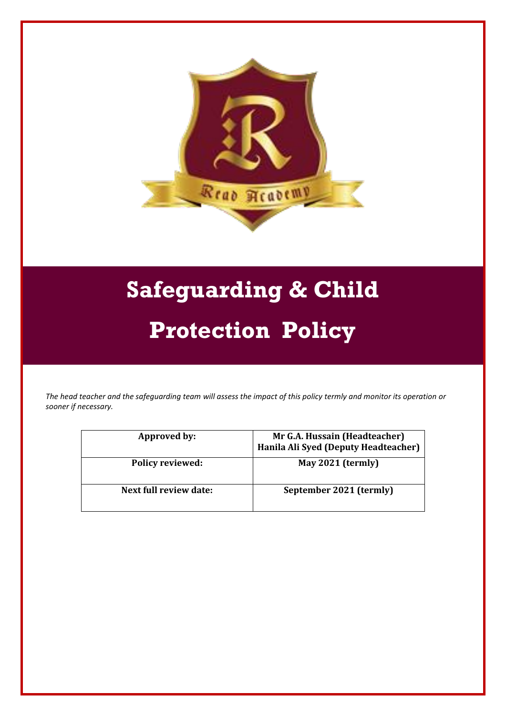

# **Safeguarding & Child**

# **Protection Policy**

*The head teacher and the safeguarding team will assess the impact of this policy termly and monitor its operation or sooner if necessary.*

| Approved by:            | Mr G.A. Hussain (Headteacher)<br>Hanila Ali Syed (Deputy Headteacher) |
|-------------------------|-----------------------------------------------------------------------|
| <b>Policy reviewed:</b> | May 2021 (termly)                                                     |
| Next full review date:  | September 2021 (termly)                                               |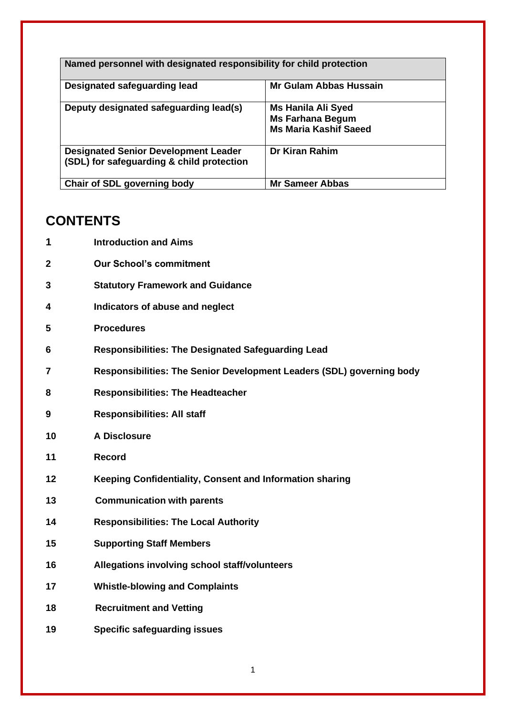| Named personnel with designated responsibility for child protection                      |                                                                                      |  |
|------------------------------------------------------------------------------------------|--------------------------------------------------------------------------------------|--|
| Designated safeguarding lead                                                             | <b>Mr Gulam Abbas Hussain</b>                                                        |  |
| Deputy designated safeguarding lead(s)                                                   | <b>Ms Hanila Ali Syed</b><br><b>Ms Farhana Begum</b><br><b>Ms Maria Kashif Saeed</b> |  |
| <b>Designated Senior Development Leader</b><br>(SDL) for safeguarding & child protection | Dr Kiran Rahim                                                                       |  |
| Chair of SDL governing body                                                              | <b>Mr Sameer Abbas</b>                                                               |  |

# **CONTENTS**

| 1              | <b>Introduction and Aims</b>                                          |
|----------------|-----------------------------------------------------------------------|
| $\overline{2}$ | <b>Our School's commitment</b>                                        |
| 3              | <b>Statutory Framework and Guidance</b>                               |
| 4              | Indicators of abuse and neglect                                       |
| 5              | <b>Procedures</b>                                                     |
| 6              | <b>Responsibilities: The Designated Safeguarding Lead</b>             |
| 7              | Responsibilities: The Senior Development Leaders (SDL) governing body |
| 8              | <b>Responsibilities: The Headteacher</b>                              |
| 9              | <b>Responsibilities: All staff</b>                                    |
| 10             | <b>A Disclosure</b>                                                   |
| 11             | <b>Record</b>                                                         |
| 12             | Keeping Confidentiality, Consent and Information sharing              |
| 13             | <b>Communication with parents</b>                                     |
| 14             | <b>Responsibilities: The Local Authority</b>                          |
| 15             | <b>Supporting Staff Members</b>                                       |
| 16             | Allegations involving school staff/volunteers                         |
| 17             | <b>Whistle-blowing and Complaints</b>                                 |
| 18             | <b>Recruitment and Vetting</b>                                        |
| 19             | <b>Specific safeguarding issues</b>                                   |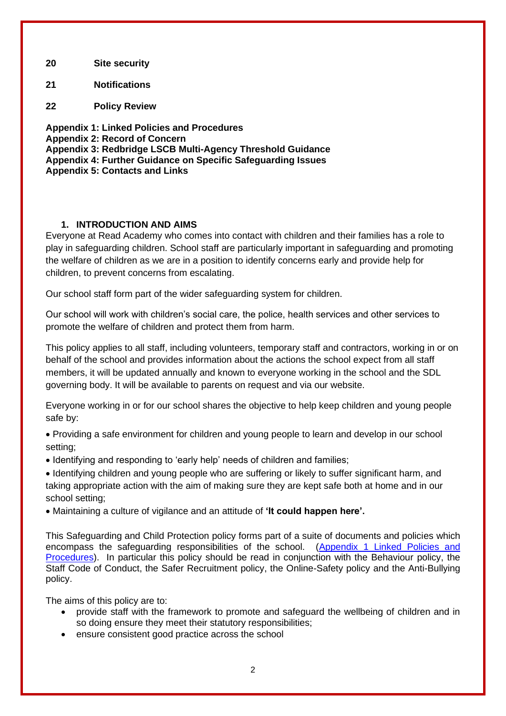# **20 Site security**

- **21 Notifications**
- **22 Policy Review**

**Appendix 1: Linked Policies and Procedures Appendix 2: Record of Concern Appendix 3: Redbridge LSCB Multi-Agency Threshold Guidance Appendix 4: Further Guidance on Specific Safeguarding Issues Appendix 5: Contacts and Links**

# **1. INTRODUCTION AND AIMS**

Everyone at Read Academy who comes into contact with children and their families has a role to play in safeguarding children. School staff are particularly important in safeguarding and promoting the welfare of children as we are in a position to identify concerns early and provide help for children, to prevent concerns from escalating.

Our school staff form part of the wider safeguarding system for children.

Our school will work with children's social care, the police, health services and other services to promote the welfare of children and protect them from harm.

This policy applies to all staff, including volunteers, temporary staff and contractors, working in or on behalf of the school and provides information about the actions the school expect from all staff members, it will be updated annually and known to everyone working in the school and the SDL governing body. It will be available to parents on request and via our website.

Everyone working in or for our school shares the objective to help keep children and young people safe by:

- Providing a safe environment for children and young people to learn and develop in our school setting;
- Identifying and responding to 'early help' needs of children and families;
- Identifying children and young people who are suffering or likely to suffer significant harm, and taking appropriate action with the aim of making sure they are kept safe both at home and in our school setting;
- Maintaining a culture of vigilance and an attitude of **'It could happen here'.**

This Safeguarding and Child Protection policy forms part of a suite of documents and policies which encompass the safeguarding responsibilities of the school. (Appendix 1 Linked Policies and Procedures). In particular this policy should be read in conjunction with the Behaviour policy, the Staff Code of Conduct, the Safer Recruitment policy, the Online-Safety policy and the Anti-Bullying policy.

The aims of this policy are to:

- provide staff with the framework to promote and safeguard the wellbeing of children and in so doing ensure they meet their statutory responsibilities;
- ensure consistent good practice across the school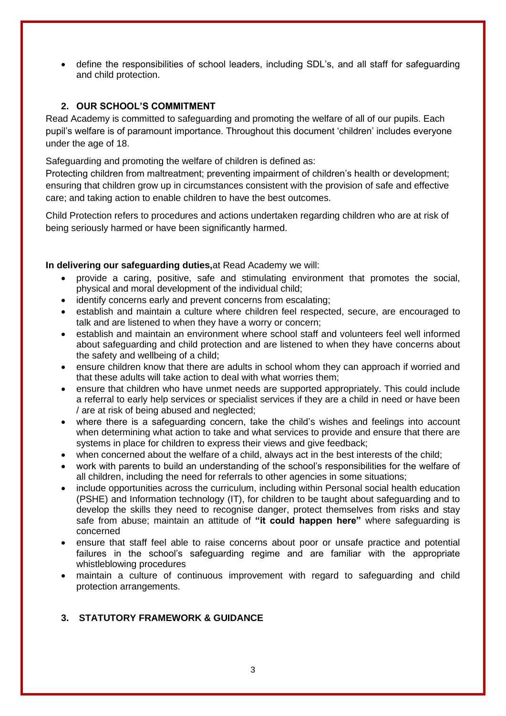• define the responsibilities of school leaders, including SDL's, and all staff for safeguarding and child protection.

# **2. OUR SCHOOL'S COMMITMENT**

Read Academy is committed to safeguarding and promoting the welfare of all of our pupils. Each pupil's welfare is of paramount importance. Throughout this document 'children' includes everyone under the age of 18.

Safeguarding and promoting the welfare of children is defined as:

Protecting children from maltreatment; preventing impairment of children's health or development; ensuring that children grow up in circumstances consistent with the provision of safe and effective care; and taking action to enable children to have the best outcomes.

Child Protection refers to procedures and actions undertaken regarding children who are at risk of being seriously harmed or have been significantly harmed.

# **In delivering our safeguarding duties,**at Read Academy we will:

- provide a caring, positive, safe and stimulating environment that promotes the social, physical and moral development of the individual child;
- identify concerns early and prevent concerns from escalating;
- establish and maintain a culture where children feel respected, secure, are encouraged to talk and are listened to when they have a worry or concern;
- establish and maintain an environment where school staff and volunteers feel well informed about safeguarding and child protection and are listened to when they have concerns about the safety and wellbeing of a child;
- ensure children know that there are adults in school whom they can approach if worried and that these adults will take action to deal with what worries them;
- ensure that children who have unmet needs are supported appropriately. This could include a referral to early help services or specialist services if they are a child in need or have been / are at risk of being abused and neglected;
- where there is a safeguarding concern, take the child's wishes and feelings into account when determining what action to take and what services to provide and ensure that there are systems in place for children to express their views and give feedback;
- when concerned about the welfare of a child, always act in the best interests of the child;
- work with parents to build an understanding of the school's responsibilities for the welfare of all children, including the need for referrals to other agencies in some situations;
- include opportunities across the curriculum, including within Personal social health education (PSHE) and Information technology (IT), for children to be taught about safeguarding and to develop the skills they need to recognise danger, protect themselves from risks and stay safe from abuse; maintain an attitude of **"it could happen here"** where safeguarding is concerned
- ensure that staff feel able to raise concerns about poor or unsafe practice and potential failures in the school's safeguarding regime and are familiar with the appropriate whistleblowing procedures
- maintain a culture of continuous improvement with regard to safeguarding and child protection arrangements.

# **3. STATUTORY FRAMEWORK & GUIDANCE**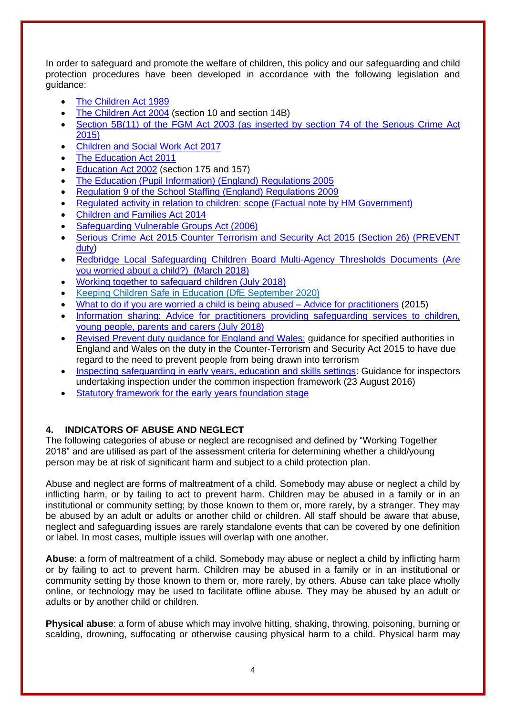In order to safeguard and promote the welfare of children, this policy and our safeguarding and child protection procedures have been developed in accordance with the following legislation and guidance:

- [The Children Act 1989](http://www.legislation.gov.uk/ukpga/1989/41/contents)
- [The Children Act 2004](http://www.legislation.gov.uk/ukpga/2004/31/contents) (section 10 and section 14B)
- Section 5B(11) of the FGM Act 2003 (as inserted by section 74 of the Serious Crime Act [2015\)](http://www.legislation.gov.uk/ukpga/2015/9/part/5/crossheading/female-genital-mutilation/enacted)
- [Children and Social Work Act 2017](http://www.legislation.gov.uk/ukpga/2017/16/pdfs/ukpga_20170016_en.pdf)
- [The Education Act 2011](http://www.legislation.gov.uk/ukpga/2011/21/contents/enacted)
- [Education Act 2002](http://www.legislation.gov.uk/ukpga/2002/32/contents) (section 175 and 157)
- [The Education \(Pupil Information\) \(England\) Regulations 2005](http://www.legislation.gov.uk/uksi/2005/1437/made)
- [Regulation 9 of the School Staffing \(England\) Regulations 2009](http://www.legislation.gov.uk/uksi/2009/2680/pdfs/uksi_20092680_en.pdf)
- [Regulated activity in relation to children: scope \(Factual note by HM Government\)](https://assets.publishing.service.gov.uk/government/uploads/system/uploads/attachment_data/file/550197/Regulated_activity_in_relation_to_children.pdf)
- [Children and Families Act 2014](http://www.legislation.gov.uk/ukpga/2014/6/contents/enacted)
- [Safeguarding Vulnerable Groups Act \(2006\)](http://www.legislation.gov.uk/ukpga/2006/47/pdfs/ukpga_20060047_en.pdf)
- Serious Crime Act 2015 Counter Terrorism and Security Act 2015 (Section 26) (PREVENT [duty\)](http://www.legislation.gov.uk/ukpga/2015/6/section/26)
- [Redbridge Local Safeguarding Children Board Multi-Agency Thresholds Documents \(Are](http://www.redbridgelscb.org.uk/professionals/worried-about-a-child/)  [you worried about a child?\) \(March 2018\)](http://www.redbridgelscb.org.uk/professionals/worried-about-a-child/)
- [Working together to safeguard children \(July 2018\)](https://assets.publishing.service.gov.uk/government/uploads/system/uploads/attachment_data/file/729914/Working_Together_to_Safeguard_Children-2018.pdf)
- [Keeping Children Safe in Education \(DfE September 2020\)](https://assets.publishing.service.gov.uk/government/uploads/system/uploads/attachmhttps:/assets.publishing.service.gov.uk/government/uploads/system/uploads/attachment_data/file/737289/Keeping_Children_Safe_in_Education_Sept_2018.pdf)
- [What to do if you are worried a child is being abused –](https://assets.publishing.service.gov.uk/government/uploads/system/uploads/attachment_data/file/419604/What_to_do_if_you_re_worried_a_child_is_being_abused.pdf) Advice for practitioners (2015)
- Information sharing: Advice for practitioners providing safeguarding services to children, [young people, parents and carers \(July 2018\)](https://assets.publishing.service.gov.uk/government/uploads/system/uploads/attachment_data/file/721581/Information_sharing_advice_practitioners_safeguarding_services.pdf)
- [Revised Prevent duty guidance for England and Wales:](https://www.gov.uk/government/uploads/system/uploads/attachment_data/file/445977/3799_Revised_Prevent_Duty_Guidance__England_Wales_V2-Interactive.pdf) guidance for specified authorities in England and Wales on the duty in the Counter-Terrorism and Security Act 2015 to have due regard to the need to prevent people from being drawn into terrorism
- [Inspecting safeguarding in early years, education and skills settings:](https://www.gov.uk/government/publications/inspecting-safeguarding-in-early-years-education-and-skills-from-september-2015) Guidance for inspectors undertaking inspection under the common inspection framework (23 August 2016)
- [Statutory framework for the early years foundation stage](https://assets.publishing.service.gov.uk/government/uploads/system/uploads/attachment_data/file/596629/EYFS_STATUTORY_FRAMEWORK_2017.pdf)

# **4. WINDICATORS OF ABUSE AND NEGLECT**

The following categories of abuse or neglect are recognised and defined by "Working Together 2018" and are utilised as part of the assessment criteria for determining whether a child/young person may be at risk of significant harm and subject to a child protection plan.

Abuse and neglect are forms of maltreatment of a child. Somebody may abuse or neglect a child by inflicting harm, or by failing to act to prevent harm. Children may be abused in a family or in an institutional or community setting; by those known to them or, more rarely, by a stranger. They may be abused by an adult or adults or another child or children. All staff should be aware that abuse, neglect and safeguarding issues are rarely standalone events that can be covered by one definition or label. In most cases, multiple issues will overlap with one another.

**Abuse**: a form of maltreatment of a child. Somebody may abuse or neglect a child by inflicting harm or by failing to act to prevent harm. Children may be abused in a family or in an institutional or community setting by those known to them or, more rarely, by others. Abuse can take place wholly online, or technology may be used to facilitate offline abuse. They may be abused by an adult or adults or by another child or children.

**Physical abuse**: a form of abuse which may involve hitting, shaking, throwing, poisoning, burning or scalding, drowning, suffocating or otherwise causing physical harm to a child. Physical harm may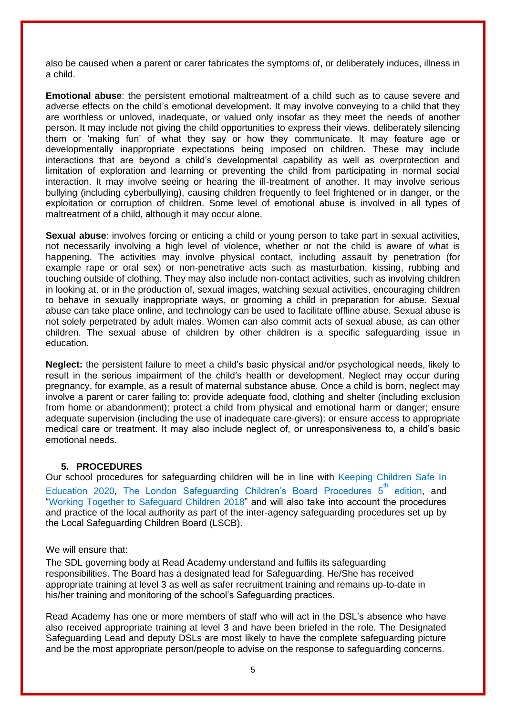also be caused when a parent or carer fabricates the symptoms of, or deliberately induces, illness in a child.

**Emotional abuse**: the persistent emotional maltreatment of a child such as to cause severe and adverse effects on the child's emotional development. It may involve conveying to a child that they are worthless or unloved, inadequate, or valued only insofar as they meet the needs of another person. It may include not giving the child opportunities to express their views, deliberately silencing them or 'making fun' of what they say or how they communicate. It may feature age or developmentally inappropriate expectations being imposed on children. These may include interactions that are beyond a child's developmental capability as well as overprotection and limitation of exploration and learning or preventing the child from participating in normal social interaction. It may involve seeing or hearing the ill-treatment of another. It may involve serious bullying (including cyberbullying), causing children frequently to feel frightened or in danger, or the exploitation or corruption of children. Some level of emotional abuse is involved in all types of maltreatment of a child, although it may occur alone.

**Sexual abuse**: involves forcing or enticing a child or young person to take part in sexual activities, not necessarily involving a high level of violence, whether or not the child is aware of what is happening. The activities may involve physical contact, including assault by penetration (for example rape or oral sex) or non-penetrative acts such as masturbation, kissing, rubbing and touching outside of clothing. They may also include non-contact activities, such as involving children in looking at, or in the production of, sexual images, watching sexual activities, encouraging children to behave in sexually inappropriate ways, or grooming a child in preparation for abuse. Sexual abuse can take place online, and technology can be used to facilitate offline abuse. Sexual abuse is not solely perpetrated by adult males. Women can also commit acts of sexual abuse, as can other children. The sexual abuse of children by other children is a specific safeguarding issue in education.

**Neglect:** the persistent failure to meet a child's basic physical and/or psychological needs, likely to result in the serious impairment of the child's health or development. Neglect may occur during pregnancy, for example, as a result of maternal substance abuse. Once a child is born, neglect may involve a parent or carer failing to: provide adequate food, clothing and shelter (including exclusion from home or abandonment); protect a child from physical and emotional harm or danger; ensure adequate supervision (including the use of inadequate care-givers); or ensure access to appropriate medical care or treatment. It may also include neglect of, or unresponsiveness to, a child's basic emotional needs.

# **5. PROCEDURES**

Our school procedures for safeguarding children will be in line with Keeping Children Safe In Education 2020, The London Safeguarding Children's Board Procedures  $5^{\text{th}}$  edition, and "Working Together to Safeguard Children 2018" and will also take into account the procedures and practice of the local authority as part of the inter-agency safeguarding procedures set up by the Local Safeguarding Children Board (LSCB).

#### We will ensure that:

The SDL governing body at Read Academy understand and fulfils its safeguarding responsibilities. The Board has a designated lead for Safeguarding. He/She has received appropriate training at level 3 as well as safer recruitment training and remains up-to-date in his/her training and monitoring of the school's Safeguarding practices.

Read Academy has one or more members of staff who will act in the DSL's absence who have also received appropriate training at level 3 and have been briefed in the role. The Designated Safeguarding Lead and deputy DSLs are most likely to have the complete safeguarding picture and be the most appropriate person/people to advise on the response to safeguarding concerns.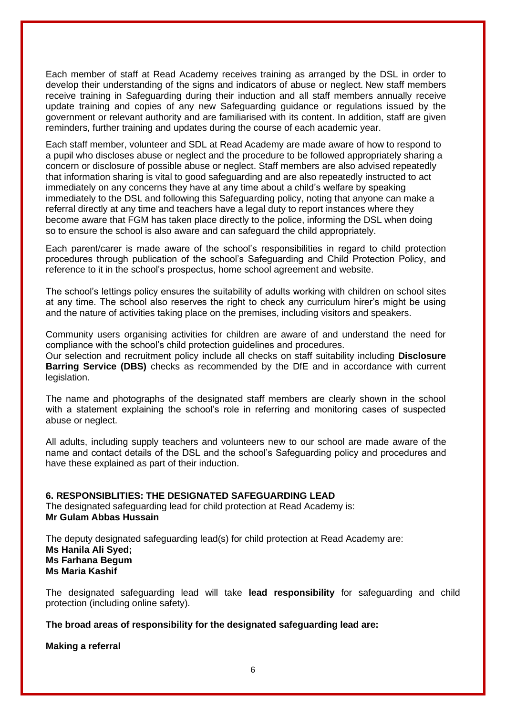Each member of staff at Read Academy receives training as arranged by the DSL in order to develop their understanding of the signs and indicators of abuse or neglect. New staff members receive training in Safeguarding during their induction and all staff members annually receive update training and copies of any new Safeguarding guidance or regulations issued by the government or relevant authority and are familiarised with its content. In addition, staff are given reminders, further training and updates during the course of each academic year.

Each staff member, volunteer and SDL at Read Academy are made aware of how to respond to a pupil who discloses abuse or neglect and the procedure to be followed appropriately sharing a concern or disclosure of possible abuse or neglect. Staff members are also advised repeatedly that information sharing is vital to good safeguarding and are also repeatedly instructed to act immediately on any concerns they have at any time about a child's welfare by speaking immediately to the DSL and following this Safeguarding policy, noting that anyone can make a referral directly at any time and teachers have a legal duty to report instances where they become aware that FGM has taken place directly to the police, informing the DSL when doing so to ensure the school is also aware and can safeguard the child appropriately.

Each parent/carer is made aware of the school's responsibilities in regard to child protection procedures through publication of the school's Safeguarding and Child Protection Policy, and reference to it in the school's prospectus, home school agreement and website.

The school's lettings policy ensures the suitability of adults working with children on school sites at any time. The school also reserves the right to check any curriculum hirer's might be using and the nature of activities taking place on the premises, including visitors and speakers.

Community users organising activities for children are aware of and understand the need for compliance with the school's child protection guidelines and procedures.

Our selection and recruitment policy include all checks on staff suitability including **Disclosure Barring Service (DBS)** checks as recommended by the DfE and in accordance with current legislation.

The name and photographs of the designated staff members are clearly shown in the school with a statement explaining the school's role in referring and monitoring cases of suspected abuse or neglect.

All adults, including supply teachers and volunteers new to our school are made aware of the name and contact details of the DSL and the school's Safeguarding policy and procedures and have these explained as part of their induction.

**6. RESPONSIBLITIES: THE DESIGNATED SAFEGUARDING LEAD**  The designated safeguarding lead for child protection at Read Academy is: **Mr Gulam Abbas Hussain**

The deputy designated safeguarding lead(s) for child protection at Read Academy are: **Ms Hanila Ali Syed; Ms Farhana Begum Ms Maria Kashif** 

The designated safeguarding lead will take **lead responsibility** for safeguarding and child protection (including online safety).

**The broad areas of responsibility for the designated safeguarding lead are:**

**Making a referral**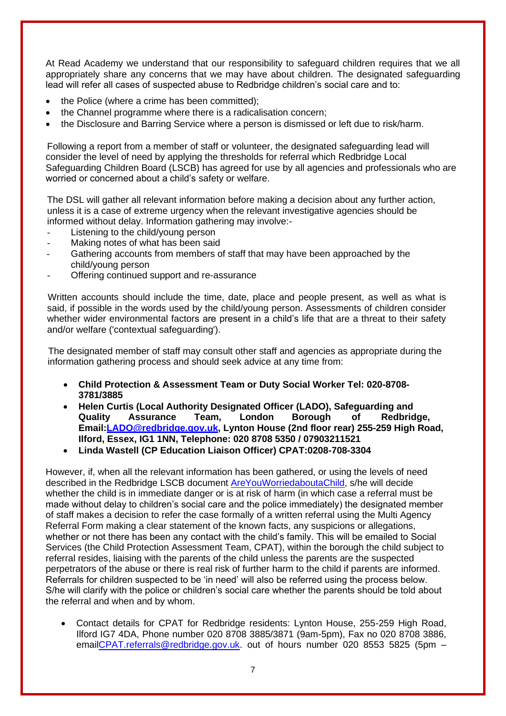At Read Academy we understand that our responsibility to safeguard children requires that we all appropriately share any concerns that we may have about children. The designated safeguarding lead will refer all cases of suspected abuse to Redbridge children's social care and to:

- the Police (where a crime has been committed);
- the Channel programme where there is a radicalisation concern;
- the Disclosure and Barring Service where a person is dismissed or left due to risk/harm.

Following a report from a member of staff or volunteer, the designated safeguarding lead will consider the level of need by applying the thresholds for referral which Redbridge Local Safeguarding Children Board (LSCB) has agreed for use by all agencies and professionals who are worried or concerned about a child's safety or welfare.

The DSL will gather all relevant information before making a decision about any further action, unless it is a case of extreme urgency when the relevant investigative agencies should be informed without delay. Information gathering may involve:-

- Listening to the child/young person
- Making notes of what has been said
- Gathering accounts from members of staff that may have been approached by the child/young person
- Offering continued support and re-assurance

Written accounts should include the time, date, place and people present, as well as what is said, if possible in the words used by the child/young person. Assessments of children consider whether wider environmental factors are present in a child's life that are a threat to their safety and/or welfare ('contextual safeguarding').

The designated member of staff may consult other staff and agencies as appropriate during the information gathering process and should seek advice at any time from:

- **Child Protection & Assessment Team or Duty Social Worker Tel: 020-8708- 3781/3885**
- **Helen Curtis (Local Authority Designated Officer (LADO), Safeguarding and Quality Assurance Team, London Borough of Redbridge, Email[:LADO@redbridge.gov.uk,](mailto:LADO@redbridge.gov.uk) Lynton House (2nd floor rear) 255-259 High Road, Ilford, Essex, IG1 1NN, Telephone: 020 8708 5350 / 07903211521**
- **Linda Wastell (CP Education Liaison Officer) CPAT:0208-708-3304**

However, if, when all the relevant information has been gathered, or using the levels of need described in the Redbridge LSCB document [AreYouWorriedaboutaChild,](http://www.redbridgelscb.org.uk/wp-content/uploads/2016/04/Redbridge-LSCB-Multi-Agency-Thresholds-Document-June-2016-Final.pdf) s/he will decide whether the child is in immediate danger or is at risk of harm (in which case a referral must be made without delay to children's social care and the police immediately) the designated member of staff makes a decision to refer the case formally of a written referral using the Multi Agency Referral Form making a clear statement of the known facts, any suspicions or allegations, whether or not there has been any contact with the child's family. This will be emailed to Social Services (the Child Protection Assessment Team, CPAT), within the borough the child subject to referral resides, liaising with the parents of the child unless the parents are the suspected perpetrators of the abuse or there is real risk of further harm to the child if parents are informed. Referrals for children suspected to be 'in need' will also be referred using the process below. S/he will clarify with the police or children's social care whether the parents should be told about the referral and when and by whom.

• Contact details for CPAT for Redbridge residents: Lynton House, 255-259 High Road, Ilford IG7 4DA, Phone number 020 8708 3885/3871 (9am-5pm), Fax no 020 8708 3886, emai[lCPAT.referrals@redbridge.gov.uk.](mailto:CPAT.referrals@redbridge.gov.uk) out of hours number 020 8553 5825 (5pm –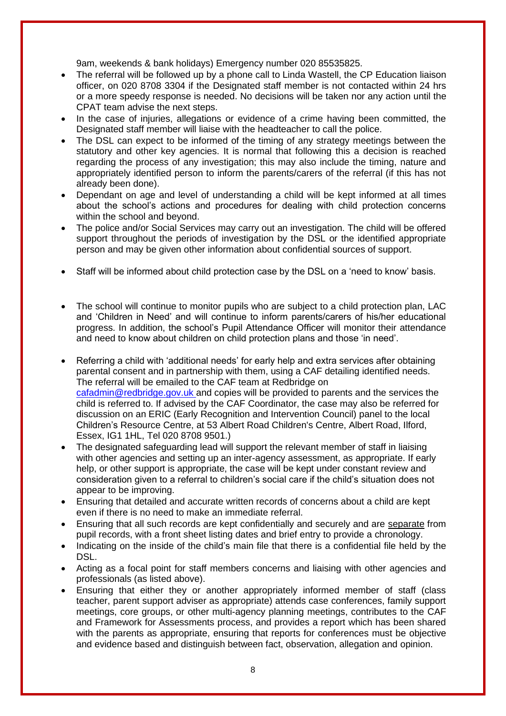9am, weekends & bank holidays) Emergency number 020 85535825.

- The referral will be followed up by a phone call to Linda Wastell, the CP Education liaison officer, on 020 8708 3304 if the Designated staff member is not contacted within 24 hrs or a more speedy response is needed. No decisions will be taken nor any action until the CPAT team advise the next steps.
- In the case of injuries, allegations or evidence of a crime having been committed, the Designated staff member will liaise with the headteacher to call the police.
- The DSL can expect to be informed of the timing of any strategy meetings between the statutory and other key agencies. It is normal that following this a decision is reached regarding the process of any investigation; this may also include the timing, nature and appropriately identified person to inform the parents/carers of the referral (if this has not already been done).
- Dependant on age and level of understanding a child will be kept informed at all times about the school's actions and procedures for dealing with child protection concerns within the school and beyond.
- The police and/or Social Services may carry out an investigation. The child will be offered support throughout the periods of investigation by the DSL or the identified appropriate person and may be given other information about confidential sources of support.
- Staff will be informed about child protection case by the DSL on a 'need to know' basis.
- The school will continue to monitor pupils who are subject to a child protection plan, LAC and 'Children in Need' and will continue to inform parents/carers of his/her educational progress. In addition, the school's Pupil Attendance Officer will monitor their attendance and need to know about children on child protection plans and those 'in need'.
- Referring a child with 'additional needs' for early help and extra services after obtaining parental consent and in partnership with them, using a CAF detailing identified needs. The referral will be emailed to the CAF team at Redbridge on [cafadmin@redbridge.gov.uk](mailto:cafadmin@redbridge.gov.uk) and copies will be provided to parents and the services the child is referred to. If advised by the CAF Coordinator, the case may also be referred for discussion on an ERIC (Early Recognition and Intervention Council) panel to the local Children's Resource Centre, at 53 Albert Road Children's Centre, Albert Road, Ilford, Essex, IG1 1HL, Tel 020 8708 9501.)
- The designated safeguarding lead will support the relevant member of staff in liaising with other agencies and setting up an inter-agency assessment, as appropriate. If early help, or other support is appropriate, the case will be kept under constant review and consideration given to a referral to children's social care if the child's situation does not appear to be improving.
- Ensuring that detailed and accurate written records of concerns about a child are kept even if there is no need to make an immediate referral.
- Ensuring that all such records are kept confidentially and securely and are separate from pupil records, with a front sheet listing dates and brief entry to provide a chronology.
- Indicating on the inside of the child's main file that there is a confidential file held by the DSL.
- Acting as a focal point for staff members concerns and liaising with other agencies and professionals (as listed above).
- Ensuring that either they or another appropriately informed member of staff (class teacher, parent support adviser as appropriate) attends case conferences, family support meetings, core groups, or other multi-agency planning meetings, contributes to the CAF and Framework for Assessments process, and provides a report which has been shared with the parents as appropriate, ensuring that reports for conferences must be objective and evidence based and distinguish between fact, observation, allegation and opinion.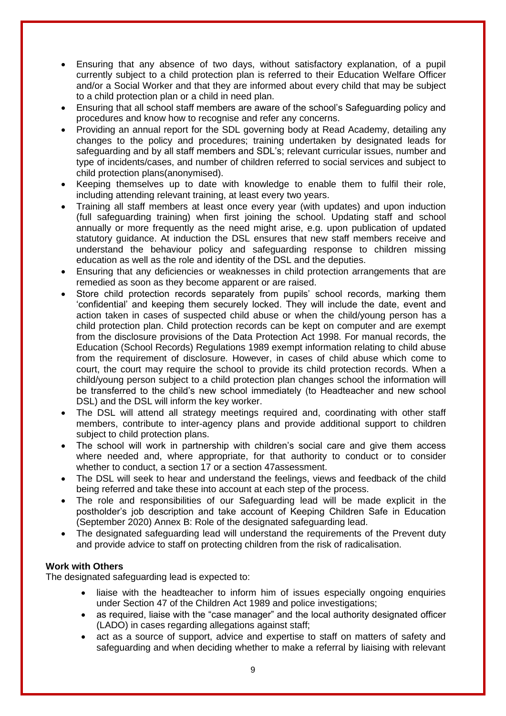- Ensuring that any absence of two days, without satisfactory explanation, of a pupil currently subject to a child protection plan is referred to their Education Welfare Officer and/or a Social Worker and that they are informed about every child that may be subject to a child protection plan or a child in need plan.
- Ensuring that all school staff members are aware of the school's Safeguarding policy and procedures and know how to recognise and refer any concerns.
- Providing an annual report for the SDL governing body at Read Academy, detailing any changes to the policy and procedures; training undertaken by designated leads for safeguarding and by all staff members and SDL's; relevant curricular issues, number and type of incidents/cases, and number of children referred to social services and subject to child protection plans(anonymised).
- Keeping themselves up to date with knowledge to enable them to fulfil their role, including attending relevant training, at least every two years.
- Training all staff members at least once every year (with updates) and upon induction (full safeguarding training) when first joining the school. Updating staff and school annually or more frequently as the need might arise, e.g. upon publication of updated statutory guidance. At induction the DSL ensures that new staff members receive and understand the behaviour policy and safeguarding response to children missing education as well as the role and identity of the DSL and the deputies.
- Ensuring that any deficiencies or weaknesses in child protection arrangements that are remedied as soon as they become apparent or are raised.
- Store child protection records separately from pupils' school records, marking them 'confidential' and keeping them securely locked. They will include the date, event and action taken in cases of suspected child abuse or when the child/young person has a child protection plan. Child protection records can be kept on computer and are exempt from the disclosure provisions of the Data Protection Act 1998. For manual records, the Education (School Records) Regulations 1989 exempt information relating to child abuse from the requirement of disclosure. However, in cases of child abuse which come to court, the court may require the school to provide its child protection records. When a child/young person subject to a child protection plan changes school the information will be transferred to the child's new school immediately (to Headteacher and new school DSL) and the DSL will inform the key worker.
- The DSL will attend all strategy meetings required and, coordinating with other staff members, contribute to inter-agency plans and provide additional support to children subject to child protection plans.
- The school will work in partnership with children's social care and give them access where needed and, where appropriate, for that authority to conduct or to consider whether to conduct, a section 17 or a section 47assessment.
- The DSL will seek to hear and understand the feelings, views and feedback of the child being referred and take these into account at each step of the process.
- The role and responsibilities of our Safeguarding lead will be made explicit in the postholder's job description and take account of Keeping Children Safe in Education (September 2020) Annex B: Role of the designated safeguarding lead.
- The designated safeguarding lead will understand the requirements of the Prevent duty and provide advice to staff on protecting children from the risk of radicalisation.

# **Work with Others**

The designated safeguarding lead is expected to:

- liaise with the headteacher to inform him of issues especially ongoing enquiries under Section 47 of the Children Act 1989 and police investigations;
- as required, liaise with the "case manager" and the local authority designated officer (LADO) in cases regarding allegations against staff;
- act as a source of support, advice and expertise to staff on matters of safety and safeguarding and when deciding whether to make a referral by liaising with relevant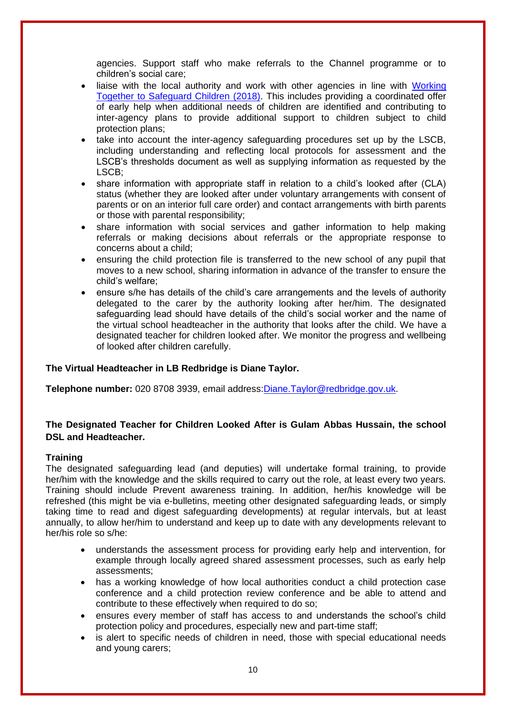agencies. Support staff who make referrals to the Channel programme or to children's social care;

- liaise with the local authority and work with other agencies in line with Working [Together](https://www.gov.uk/government/uploads/system/uploads/attachment_data/file/419595/Working_Together_to_Safeguard_Children.pdf) [to Safeguard Children \(2018\).](https://www.gov.uk/government/uploads/system/uploads/attachment_data/file/419595/Working_Together_to_Safeguard_Children.pdf) This includes providing a coordinated offer of early help when additional needs of children are identified and contributing to inter-agency plans to provide additional support to children subject to child protection plans;
- take into account the inter-agency safeguarding procedures set up by the LSCB, including understanding and reflecting local protocols for assessment and the LSCB's thresholds document as well as supplying information as requested by the LSCB;
- share information with appropriate staff in relation to a child's looked after (CLA) status (whether they are looked after under voluntary arrangements with consent of parents or on an interior full care order) and contact arrangements with birth parents or those with parental responsibility;
- share information with social services and gather information to help making referrals or making decisions about referrals or the appropriate response to concerns about a child;
- ensuring the child protection file is transferred to the new school of any pupil that moves to a new school, sharing information in advance of the transfer to ensure the child's welfare;
- ensure s/he has details of the child's care arrangements and the levels of authority delegated to the carer by the authority looking after her/him. The designated safeguarding lead should have details of the child's social worker and the name of the virtual school headteacher in the authority that looks after the child. We have a designated teacher for children looked after. We monitor the progress and wellbeing of looked after children carefully.

# **The Virtual Headteacher in LB Redbridge is Diane Taylor.**

**Telephone number:** 020 8708 3939, email address[:Diane.Taylor@redbridge.gov.uk.](mailto:Diane.Taylor@redbridge.gov.uk)

# **The Designated Teacher for Children Looked After is Gulam Abbas Hussain, the school DSL and Headteacher.**

#### **Training**

The designated safeguarding lead (and deputies) will undertake formal training, to provide her/him with the knowledge and the skills required to carry out the role, at least every two years. Training should include Prevent awareness training. In addition, her/his knowledge will be refreshed (this might be via e-bulletins, meeting other designated safeguarding leads, or simply taking time to read and digest safeguarding developments) at regular intervals, but at least annually, to allow her/him to understand and keep up to date with any developments relevant to her/his role so s/he:

- understands the assessment process for providing early help and intervention, for example through locally agreed shared assessment processes, such as early help assessments;
- has a working knowledge of how local authorities conduct a child protection case conference and a child protection review conference and be able to attend and contribute to these effectively when required to do so;
- ensures every member of staff has access to and understands the school's child protection policy and procedures, especially new and part-time staff;
- is alert to specific needs of children in need, those with special educational needs and young carers;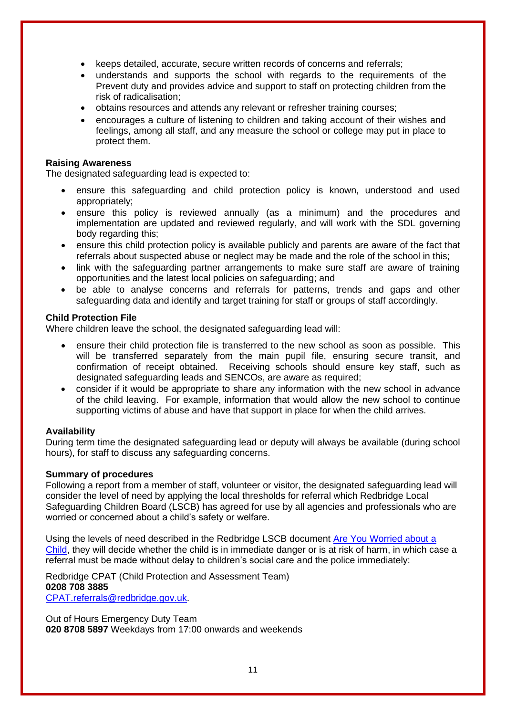- keeps detailed, accurate, secure written records of concerns and referrals;
- understands and supports the school with regards to the requirements of the Prevent duty and provides advice and support to staff on protecting children from the risk of radicalisation;
- obtains resources and attends any relevant or refresher training courses;
- encourages a culture of listening to children and taking account of their wishes and feelings, among all staff, and any measure the school or college may put in place to protect them.

# **Raising Awareness**

The designated safeguarding lead is expected to:

- ensure this safeguarding and child protection policy is known, understood and used appropriately;
- ensure this policy is reviewed annually (as a minimum) and the procedures and implementation are updated and reviewed regularly, and will work with the SDL governing body regarding this;
- ensure this child protection policy is available publicly and parents are aware of the fact that referrals about suspected abuse or neglect may be made and the role of the school in this;
- link with the safeguarding partner arrangements to make sure staff are aware of training opportunities and the latest local policies on safeguarding; and
- be able to analyse concerns and referrals for patterns, trends and gaps and other safeguarding data and identify and target training for staff or groups of staff accordingly.

# **Child Protection File**

Where children leave the school, the designated safeguarding lead will:

- ensure their child protection file is transferred to the new school as soon as possible. This will be transferred separately from the main pupil file, ensuring secure transit, and confirmation of receipt obtained. Receiving schools should ensure key staff, such as designated safeguarding leads and SENCOs, are aware as required;
- consider if it would be appropriate to share any information with the new school in advance of the child leaving. For example, information that would allow the new school to continue supporting victims of abuse and have that support in place for when the child arrives.

# **Availability**

During term time the designated safeguarding lead or deputy will always be available (during school hours), for staff to discuss any safeguarding concerns.

# **Summary of procedures**

Following a report from a member of staff, volunteer or visitor, the designated safeguarding lead will consider the level of need by applying the local thresholds for referral which Redbridge Local Safeguarding Children Board (LSCB) has agreed for use by all agencies and professionals who are worried or concerned about a child's safety or welfare.

Using the levels of need described in the Redbridge LSCB document [Are You Worried about a](http://www.redbridgelscb.org.uk/wp-content/uploads/2015/09/Redbridge-LSCB-Multi-Agency-Thresholds-Document-September-2018-Final.pdf)  [Child,](http://www.redbridgelscb.org.uk/wp-content/uploads/2015/09/Redbridge-LSCB-Multi-Agency-Thresholds-Document-September-2018-Final.pdf) they will decide whether the child is in immediate danger or is at risk of harm, in which case a referral must be made without delay to children's social care and the police immediately:

Redbridge CPAT (Child Protection and Assessment Team) **0208 708 3885**  [CPAT.referrals@redbridge.gov.uk.](mailto:CPAT.referrals@redbridge.gov.uk)

Out of Hours Emergency Duty Team **020 8708 5897** Weekdays from 17:00 onwards and weekends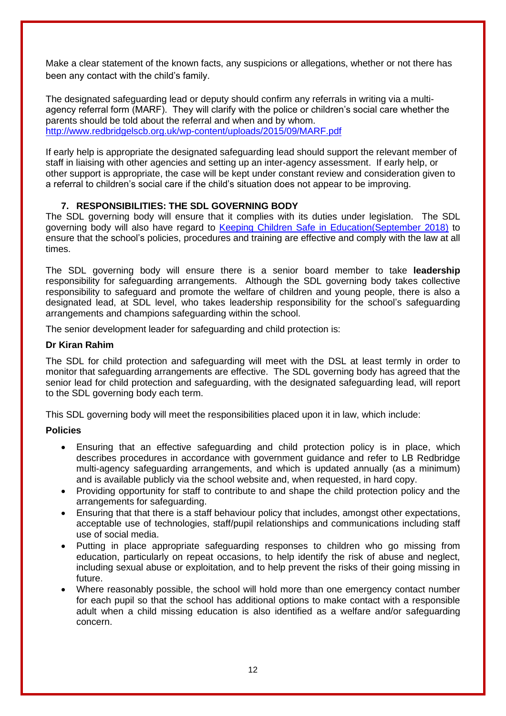Make a clear statement of the known facts, any suspicions or allegations, whether or not there has been any contact with the child's family.

The designated safeguarding lead or deputy should confirm any referrals in writing via a multiagency referral form (MARF). They will clarify with the police or children's social care whether the parents should be told about the referral and when and by whom. <http://www.redbridgelscb.org.uk/wp-content/uploads/2015/09/MARF.pdf>

If early help is appropriate the designated safeguarding lead should support the relevant member of staff in liaising with other agencies and setting up an inter-agency assessment. If early help, or other support is appropriate, the case will be kept under constant review and consideration given to a referral to children's social care if the child's situation does not appear to be improving.

# **7. RESPONSIBILITIES: THE SDL GOVERNING BODY**

The SDL governing body will ensure that it complies with its duties under legislation. The SDL governing body will also have regard to [Keeping Children Safe in Education\(September 2018\)](https://assets.publishing.service.gov.uk/government/uploads/system/uploads/attachment_data/file/741314/Keeping_Children_Safe_in_Education__3_September_2018_14.09.18.pdf) to ensure that the school's policies, procedures and training are effective and comply with the law at all times.

The SDL governing body will ensure there is a senior board member to take **leadership** responsibility for safeguarding arrangements. Although the SDL governing body takes collective responsibility to safeguard and promote the welfare of children and young people, there is also a designated lead, at SDL level, who takes leadership responsibility for the school's safeguarding arrangements and champions safeguarding within the school.

The senior development leader for safeguarding and child protection is:

#### **Dr Kiran Rahim**

The SDL for child protection and safeguarding will meet with the DSL at least termly in order to monitor that safeguarding arrangements are effective. The SDL governing body has agreed that the senior lead for child protection and safeguarding, with the designated safeguarding lead, will report to the SDL governing body each term.

This SDL governing body will meet the responsibilities placed upon it in law, which include:

#### **Policies**

- Ensuring that an effective safeguarding and child protection policy is in place, which describes procedures in accordance with government guidance and refer to LB Redbridge multi-agency safeguarding arrangements, and which is updated annually (as a minimum) and is available publicly via the school website and, when requested, in hard copy.
- Providing opportunity for staff to contribute to and shape the child protection policy and the arrangements for safeguarding.
- Ensuring that that there is a staff behaviour policy that includes, amongst other expectations, acceptable use of technologies, staff/pupil relationships and communications including staff use of social media.
- Putting in place appropriate safeguarding responses to children who go missing from education, particularly on repeat occasions, to help identify the risk of abuse and neglect, including sexual abuse or exploitation, and to help prevent the risks of their going missing in future.
- Where reasonably possible, the school will hold more than one emergency contact number for each pupil so that the school has additional options to make contact with a responsible adult when a child missing education is also identified as a welfare and/or safeguarding concern.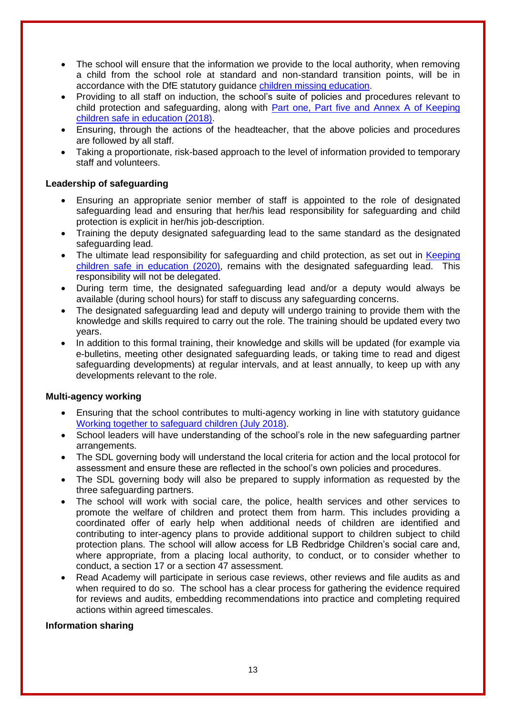- The school will ensure that the information we provide to the local authority, when removing a child from the school role at standard and non-standard transition points, will be in accordance with the DfE statutory guidance [children missing education.](https://assets.publishing.service.gov.uk/government/uploads/system/uploads/attachment_data/file/550416/Children_Missing_Education_-_statutory_guidance.pdf)
- Providing to all staff on induction, the school's suite of policies and procedures relevant to child protection and safeguarding, along with [Part one, Part five and Annex A](https://assets.publishing.service.gov.uk/government/uploads/system/uploads/attachment_data/file/741314/Keeping_Children_Safe_in_Education__3_September_2018_14.09.18.pdf) of Keeping [children safe in education \(2018\).](https://assets.publishing.service.gov.uk/government/uploads/system/uploads/attachment_data/file/741314/Keeping_Children_Safe_in_Education__3_September_2018_14.09.18.pdf)
- Ensuring, through the actions of the headteacher, that the above policies and procedures are followed by all staff.
- Taking a proportionate, risk-based approach to the level of information provided to temporary staff and volunteers.

# **Leadership of safeguarding**

- Ensuring an appropriate senior member of staff is appointed to the role of designated safeguarding lead and ensuring that her/his lead responsibility for safeguarding and child protection is explicit in her/his job-description.
- Training the deputy designated safeguarding lead to the same standard as the designated safeguarding lead.
- The ultimate lead responsibility for safeguarding and child protection, as set out in Keeping [children safe in education \(2020\),](https://assets.publishing.service.gov.uk/government/uploads/system/uploads/attachment_data/file/707761/Keeping_Children_Safe_in_Education_-_September_2018.pdf) remains with the designated safeguarding lead. This responsibility will not be delegated.
- During term time, the designated safeguarding lead and/or a deputy would always be available (during school hours) for staff to discuss any safeguarding concerns.
- The designated safeguarding lead and deputy will undergo training to provide them with the knowledge and skills required to carry out the role. The training should be updated every two years.
- In addition to this formal training, their knowledge and skills will be updated (for example via e-bulletins, meeting other designated safeguarding leads, or taking time to read and digest safeguarding developments) at regular intervals, and at least annually, to keep up with any developments relevant to the role.

# **Multi-agency working**

- Ensuring that the school contributes to multi-agency working in line with statutory guidance [Working together to safeguard children](https://assets.publishing.service.gov.uk/government/uploads/system/uploads/attachment_data/file/729914/Working_Together_to_Safeguard_Children-2018.pdf) (July 2018).
- School leaders will have understanding of the school's role in the new safeguarding partner arrangements.
- The SDL governing body will understand the local criteria for action and the local protocol for assessment and ensure these are reflected in the school's own policies and procedures.
- The SDL governing body will also be prepared to supply information as requested by the three safeguarding partners.
- The school will work with social care, the police, health services and other services to promote the welfare of children and protect them from harm. This includes providing a coordinated offer of early help when additional needs of children are identified and contributing to inter-agency plans to provide additional support to children subject to child protection plans. The school will allow access for LB Redbridge Children's social care and, where appropriate, from a placing local authority, to conduct, or to consider whether to conduct, a section 17 or a section 47 assessment.
- Read Academy will participate in serious case reviews, other reviews and file audits as and when required to do so. The school has a clear process for gathering the evidence required for reviews and audits, embedding recommendations into practice and completing required actions within agreed timescales.

#### **Information sharing**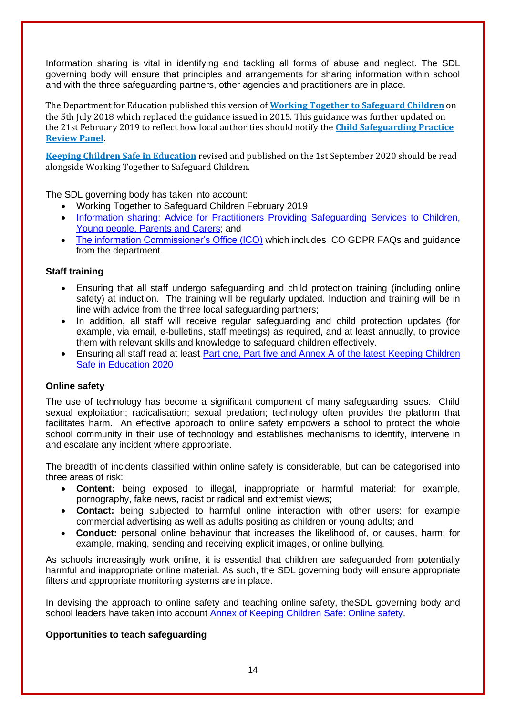Information sharing is vital in identifying and tackling all forms of abuse and neglect. The SDL governing body will ensure that principles and arrangements for sharing information within school and with the three safeguarding partners, other agencies and practitioners are in place.

The Department for Education published this version of **[Working Together to Safeguard Children](https://www.gov.uk/government/publications/working-together-to-safeguard-children--2)** on the 5th July 2018 which replaced the guidance issued in 2015. This guidance was further updated on the 21st February 2019 to reflect how local authorities should notify the **[Child Safeguarding](https://www.gov.uk/guidance/report-a-serious-child-safeguarding-incident) Practice [Review](https://www.gov.uk/guidance/report-a-serious-child-safeguarding-incident) Panel**.

**[Keeping Children Safe in Education](http://www.keepingchildrensafeineducation.co.uk/)** revised and published on the 1st September 2020 should be read alongside Working Together to Safeguard Children.

The SDL governing body has taken into account:

- Working Together to Safeguard Children February 2019
- [Information sharing: Advice for Practitioners Providing Safeguarding Services to Children,](https://assets.publishing.service.gov.uk/government/uploads/system/uploads/attachment_data/file/721581/Information_sharing_advice_practitioners_safeguarding_services.pdf)  [Young people, Parents and Carers;](https://assets.publishing.service.gov.uk/government/uploads/system/uploads/attachment_data/file/721581/Information_sharing_advice_practitioners_safeguarding_services.pdf) and
- [The information Commissioner's Office \(ICO\)](https://ico.org.uk/for-organisations/education/) which includes ICO GDPR FAQs and guidance from the department.

# **Staff training**

- Ensuring that all staff undergo safeguarding and child protection training (including online safety) at induction. The training will be regularly updated. Induction and training will be in line with advice from the three local safeguarding partners;
- In addition, all staff will receive regular safeguarding and child protection updates (for example, via email, e-bulletins, staff meetings) as required, and at least annually, to provide them with relevant skills and knowledge to safeguard children effectively.
- Ensuring all staff read at least [Part one, Part five and Annex A of the latest Keeping Children](https://assets.publishing.service.gov.uk/government/uploads/system/uploads/attachment_data/file/737289/Keeping_Children_Safe_in_Education_Sept_2018.pdf)  [Safe in Education 2](https://assets.publishing.service.gov.uk/government/uploads/system/uploads/attachment_data/file/737289/Keeping_Children_Safe_in_Education_Sept_2018.pdf)020

# **Online safety**

The use of technology has become a significant component of many safeguarding issues. Child sexual exploitation; radicalisation; sexual predation; technology often provides the platform that facilitates harm. An effective approach to online safety empowers a school to protect the whole school community in their use of technology and establishes mechanisms to identify, intervene in and escalate any incident where appropriate.

The breadth of incidents classified within online safety is considerable, but can be categorised into three areas of risk:

- **Content:** being exposed to illegal, inappropriate or harmful material: for example, pornography, fake news, racist or radical and extremist views;
- **Contact:** being subjected to harmful online interaction with other users: for example commercial advertising as well as adults positing as children or young adults; and
- **Conduct:** personal online behaviour that increases the likelihood of, or causes, harm; for example, making, sending and receiving explicit images, or online bullying.

As schools increasingly work online, it is essential that children are safeguarded from potentially harmful and inappropriate online material. As such, the SDL governing body will ensure appropriate filters and appropriate monitoring systems are in place.

In devising the approach to online safety and teaching online safety, theSDL governing body and school leaders have taken into account [Annex of Keeping Children Safe: Online safety.](https://assets.publishing.service.gov.uk/government/uploads/system/uploads/attachment_data/file/737289/Keeping_Children_Safe_in_Education_Sept_2018.pdf)

# **Opportunities to teach safeguarding**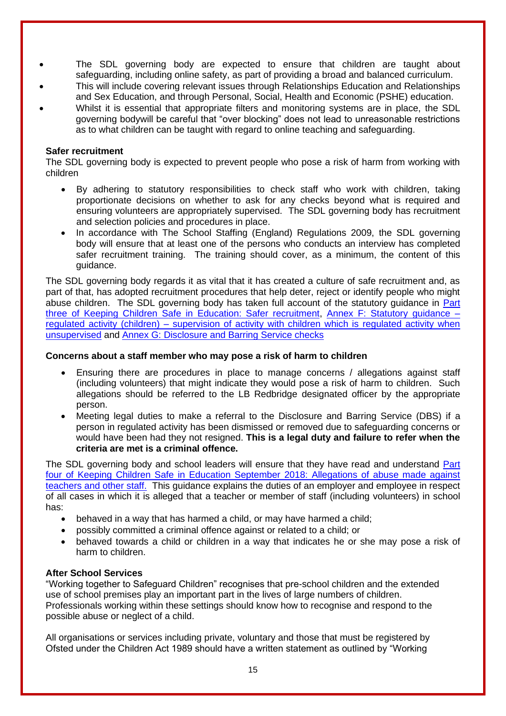- The SDL governing body are expected to ensure that children are taught about safeguarding, including online safety, as part of providing a broad and balanced curriculum.
- This will include covering relevant issues through Relationships Education and Relationships and Sex Education, and through Personal, Social, Health and Economic (PSHE) education.
- Whilst it is essential that appropriate filters and monitoring systems are in place, the SDL governing bodywill be careful that "over blocking" does not lead to unreasonable restrictions as to what children can be taught with regard to online teaching and safeguarding.

#### **Safer recruitment**

The SDL governing body is expected to prevent people who pose a risk of harm from working with children

- By adhering to statutory responsibilities to check staff who work with children, taking proportionate decisions on whether to ask for any checks beyond what is required and ensuring volunteers are appropriately supervised. The SDL governing body has recruitment and selection policies and procedures in place.
- In accordance with The School Staffing (England) Regulations 2009, the SDL governing body will ensure that at least one of the persons who conducts an interview has completed safer recruitment training. The training should cover, as a minimum, the content of this guidance.

The SDL governing body regards it as vital that it has created a culture of safe recruitment and, as part of that, has adopted recruitment procedures that help deter, reject or identify people who might abuse children. The SDL governing body has taken full account of the statutory guidance in [Part](https://assets.publishing.service.gov.uk/government/uploads/system/uploads/attachment_data/file/737289/Keeping_Children_Safe_in_Education_Sept_2018.pdf)  three [of Keeping Children Safe in Education: Safer recruitment, Annex F: Statutory guidance –](https://assets.publishing.service.gov.uk/government/uploads/system/uploads/attachment_data/file/737289/Keeping_Children_Safe_in_Education_Sept_2018.pdf) regulated activity (children) – [supervision of activity with children which is regulated activity when](https://assets.publishing.service.gov.uk/government/uploads/system/uploads/attachment_data/file/737289/Keeping_Children_Safe_in_Education_Sept_2018.pdf)  [unsupervised](https://assets.publishing.service.gov.uk/government/uploads/system/uploads/attachment_data/file/737289/Keeping_Children_Safe_in_Education_Sept_2018.pdf) and [Annex G: Disclosure and Barring Service checks](https://assets.publishing.service.gov.uk/government/uploads/system/uploads/attachment_data/file/737289/Keeping_Children_Safe_in_Education_Sept_2018.pdf)

# **Concerns about a staff member who may pose a risk of harm to children**

- Ensuring there are procedures in place to manage concerns / allegations against staff (including volunteers) that might indicate they would pose a risk of harm to children. Such allegations should be referred to the LB Redbridge designated officer by the appropriate person.
- Meeting legal duties to make a referral to the Disclosure and Barring Service (DBS) if a person in regulated activity has been dismissed or removed due to safeguarding concerns or would have been had they not resigned. **This is a legal duty and failure to refer when the criteria are met is a criminal offence.**

The SDL governing body and school leaders will ensure that they have read and understand Part [four of Keeping Children Safe in Education September 2018: Allegations of abuse made against](https://assets.publishing.service.gov.uk/government/uploads/system/uploads/attachment_data/file/737289/Keeping_Children_Safe_in_Education_Sept_2018.pdf)  [teachers and other staff.](https://assets.publishing.service.gov.uk/government/uploads/system/uploads/attachment_data/file/737289/Keeping_Children_Safe_in_Education_Sept_2018.pdf) This guidance explains the duties of an employer and employee in respect of all cases in which it is alleged that a teacher or member of staff (including volunteers) in school has:

- behaved in a way that has harmed a child, or may have harmed a child;
- possibly committed a criminal offence against or related to a child; or
- behaved towards a child or children in a way that indicates he or she may pose a risk of harm to children.

#### **After School Services**

"Working together to Safeguard Children" recognises that pre-school children and the extended use of school premises play an important part in the lives of large numbers of children. Professionals working within these settings should know how to recognise and respond to the possible abuse or neglect of a child.

All organisations or services including private, voluntary and those that must be registered by Ofsted under the Children Act 1989 should have a written statement as outlined by "Working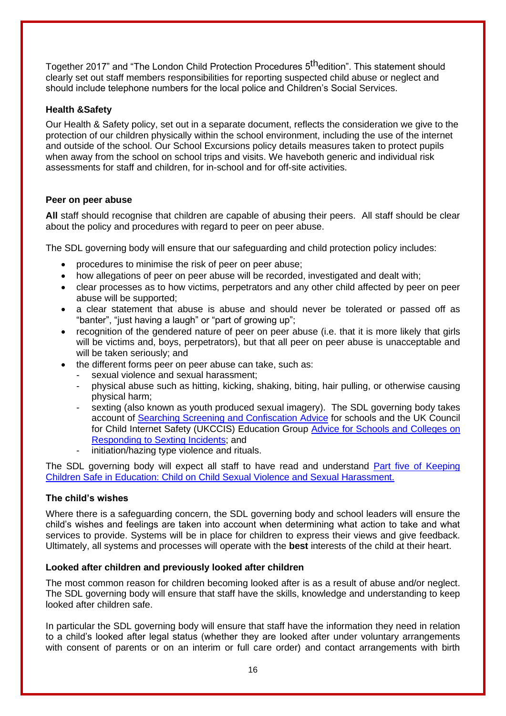Together 2017" and "The London Child Protection Procedures 5<sup>th</sup>edition". This statement should clearly set out staff members responsibilities for reporting suspected child abuse or neglect and should include telephone numbers for the local police and Children's Social Services.

# **Health &Safety**

Our Health & Safety policy, set out in a separate document, reflects the consideration we give to the protection of our children physically within the school environment, including the use of the internet and outside of the school. Our School Excursions policy details measures taken to protect pupils when away from the school on school trips and visits. We haveboth generic and individual risk assessments for staff and children, for in-school and for off-site activities.

# **Peer on peer abuse**

**All** staff should recognise that children are capable of abusing their peers. All staff should be clear about the policy and procedures with regard to peer on peer abuse.

The SDL governing body will ensure that our safeguarding and child protection policy includes:

- procedures to minimise the risk of peer on peer abuse;
- how allegations of peer on peer abuse will be recorded, investigated and dealt with;
- clear processes as to how victims, perpetrators and any other child affected by peer on peer abuse will be supported;
- a clear statement that abuse is abuse and should never be tolerated or passed off as "banter", "just having a laugh" or "part of growing up";
- recognition of the gendered nature of peer on peer abuse (i.e. that it is more likely that girls will be victims and, boys, perpetrators), but that all peer on peer abuse is unacceptable and will be taken seriously; and
- the different forms peer on peer abuse can take, such as:
	- sexual violence and sexual harassment;
	- physical abuse such as hitting, kicking, shaking, biting, hair pulling, or otherwise causing physical harm;
	- sexting (also known as youth produced sexual imagery). The SDL governing body takes account of [Searching Screening and Confiscation Advice](https://www.gov.uk/government/publications/searching-screening-and-confiscation) for schools and the UK Council for Child Internet Safety (UKCCIS) Education Group [Advice for Schools and Colleges on](https://www.gov.uk/government/groups/uk-council-for-child-internet-safety-ukccis)  [Responding to Sexting Incidents;](https://www.gov.uk/government/groups/uk-council-for-child-internet-safety-ukccis) and
	- initiation/hazing type violence and rituals.

The SDL governing body will expect all staff to have read and understand Part five of Keeping [Children Safe in Education: Child on Child Sexual Violence and Sexual Harassment.](https://assets.publishing.service.gov.uk/government/uploads/system/uploads/attachment_data/file/737289/Keeping_Children_Safe_in_Education_Sept_2018.pdf)

# **The child's wishes**

Where there is a safeguarding concern, the SDL governing body and school leaders will ensure the child's wishes and feelings are taken into account when determining what action to take and what services to provide. Systems will be in place for children to express their views and give feedback. Ultimately, all systems and processes will operate with the **best** interests of the child at their heart.

# **Looked after children and previously looked after children**

The most common reason for children becoming looked after is as a result of abuse and/or neglect. The SDL governing body will ensure that staff have the skills, knowledge and understanding to keep looked after children safe.

In particular the SDL governing body will ensure that staff have the information they need in relation to a child's looked after legal status (whether they are looked after under voluntary arrangements with consent of parents or on an interim or full care order) and contact arrangements with birth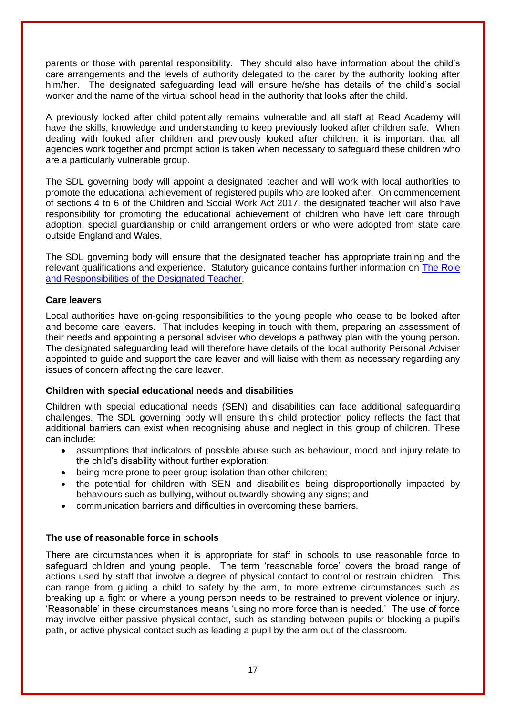parents or those with parental responsibility. They should also have information about the child's care arrangements and the levels of authority delegated to the carer by the authority looking after him/her. The designated safeguarding lead will ensure he/she has details of the child's social worker and the name of the virtual school head in the authority that looks after the child.

A previously looked after child potentially remains vulnerable and all staff at Read Academy will have the skills, knowledge and understanding to keep previously looked after children safe. When dealing with looked after children and previously looked after children, it is important that all agencies work together and prompt action is taken when necessary to safeguard these children who are a particularly vulnerable group.

The SDL governing body will appoint a designated teacher and will work with local authorities to promote the educational achievement of registered pupils who are looked after. On commencement of sections 4 to 6 of the Children and Social Work Act 2017, the designated teacher will also have responsibility for promoting the educational achievement of children who have left care through adoption, special guardianship or child arrangement orders or who were adopted from state care outside England and Wales.

The SDL governing body will ensure that the designated teacher has appropriate training and the relevant qualifications and experience. Statutory guidance contains further information on [The Role](https://assets.publishing.service.gov.uk/government/uploads/system/uploads/attachment_data/file/683561/The_designated_teacher_for_looked-after_and_previously_looked-after_children.pdf)  [and Responsibilities of the Designated Teacher.](https://assets.publishing.service.gov.uk/government/uploads/system/uploads/attachment_data/file/683561/The_designated_teacher_for_looked-after_and_previously_looked-after_children.pdf)

# **Care leavers**

Local authorities have on-going responsibilities to the young people who cease to be looked after and become care leavers. That includes keeping in touch with them, preparing an assessment of their needs and appointing a personal adviser who develops a pathway plan with the young person. The designated safeguarding lead will therefore have details of the local authority Personal Adviser appointed to guide and support the care leaver and will liaise with them as necessary regarding any issues of concern affecting the care leaver.

# **Children with special educational needs and disabilities**

Children with special educational needs (SEN) and disabilities can face additional safeguarding challenges. The SDL governing body will ensure this child protection policy reflects the fact that additional barriers can exist when recognising abuse and neglect in this group of children. These can include:

- assumptions that indicators of possible abuse such as behaviour, mood and injury relate to the child's disability without further exploration;
- being more prone to peer group isolation than other children;
- the potential for children with SEN and disabilities being disproportionally impacted by behaviours such as bullying, without outwardly showing any signs; and
- communication barriers and difficulties in overcoming these barriers.

# **The use of reasonable force in schools**

There are circumstances when it is appropriate for staff in schools to use reasonable force to safeguard children and young people. The term 'reasonable force' covers the broad range of actions used by staff that involve a degree of physical contact to control or restrain children. This can range from guiding a child to safety by the arm, to more extreme circumstances such as breaking up a fight or where a young person needs to be restrained to prevent violence or injury. 'Reasonable' in these circumstances means 'using no more force than is needed.' The use of force may involve either passive physical contact, such as standing between pupils or blocking a pupil's path, or active physical contact such as leading a pupil by the arm out of the classroom.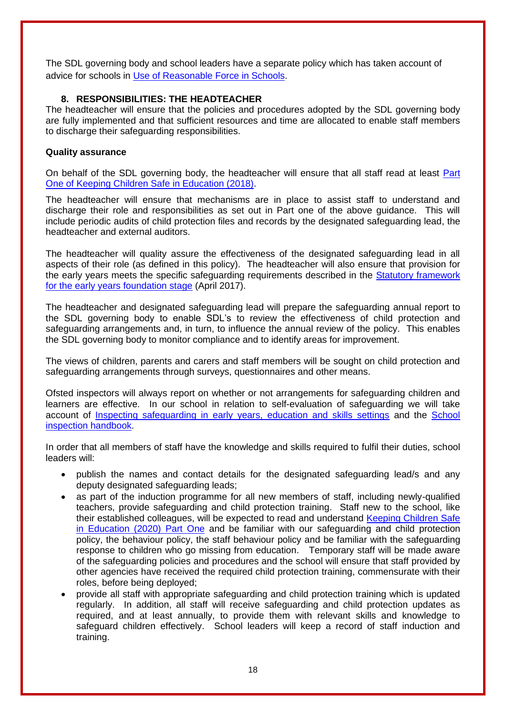The SDL governing body and school leaders have a separate policy which has taken account of advice for schools in [Use of Reasonable Force in Schools.](https://assets.publishing.service.gov.uk/government/uploads/system/uploads/attachment_data/file/444051/Use_of_reasonable_force_advice_Reviewed_July_2015.pdf)

# **8. RESPONSIBILITIES: THE HEADTEACHER**

The headteacher will ensure that the policies and procedures adopted by the SDL governing body are fully implemented and that sufficient resources and time are allocated to enable staff members to discharge their safeguarding responsibilities.

# **Quality assurance**

On behalf of the SDL governing body, the headteacher will ensure that all staff read at least [Part](https://assets.publishing.service.gov.uk/government/uploads/system/uploads/attachment_data/file/741314/Keeping_Children_Safe_in_Education__3_September_2018_14.09.18.pdf)  [One of Keeping Children Safe in Education \(2018\).](https://assets.publishing.service.gov.uk/government/uploads/system/uploads/attachment_data/file/741314/Keeping_Children_Safe_in_Education__3_September_2018_14.09.18.pdf)

The headteacher will ensure that mechanisms are in place to assist staff to understand and discharge their role and responsibilities as set out in Part one of the above guidance. This will include periodic audits of child protection files and records by the designated safeguarding lead, the headteacher and external auditors.

The headteacher will quality assure the effectiveness of the designated safeguarding lead in all aspects of their role (as defined in this policy). The headteacher will also ensure that provision for the early years meets the specific safeguarding requirements described in the **Statutory framework** [for the early years foundation stage](https://assets.publishing.service.gov.uk/government/uploads/system/uploads/attachment_data/file/596629/EYFS_STATUTORY_FRAMEWORK_2017.pdf) (April 2017).

The headteacher and designated safeguarding lead will prepare the safeguarding annual report to the SDL governing body to enable SDL's to review the effectiveness of child protection and safeguarding arrangements and, in turn, to influence the annual review of the policy. This enables the SDL governing body to monitor compliance and to identify areas for improvement.

The views of children, parents and carers and staff members will be sought on child protection and safeguarding arrangements through surveys, questionnaires and other means.

Ofsted inspectors will always report on whether or not arrangements for safeguarding children and learners are effective. In our school in relation to self-evaluation of safeguarding we will take account of [Inspecting safeguarding in early years, education and skills settings](https://www.gov.uk/government/publications/inspecting-safeguarding-in-early-years-education-and-skills-from-september-2015) and the [School](https://assets.publishing.service.gov.uk/government/uploads/system/uploads/attachment_data/file/730127/School_inspection_handbook_section_5_270718.pdf)  [inspection handbook.](https://assets.publishing.service.gov.uk/government/uploads/system/uploads/attachment_data/file/730127/School_inspection_handbook_section_5_270718.pdf)

In order that all members of staff have the knowledge and skills required to fulfil their duties, school leaders will:

- publish the names and contact details for the designated safeguarding lead/s and any deputy designated safeguarding leads;
- as part of the induction programme for all new members of staff, including newly-qualified teachers, provide safeguarding and child protection training. Staff new to the school, like their established colleagues, will be expected to read and understand [Keeping Children Safe](https://assets.publishing.service.gov.uk/government/uploads/system/uploads/attachment_data/file/741314/Keeping_Children_Safe_in_Education__3_September_2018_14.09.18.pdf)  [in Education \(2020\)](https://assets.publishing.service.gov.uk/government/uploads/system/uploads/attachment_data/file/741314/Keeping_Children_Safe_in_Education__3_September_2018_14.09.18.pdf) Part One and be familiar with our safeguarding and child protection policy, the behaviour policy, the staff behaviour policy and be familiar with the safeguarding response to children who go missing from education. Temporary staff will be made aware of the safeguarding policies and procedures and the school will ensure that staff provided by other agencies have received the required child protection training, commensurate with their roles, before being deployed;
- provide all staff with appropriate safeguarding and child protection training which is updated regularly. In addition, all staff will receive safeguarding and child protection updates as required, and at least annually, to provide them with relevant skills and knowledge to safeguard children effectively. School leaders will keep a record of staff induction and training.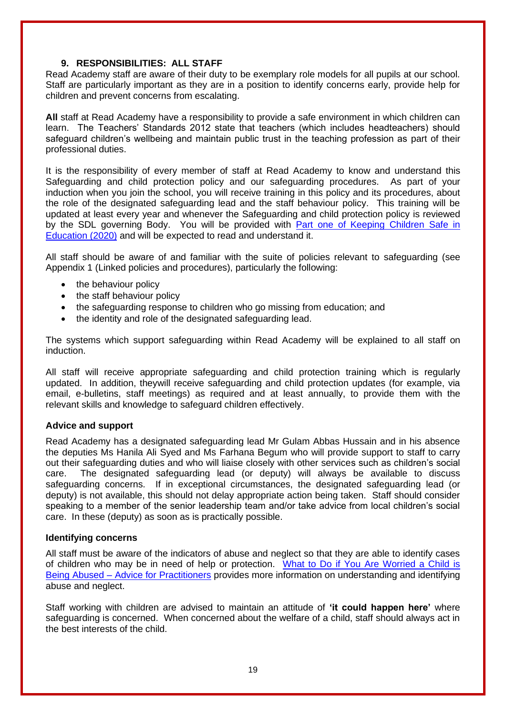# **9. RESPONSIBILITIES: ALL STAFF**

Read Academy staff are aware of their duty to be exemplary role models for all pupils at our school. Staff are particularly important as they are in a position to identify concerns early, provide help for children and prevent concerns from escalating.

**All** staff at Read Academy have a responsibility to provide a safe environment in which children can learn. The Teachers' Standards 2012 state that teachers (which includes headteachers) should safeguard children's wellbeing and maintain public trust in the teaching profession as part of their professional duties.

It is the responsibility of every member of staff at Read Academy to know and understand this Safeguarding and child protection policy and our safeguarding procedures. As part of your induction when you join the school, you will receive training in this policy and its procedures, about the role of the designated safeguarding lead and the staff behaviour policy. This training will be updated at least every year and whenever the Safeguarding and child protection policy is reviewed by the SDL governing Body. You will be provided with **Part one [of Keeping Children Safe](https://assets.publishing.service.gov.uk/government/uploads/system/uploads/attachment_data/file/737289/Keeping_Children_Safe_in_Education_Sept_2018.pdf) in** [Education \(2020\)](https://assets.publishing.service.gov.uk/government/uploads/system/uploads/attachment_data/file/737289/Keeping_Children_Safe_in_Education_Sept_2018.pdf) and will be expected to read and understand it.

All staff should be aware of and familiar with the suite of policies relevant to safeguarding (see Appendix 1 (Linked policies and procedures), particularly the following:

- the behaviour policy
- the staff behaviour policy
- the safeguarding response to children who go missing from education; and
- the identity and role of the designated safeguarding lead.

The systems which support safeguarding within Read Academy will be explained to all staff on induction.

All staff will receive appropriate safeguarding and child protection training which is regularly updated. In addition, theywill receive safeguarding and child protection updates (for example, via email, e-bulletins, staff meetings) as required and at least annually, to provide them with the relevant skills and knowledge to safeguard children effectively.

# **Advice and support**

Read Academy has a designated safeguarding lead Mr Gulam Abbas Hussain and in his absence the deputies Ms Hanila Ali Syed and Ms Farhana Begum who will provide support to staff to carry out their safeguarding duties and who will liaise closely with other services such as children's social care. The designated safeguarding lead (or deputy) will always be available to discuss safeguarding concerns. If in exceptional circumstances, the designated safeguarding lead (or deputy) is not available, this should not delay appropriate action being taken. Staff should consider speaking to a member of the senior leadership team and/or take advice from local children's social care. In these (deputy) as soon as is practically possible.

# **Identifying concerns**

All staff must be aware of the indicators of abuse and neglect so that they are able to identify cases of children who may be in need of help or protection. [What to Do if You Are Worried a Child is](https://assets.publishing.service.gov.uk/government/uploads/system/uploads/attachment_data/file/419604/What_to_do_if_you_re_worried_a_child_is_being_abused.pdf)  Being Abused – [Advice for Practitioners](https://assets.publishing.service.gov.uk/government/uploads/system/uploads/attachment_data/file/419604/What_to_do_if_you_re_worried_a_child_is_being_abused.pdf) provides more information on understanding and identifying abuse and neglect.

Staff working with children are advised to maintain an attitude of **'it could happen here'** where safeguarding is concerned. When concerned about the welfare of a child, staff should always act in the best interests of the child.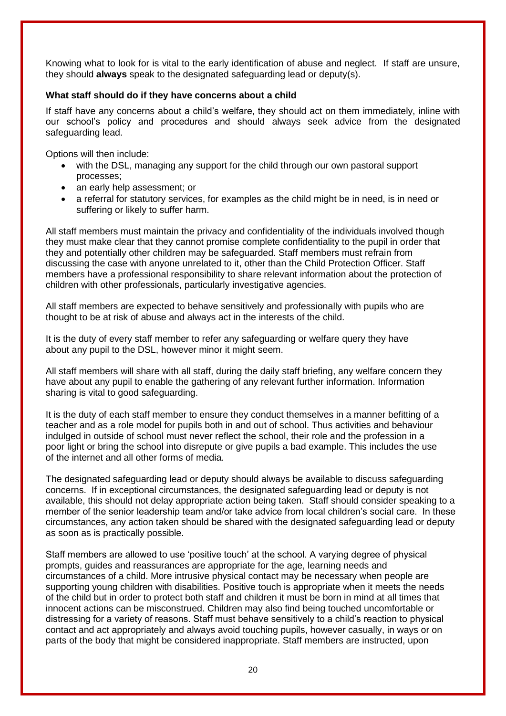Knowing what to look for is vital to the early identification of abuse and neglect. If staff are unsure, they should **always** speak to the designated safeguarding lead or deputy(s).

#### **What staff should do if they have concerns about a child**

If staff have any concerns about a child's welfare, they should act on them immediately, inline with our school's policy and procedures and should always seek advice from the designated safeguarding lead.

Options will then include:

- with the DSL, managing any support for the child through our own pastoral support processes;
- an early help assessment: or
- a referral for statutory services, for examples as the child might be in need, is in need or suffering or likely to suffer harm.

All staff members must maintain the privacy and confidentiality of the individuals involved though they must make clear that they cannot promise complete confidentiality to the pupil in order that they and potentially other children may be safeguarded. Staff members must refrain from discussing the case with anyone unrelated to it, other than the Child Protection Officer. Staff members have a professional responsibility to share relevant information about the protection of children with other professionals, particularly investigative agencies.

All staff members are expected to behave sensitively and professionally with pupils who are thought to be at risk of abuse and always act in the interests of the child.

It is the duty of every staff member to refer any safeguarding or welfare query they have about any pupil to the DSL, however minor it might seem.

All staff members will share with all staff, during the daily staff briefing, any welfare concern they have about any pupil to enable the gathering of any relevant further information. Information sharing is vital to good safeguarding.

It is the duty of each staff member to ensure they conduct themselves in a manner befitting of a teacher and as a role model for pupils both in and out of school. Thus activities and behaviour indulged in outside of school must never reflect the school, their role and the profession in a poor light or bring the school into disrepute or give pupils a bad example. This includes the use of the internet and all other forms of media.

The designated safeguarding lead or deputy should always be available to discuss safeguarding concerns. If in exceptional circumstances, the designated safeguarding lead or deputy is not available, this should not delay appropriate action being taken. Staff should consider speaking to a member of the senior leadership team and/or take advice from local children's social care. In these circumstances, any action taken should be shared with the designated safeguarding lead or deputy as soon as is practically possible.

Staff members are allowed to use 'positive touch' at the school. A varying degree of physical prompts, guides and reassurances are appropriate for the age, learning needs and circumstances of a child. More intrusive physical contact may be necessary when people are supporting young children with disabilities. Positive touch is appropriate when it meets the needs of the child but in order to protect both staff and children it must be born in mind at all times that innocent actions can be misconstrued. Children may also find being touched uncomfortable or distressing for a variety of reasons. Staff must behave sensitively to a child's reaction to physical contact and act appropriately and always avoid touching pupils, however casually, in ways or on parts of the body that might be considered inappropriate. Staff members are instructed, upon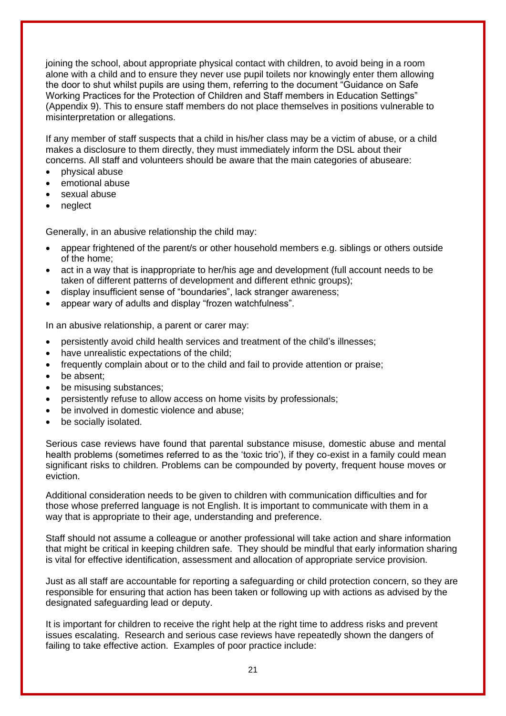joining the school, about appropriate physical contact with children, to avoid being in a room alone with a child and to ensure they never use pupil toilets nor knowingly enter them allowing the door to shut whilst pupils are using them, referring to the document "Guidance on Safe Working Practices for the Protection of Children and Staff members in Education Settings" (Appendix 9). This to ensure staff members do not place themselves in positions vulnerable to misinterpretation or allegations.

If any member of staff suspects that a child in his/her class may be a victim of abuse, or a child makes a disclosure to them directly, they must immediately inform the DSL about their concerns. All staff and volunteers should be aware that the main categories of abuseare:

- physical abuse
- emotional abuse
- sexual abuse
- neglect

Generally, in an abusive relationship the child may:

- appear frightened of the parent/s or other household members e.g. siblings or others outside of the home;
- act in a way that is inappropriate to her/his age and development (full account needs to be taken of different patterns of development and different ethnic groups);
- display insufficient sense of "boundaries", lack stranger awareness;
- appear wary of adults and display "frozen watchfulness".

In an abusive relationship, a parent or carer may:

- persistently avoid child health services and treatment of the child's illnesses;
- have unrealistic expectations of the child;
- frequently complain about or to the child and fail to provide attention or praise;
- be absent;
- be misusing substances;
- persistently refuse to allow access on home visits by professionals;
- be involved in domestic violence and abuse;
- be socially isolated.

Serious case reviews have found that parental substance misuse, domestic abuse and mental health problems (sometimes referred to as the 'toxic trio'), if they co-exist in a family could mean significant risks to children. Problems can be compounded by poverty, frequent house moves or eviction.

Additional consideration needs to be given to children with communication difficulties and for those whose preferred language is not English. It is important to communicate with them in a way that is appropriate to their age, understanding and preference.

Staff should not assume a colleague or another professional will take action and share information that might be critical in keeping children safe. They should be mindful that early information sharing is vital for effective identification, assessment and allocation of appropriate service provision.

Just as all staff are accountable for reporting a safeguarding or child protection concern, so they are responsible for ensuring that action has been taken or following up with actions as advised by the designated safeguarding lead or deputy.

It is important for children to receive the right help at the right time to address risks and prevent issues escalating. Research and serious case reviews have repeatedly shown the dangers of failing to take effective action. Examples of poor practice include: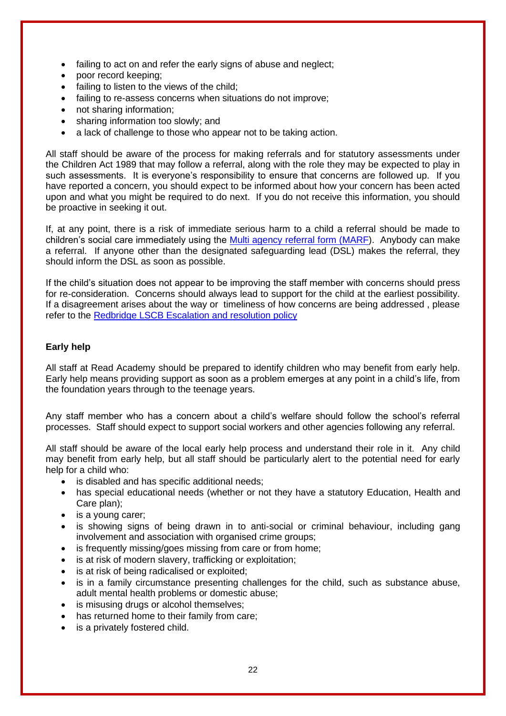- failing to act on and refer the early signs of abuse and neglect;
- poor record keeping;
- failing to listen to the views of the child;
- failing to re-assess concerns when situations do not improve;
- not sharing information;
- sharing information too slowly; and
- a lack of challenge to those who appear not to be taking action.

All staff should be aware of the process for making referrals and for statutory assessments under the Children Act 1989 that may follow a referral, along with the role they may be expected to play in such assessments. It is everyone's responsibility to ensure that concerns are followed up. If you have reported a concern, you should expect to be informed about how your concern has been acted upon and what you might be required to do next. If you do not receive this information, you should be proactive in seeking it out.

If, at any point, there is a risk of immediate serious harm to a child a referral should be made to children's social care immediately using the [Multi agency referral form \(MARF\)](http://www.redbridgelscb.org.uk/wp-content/uploads/2015/09/MARF.pdf). Anybody can make a referral. If anyone other than the designated safeguarding lead (DSL) makes the referral, they should inform the DSL as soon as possible.

If the child's situation does not appear to be improving the staff member with concerns should press for re-consideration. Concerns should always lead to support for the child at the earliest possibility. If a disagreement arises about the way or timeliness of how concerns are being addressed , please refer to the [Redbridge LSCB Escalation and resolution policy](http://www.redbridgelscb.org.uk/wp-content/uploads/2015/09/Redbridge-LSCB-Escalation-and-Resolution-Policy-3rd-Edition-May-2017.pdf)

# **Early help**

All staff at Read Academy should be prepared to identify children who may benefit from early help. Early help means providing support as soon as a problem emerges at any point in a child's life, from the foundation years through to the teenage years.

Any staff member who has a concern about a child's welfare should follow the school's referral processes. Staff should expect to support social workers and other agencies following any referral.

All staff should be aware of the local early help process and understand their role in it. Any child may benefit from early help, but all staff should be particularly alert to the potential need for early help for a child who:

- is disabled and has specific additional needs;
- has special educational needs (whether or not they have a statutory Education, Health and Care plan);
- is a young carer;
- is showing signs of being drawn in to anti-social or criminal behaviour, including gang involvement and association with organised crime groups;
- is frequently missing/goes missing from care or from home;
- is at risk of modern slavery, trafficking or exploitation;
- is at risk of being radicalised or exploited;
- is in a family circumstance presenting challenges for the child, such as substance abuse, adult mental health problems or domestic abuse;
- is misusing drugs or alcohol themselves:
- has returned home to their family from care;
- is a privately fostered child.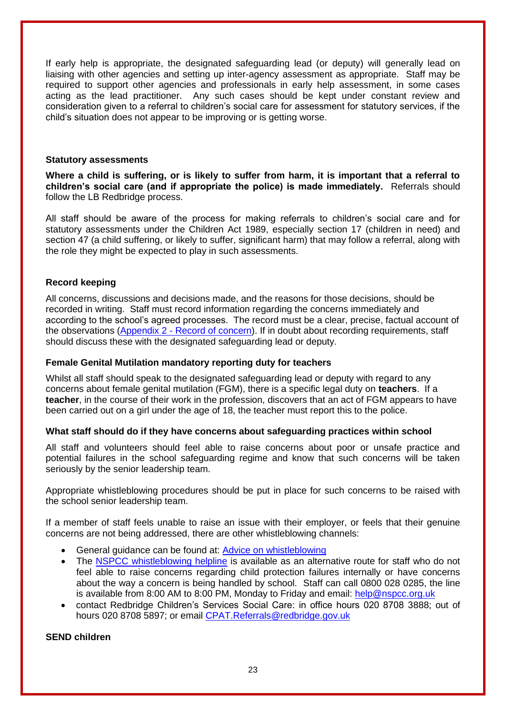If early help is appropriate, the designated safeguarding lead (or deputy) will generally lead on liaising with other agencies and setting up inter-agency assessment as appropriate. Staff may be required to support other agencies and professionals in early help assessment, in some cases acting as the lead practitioner. Any such cases should be kept under constant review and consideration given to a referral to children's social care for assessment for statutory services, if the child's situation does not appear to be improving or is getting worse.

#### **Statutory assessments**

**Where a child is suffering, or is likely to suffer from harm, it is important that a referral to children's social care (and if appropriate the police) is made immediately.** Referrals should follow the LB Redbridge process.

All staff should be aware of the process for making referrals to children's social care and for statutory assessments under the Children Act 1989, especially section 17 (children in need) and section 47 (a child suffering, or likely to suffer, significant harm) that may follow a referral, along with the role they might be expected to play in such assessments.

# **Record keeping**

All concerns, discussions and decisions made, and the reasons for those decisions, should be recorded in writing. Staff must record information regarding the concerns immediately and according to the school's agreed processes. The record must be a clear, precise, factual account of the observations (Appendix 2 - Record of concern). If in doubt about recording requirements, staff should discuss these with the designated safeguarding lead or deputy.

# **Female Genital Mutilation mandatory reporting duty for teachers**

Whilst all staff should speak to the designated safeguarding lead or deputy with regard to any concerns about female genital mutilation (FGM), there is a specific legal duty on **teachers**. If a **teacher**, in the course of their work in the profession, discovers that an act of FGM appears to have been carried out on a girl under the age of 18, the teacher must report this to the police.

# **What staff should do if they have concerns about safeguarding practices within school**

All staff and volunteers should feel able to raise concerns about poor or unsafe practice and potential failures in the school safeguarding regime and know that such concerns will be taken seriously by the senior leadership team.

Appropriate whistleblowing procedures should be put in place for such concerns to be raised with the school senior leadership team.

If a member of staff feels unable to raise an issue with their employer, or feels that their genuine concerns are not being addressed, there are other whistleblowing channels:

- General guidance can be found at: [Advice on whistleblowing](https://www.gov.uk/whistleblowing)
- The **NSPCC** whistleblowing helpline is available as an alternative route for staff who do not feel able to raise concerns regarding child protection failures internally or have concerns about the way a concern is being handled by school. Staff can call 0800 028 0285, the line is available from 8:00 AM to 8:00 PM, Monday to Friday and email: [help@nspcc.org.uk](mailto:help@nspcc.org.uk)
- contact Redbridge Children's Services Social Care: in office hours 020 8708 3888; out of hours 020 8708 5897; or email [CPAT.Referrals@redbridge.gov.uk](mailto:CPAT.Referrals@redbridge.gov.uk)

# **SEND children**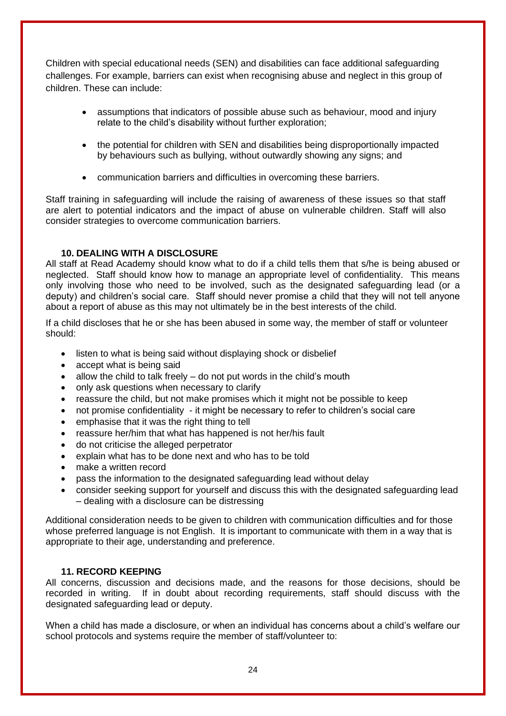Children with special educational needs (SEN) and disabilities can face additional safeguarding challenges. For example, barriers can exist when recognising abuse and neglect in this group of children. These can include:

- assumptions that indicators of possible abuse such as behaviour, mood and injury relate to the child's disability without further exploration;
- the potential for children with SEN and disabilities being disproportionally impacted by behaviours such as bullying, without outwardly showing any signs; and
- communication barriers and difficulties in overcoming these barriers.

Staff training in safeguarding will include the raising of awareness of these issues so that staff are alert to potential indicators and the impact of abuse on vulnerable children. Staff will also consider strategies to overcome communication barriers.

# **10. DEALING WITH A DISCLOSURE**

All staff at Read Academy should know what to do if a child tells them that s/he is being abused or neglected. Staff should know how to manage an appropriate level of confidentiality. This means only involving those who need to be involved, such as the designated safeguarding lead (or a deputy) and children's social care. Staff should never promise a child that they will not tell anyone about a report of abuse as this may not ultimately be in the best interests of the child.

If a child discloses that he or she has been abused in some way, the member of staff or volunteer should:

- listen to what is being said without displaying shock or disbelief
- accept what is being said
- allow the child to talk freely  $-$  do not put words in the child's mouth
- only ask questions when necessary to clarify
- reassure the child, but not make promises which it might not be possible to keep
- not promise confidentiality it might be necessary to refer to children's social care
- emphasise that it was the right thing to tell
- reassure her/him that what has happened is not her/his fault
- do not criticise the alleged perpetrator
- explain what has to be done next and who has to be told
- make a written record
- pass the information to the designated safeguarding lead without delay
- consider seeking support for yourself and discuss this with the designated safeguarding lead – dealing with a disclosure can be distressing

Additional consideration needs to be given to children with communication difficulties and for those whose preferred language is not English. It is important to communicate with them in a way that is appropriate to their age, understanding and preference.

# **11. RECORD KEEPING**

All concerns, discussion and decisions made, and the reasons for those decisions, should be recorded in writing. If in doubt about recording requirements, staff should discuss with the designated safeguarding lead or deputy.

When a child has made a disclosure, or when an individual has concerns about a child's welfare our school protocols and systems require the member of staff/volunteer to: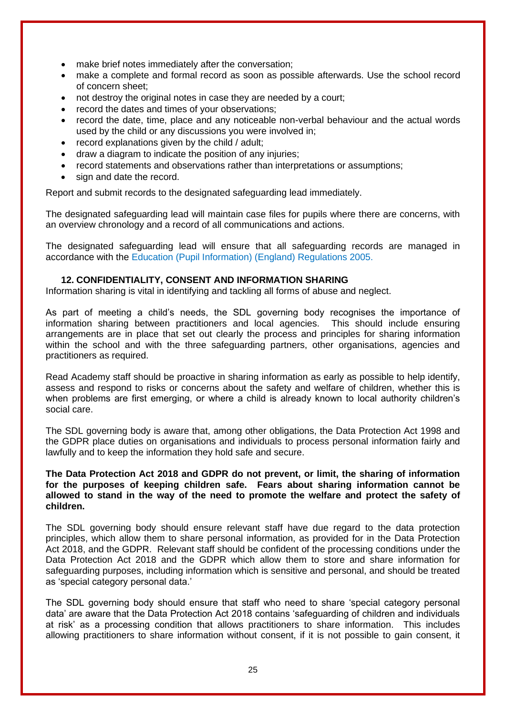- make brief notes immediately after the conversation:
- make a complete and formal record as soon as possible afterwards. Use the school record of concern sheet;
- not destroy the original notes in case they are needed by a court;
- record the dates and times of your observations;
- record the date, time, place and any noticeable non-verbal behaviour and the actual words used by the child or any discussions you were involved in;
- record explanations given by the child / adult;
- draw a diagram to indicate the position of any injuries;
- record statements and observations rather than interpretations or assumptions;
- sign and date the record.

Report and submit records to the designated safeguarding lead immediately.

The designated safeguarding lead will maintain case files for pupils where there are concerns, with an overview chronology and a record of all communications and actions.

The designated safeguarding lead will ensure that all safeguarding records are managed in accordance with the Education (Pupil Information) (England) Regulations 2005.

#### **12. CONFIDENTIALITY, CONSENT AND INFORMATION SHARING**

Information sharing is vital in identifying and tackling all forms of abuse and neglect.

As part of meeting a child's needs, the SDL governing body recognises the importance of information sharing between practitioners and local agencies. This should include ensuring arrangements are in place that set out clearly the process and principles for sharing information within the school and with the three safeguarding partners, other organisations, agencies and practitioners as required.

Read Academy staff should be proactive in sharing information as early as possible to help identify, assess and respond to risks or concerns about the safety and welfare of children, whether this is when problems are first emerging, or where a child is already known to local authority children's social care.

The SDL governing body is aware that, among other obligations, the Data Protection Act 1998 and the GDPR place duties on organisations and individuals to process personal information fairly and lawfully and to keep the information they hold safe and secure.

#### **The Data Protection Act 2018 and GDPR do not prevent, or limit, the sharing of information for the purposes of keeping children safe. Fears about sharing information cannot be allowed to stand in the way of the need to promote the welfare and protect the safety of children.**

The SDL governing body should ensure relevant staff have due regard to the data protection principles, which allow them to share personal information, as provided for in the Data Protection Act 2018, and the GDPR. Relevant staff should be confident of the processing conditions under the Data Protection Act 2018 and the GDPR which allow them to store and share information for safeguarding purposes, including information which is sensitive and personal, and should be treated as 'special category personal data.'

The SDL governing body should ensure that staff who need to share 'special category personal data' are aware that the Data Protection Act 2018 contains 'safeguarding of children and individuals at risk' as a processing condition that allows practitioners to share information. This includes allowing practitioners to share information without consent, if it is not possible to gain consent, it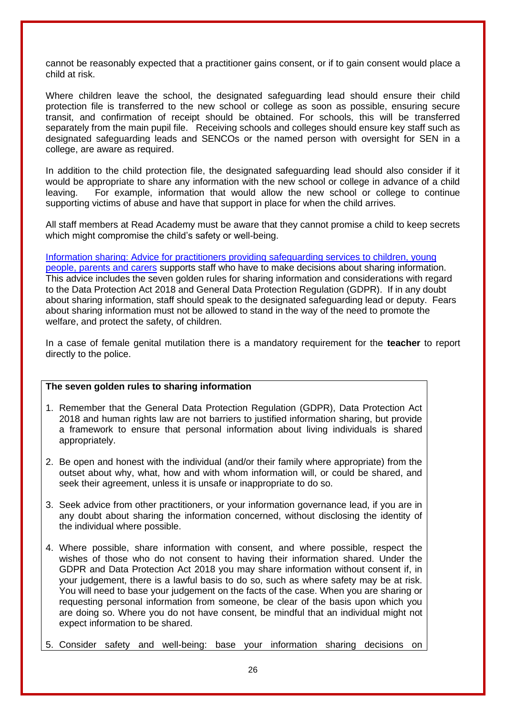cannot be reasonably expected that a practitioner gains consent, or if to gain consent would place a child at risk.

Where children leave the school, the designated safeguarding lead should ensure their child protection file is transferred to the new school or college as soon as possible, ensuring secure transit, and confirmation of receipt should be obtained. For schools, this will be transferred separately from the main pupil file. Receiving schools and colleges should ensure key staff such as designated safeguarding leads and SENCOs or the named person with oversight for SEN in a college, are aware as required.

In addition to the child protection file, the designated safeguarding lead should also consider if it would be appropriate to share any information with the new school or college in advance of a child leaving. For example, information that would allow the new school or college to continue supporting victims of abuse and have that support in place for when the child arrives.

All staff members at Read Academy must be aware that they cannot promise a child to keep secrets which might compromise the child's safety or well-being.

[Information sharing: Advice for practitioners providing safeguarding services to children, young](https://assets.publishing.service.gov.uk/government/uploads/system/uploads/attachment_data/file/721581/Information_sharing_advice_practitioners_safeguarding_services.pdf)  [people, parents and carers](https://assets.publishing.service.gov.uk/government/uploads/system/uploads/attachment_data/file/721581/Information_sharing_advice_practitioners_safeguarding_services.pdf) supports staff who have to make decisions about sharing information. This advice includes the seven golden rules for sharing information and considerations with regard to the Data Protection Act 2018 and General Data Protection Regulation (GDPR). If in any doubt about sharing information, staff should speak to the designated safeguarding lead or deputy. Fears about sharing information must not be allowed to stand in the way of the need to promote the welfare, and protect the safety, of children.

In a case of female genital mutilation there is a mandatory requirement for the **teacher** to report directly to the police.

#### **The seven golden rules to sharing information**

- 1. Remember that the General Data Protection Regulation (GDPR), Data Protection Act 2018 and human rights law are not barriers to justified information sharing, but provide a framework to ensure that personal information about living individuals is shared appropriately.
- 2. Be open and honest with the individual (and/or their family where appropriate) from the outset about why, what, how and with whom information will, or could be shared, and seek their agreement, unless it is unsafe or inappropriate to do so.
- 3. Seek advice from other practitioners, or your information governance lead, if you are in any doubt about sharing the information concerned, without disclosing the identity of the individual where possible.
- 4. Where possible, share information with consent, and where possible, respect the wishes of those who do not consent to having their information shared. Under the GDPR and Data Protection Act 2018 you may share information without consent if, in your judgement, there is a lawful basis to do so, such as where safety may be at risk. You will need to base your judgement on the facts of the case. When you are sharing or requesting personal information from someone, be clear of the basis upon which you are doing so. Where you do not have consent, be mindful that an individual might not expect information to be shared.
- 5. Consider safety and well-being: base your information sharing decisions on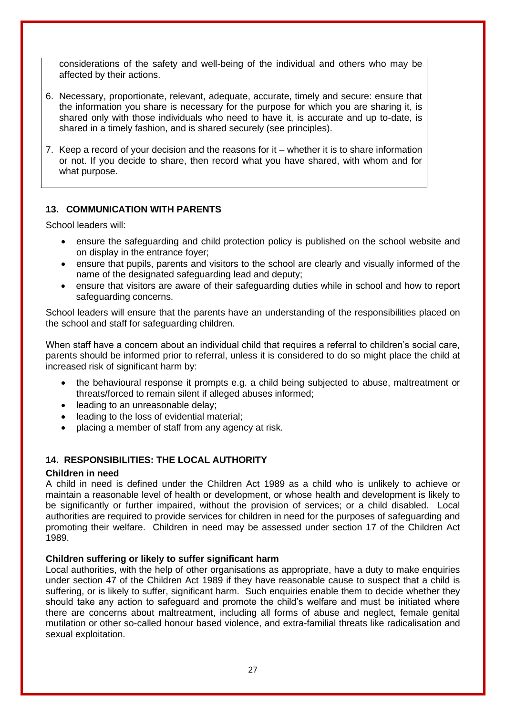considerations of the safety and well-being of the individual and others who may be affected by their actions.

- 6. Necessary, proportionate, relevant, adequate, accurate, timely and secure: ensure that the information you share is necessary for the purpose for which you are sharing it, is shared only with those individuals who need to have it, is accurate and up to-date, is shared in a timely fashion, and is shared securely (see principles).
- 7. Keep a record of your decision and the reasons for it whether it is to share information or not. If you decide to share, then record what you have shared, with whom and for what purpose.

# **13. COMMUNICATION WITH PARENTS**

School leaders will:

- ensure the safeguarding and child protection policy is published on the school website and on display in the entrance foyer;
- ensure that pupils, parents and visitors to the school are clearly and visually informed of the name of the designated safeguarding lead and deputy;
- ensure that visitors are aware of their safeguarding duties while in school and how to report safeguarding concerns.

School leaders will ensure that the parents have an understanding of the responsibilities placed on the school and staff for safeguarding children.

When staff have a concern about an individual child that requires a referral to children's social care, parents should be informed prior to referral, unless it is considered to do so might place the child at increased risk of significant harm by:

- the behavioural response it prompts e.g. a child being subjected to abuse, maltreatment or threats/forced to remain silent if alleged abuses informed;
- leading to an unreasonable delay:
- leading to the loss of evidential material;
- placing a member of staff from any agency at risk.

# **14. RESPONSIBILITIES: THE LOCAL AUTHORITY**

# **Children in need**

A child in need is defined under the Children Act 1989 as a child who is unlikely to achieve or maintain a reasonable level of health or development, or whose health and development is likely to be significantly or further impaired, without the provision of services; or a child disabled. Local authorities are required to provide services for children in need for the purposes of safeguarding and promoting their welfare. Children in need may be assessed under section 17 of the Children Act 1989.

# **Children suffering or likely to suffer significant harm**

Local authorities, with the help of other organisations as appropriate, have a duty to make enquiries under section 47 of the Children Act 1989 if they have reasonable cause to suspect that a child is suffering, or is likely to suffer, significant harm. Such enquiries enable them to decide whether they should take any action to safeguard and promote the child's welfare and must be initiated where there are concerns about maltreatment, including all forms of abuse and neglect, female genital mutilation or other so-called honour based violence, and extra-familial threats like radicalisation and sexual exploitation.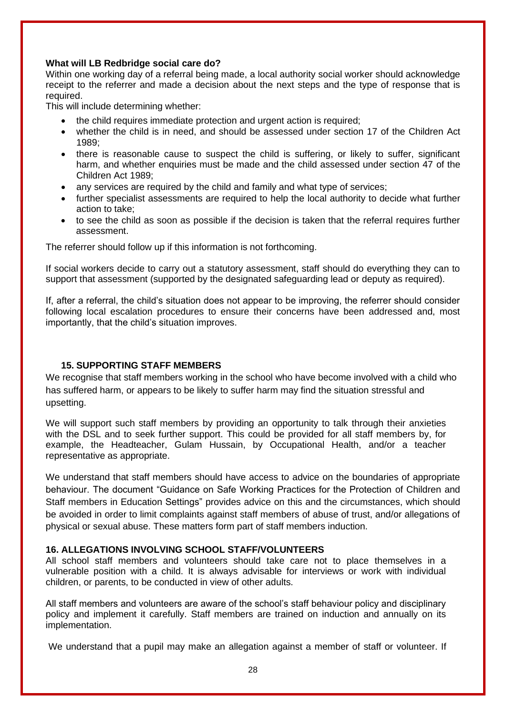#### **What will LB Redbridge social care do?**

Within one working day of a referral being made, a local authority social worker should acknowledge receipt to the referrer and made a decision about the next steps and the type of response that is required.

This will include determining whether:

- the child requires immediate protection and urgent action is required;
- whether the child is in need, and should be assessed under section 17 of the Children Act 1989;
- there is reasonable cause to suspect the child is suffering, or likely to suffer, significant harm, and whether enquiries must be made and the child assessed under section 47 of the Children Act 1989;
- any services are required by the child and family and what type of services;
- further specialist assessments are required to help the local authority to decide what further action to take;
- to see the child as soon as possible if the decision is taken that the referral requires further assessment.

The referrer should follow up if this information is not forthcoming.

If social workers decide to carry out a statutory assessment, staff should do everything they can to support that assessment (supported by the designated safeguarding lead or deputy as required).

If, after a referral, the child's situation does not appear to be improving, the referrer should consider following local escalation procedures to ensure their concerns have been addressed and, most importantly, that the child's situation improves.

# **15. SUPPORTING STAFF MEMBERS**

We recognise that staff members working in the school who have become involved with a child who has suffered harm, or appears to be likely to suffer harm may find the situation stressful and upsetting.

We will support such staff members by providing an opportunity to talk through their anxieties with the DSL and to seek further support. This could be provided for all staff members by, for example, the Headteacher, Gulam Hussain, by Occupational Health, and/or a teacher representative as appropriate.

We understand that staff members should have access to advice on the boundaries of appropriate behaviour. The document "Guidance on Safe Working Practices for the Protection of Children and Staff members in Education Settings" provides advice on this and the circumstances, which should be avoided in order to limit complaints against staff members of abuse of trust, and/or allegations of physical or sexual abuse. These matters form part of staff members induction.

# **16. ALLEGATIONS INVOLVING SCHOOL STAFF/VOLUNTEERS**

All school staff members and volunteers should take care not to place themselves in a vulnerable position with a child. It is always advisable for interviews or work with individual children, or parents, to be conducted in view of other adults.

All staff members and volunteers are aware of the school's staff behaviour policy and disciplinary policy and implement it carefully. Staff members are trained on induction and annually on its implementation.

We understand that a pupil may make an allegation against a member of staff or volunteer. If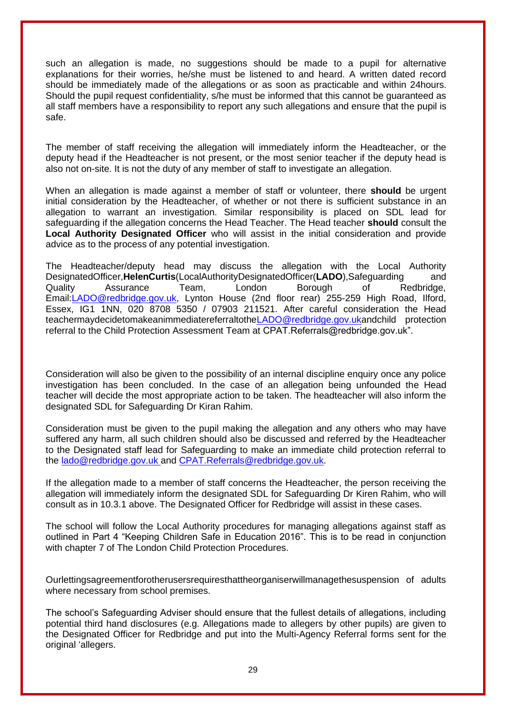such an allegation is made, no suggestions should be made to a pupil for alternative explanations for their worries, he/she must be listened to and heard. A written dated record should be immediately made of the allegations or as soon as practicable and within 24hours. Should the pupil request confidentiality, s/he must be informed that this cannot be guaranteed as all staff members have a responsibility to report any such allegations and ensure that the pupil is safe.

The member of staff receiving the allegation will immediately inform the Headteacher, or the deputy head if the Headteacher is not present, or the most senior teacher if the deputy head is also not on-site. It is not the duty of any member of staff to investigate an allegation.

When an allegation is made against a member of staff or volunteer, there **should** be urgent initial consideration by the Headteacher, of whether or not there is sufficient substance in an allegation to warrant an investigation. Similar responsibility is placed on SDL lead for safeguarding if the allegation concerns the Head Teacher. The Head teacher **should** consult the **Local Authority Designated Officer** who will assist in the initial consideration and provide advice as to the process of any potential investigation.

The Headteacher/deputy head may discuss the allegation with the Local Authority DesignatedOfficer,**HelenCurtis**(LocalAuthorityDesignatedOfficer(**LADO**),Safeguarding and Quality Assurance Team, London Borough of Redbridge, Email[:LADO@redbridge.gov.uk,](mailto:LADO@redbridge.gov.uk) Lynton House (2nd floor rear) 255-259 High Road, Ilford, Essex, IG1 1NN, 020 8708 5350 / 07903 211521. After careful consideration the Head teachermaydecidetomakeanimmediatereferraltoth[eLADO@redbridge.gov.uka](mailto:LADO@redbridge.gov.uk)ndchild protection referral to the Child Protection Assessment Team at [CPAT.Referrals@redbridge.gov.uk".](mailto:CPAT.Referrals@redbridge.gov.uk)

Consideration will also be given to the possibility of an internal discipline enquiry once any police investigation has been concluded. In the case of an allegation being unfounded the Head teacher will decide the most appropriate action to be taken. The headteacher will also inform the designated SDL for Safeguarding Dr Kiran Rahim.

Consideration must be given to the pupil making the allegation and any others who may have suffered any harm, all such children should also be discussed and referred by the Headteacher to the Designated staff lead for Safeguarding to make an immediate child protection referral to the [lado@redbridge.gov.uk](mailto:lado@redbridge.gov.uk) and [CPAT.Referrals@redbridge.gov.uk.](mailto:CPAT.Referrals@redbridge.gov.uk)

If the allegation made to a member of staff concerns the Headteacher, the person receiving the allegation will immediately inform the designated SDL for Safeguarding Dr Kiren Rahim, who will consult as in 10.3.1 above. The Designated Officer for Redbridge will assist in these cases.

The school will follow the Local Authority procedures for managing allegations against staff as outlined in Part 4 "Keeping Children Safe in Education 2016". This is to be read in conjunction with chapter 7 of The London Child Protection Procedures.

Ourlettingsagreementforotherusersrequiresthattheorganiserwillmanagethesuspension of adults where necessary from school premises.

The school's Safeguarding Adviser should ensure that the fullest details of allegations, including potential third hand disclosures (e.g. Allegations made to allegers by other pupils) are given to the Designated Officer for Redbridge and put into the Multi-Agency Referral forms sent for the original 'allegers.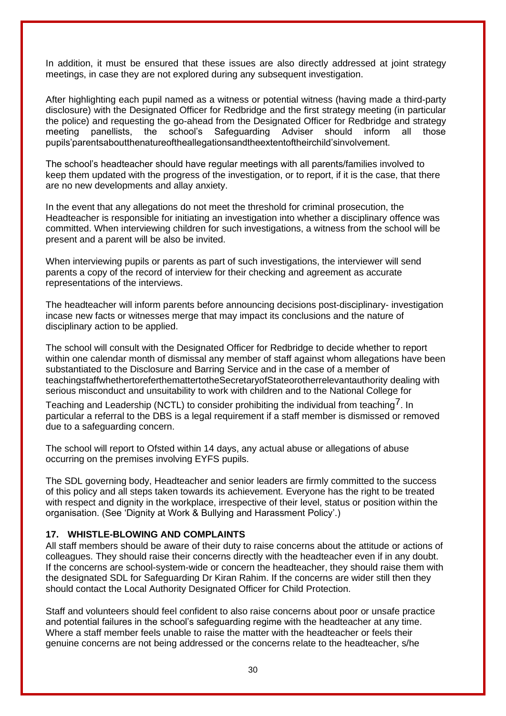In addition, it must be ensured that these issues are also directly addressed at joint strategy meetings, in case they are not explored during any subsequent investigation.

After highlighting each pupil named as a witness or potential witness (having made a third-party disclosure) with the Designated Officer for Redbridge and the first strategy meeting (in particular the police) and requesting the go-ahead from the Designated Officer for Redbridge and strategy meeting panellists, the school's Safeguarding Adviser should inform all those pupils'parentsaboutthenatureoftheallegationsandtheextentoftheirchild'sinvolvement.

The school's headteacher should have regular meetings with all parents/families involved to keep them updated with the progress of the investigation, or to report, if it is the case, that there are no new developments and allay anxiety.

In the event that any allegations do not meet the threshold for criminal prosecution, the Headteacher is responsible for initiating an investigation into whether a disciplinary offence was committed. When interviewing children for such investigations, a witness from the school will be present and a parent will be also be invited.

When interviewing pupils or parents as part of such investigations, the interviewer will send parents a copy of the record of interview for their checking and agreement as accurate representations of the interviews.

The headteacher will inform parents before announcing decisions post-disciplinary- investigation incase new facts or witnesses merge that may impact its conclusions and the nature of disciplinary action to be applied.

The school will consult with the Designated Officer for Redbridge to decide whether to report within one calendar month of dismissal any member of staff against whom allegations have been substantiated to the Disclosure and Barring Service and in the case of a member of teachingstaffwhethertoreferthemattertotheSecretaryofStateorotherrelevantauthority dealing with serious misconduct and unsuitability to work with children and to the National College for

Teaching and Leadership (NCTL) to consider prohibiting the individual from teaching  $7$ . In particular a referral to the DBS is a legal requirement if a staff member is dismissed or removed due to a safeguarding concern.

The school will report to Ofsted within 14 days, any actual abuse or allegations of abuse occurring on the premises involving EYFS pupils.

The SDL governing body, Headteacher and senior leaders are firmly committed to the success of this policy and all steps taken towards its achievement. Everyone has the right to be treated with respect and dignity in the workplace, irrespective of their level, status or position within the organisation. (See 'Dignity at Work & Bullying and Harassment Policy'.)

#### **17.WWHISTLE-BLOWING AND COMPLAINTS**

All staff members should be aware of their duty to raise concerns about the attitude or actions of colleagues. They should raise their concerns directly with the headteacher even if in any doubt. If the concerns are school-system-wide or concern the headteacher, they should raise them with the designated SDL for Safeguarding Dr Kiran Rahim. If the concerns are wider still then they should contact the Local Authority Designated Officer for Child Protection.

Staff and volunteers should feel confident to also raise concerns about poor or unsafe practice and potential failures in the school's safeguarding regime with the headteacher at any time. Where a staff member feels unable to raise the matter with the headteacher or feels their genuine concerns are not being addressed or the concerns relate to the headteacher, s/he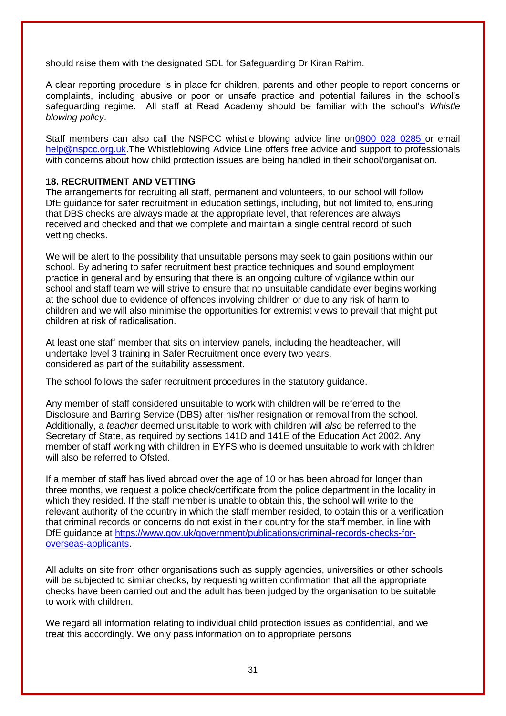should raise them with the designated SDL for Safeguarding Dr Kiran Rahim.

A clear reporting procedure is in place for children, parents and other people to report concerns or complaints, including abusive or poor or unsafe practice and potential failures in the school's safeguarding regime. All staff at Read Academy should be familiar with the school's *Whistle blowing policy*.

Staff members can also call the NSPCC whistle blowing advice line on0800 028 0285 or email [help@nspcc.org.uk.](mailto:help@nspcc.org.uk)The Whistleblowing Advice Line offers free advice and support to professionals with concerns about how child protection issues are being handled in their school/organisation.

# **18. RECRUITMENT AND VETTING**

The arrangements for recruiting all staff, permanent and volunteers, to our school will follow DfE guidance for safer recruitment in education settings, including, but not limited to, ensuring that DBS checks are always made at the appropriate level, that references are always received and checked and that we complete and maintain a single central record of such vetting checks.

We will be alert to the possibility that unsuitable persons may seek to gain positions within our school. By adhering to safer recruitment best practice techniques and sound employment practice in general and by ensuring that there is an ongoing culture of vigilance within our school and staff team we will strive to ensure that no unsuitable candidate ever begins working at the school due to evidence of offences involving children or due to any risk of harm to children and we will also minimise the opportunities for extremist views to prevail that might put children at risk of radicalisation.

At least one staff member that sits on interview panels, including the headteacher, will undertake level 3 training in Safer Recruitment once every two years. considered as part of the suitability assessment.

The school follows the safer recruitment procedures in the statutory guidance.

Any member of staff considered unsuitable to work with children will be referred to the Disclosure and Barring Service (DBS) after his/her resignation or removal from the school. Additionally, a *teacher* deemed unsuitable to work with children will *also* be referred to the Secretary of State, as required by sections 141D and 141E of the Education Act 2002. Any member of staff working with children in EYFS who is deemed unsuitable to work with children will also be referred to Ofsted.

If a member of staff has lived abroad over the age of 10 or has been abroad for longer than three months, we request a police check/certificate from the police department in the locality in which they resided. If the staff member is unable to obtain this, the school will write to the relevant authority of the country in which the staff member resided, to obtain this or a verification that criminal records or concerns do not exist in their country for the staff member, in line with DfE guidance at [https://www.gov.uk/government/publications/criminal-records-checks-for](https://www.gov.uk/government/publications/criminal-records-checks-for-)[overseas-applicants.](https://www.gov.uk/government/publications/criminal-records-checks-for-overseas-applicants)

All adults on site from other organisations such as supply agencies, universities or other schools will be subjected to similar checks, by requesting written confirmation that all the appropriate checks have been carried out and the adult has been judged by the organisation to be suitable to work with children.

We regard all information relating to individual child protection issues as confidential, and we treat this accordingly. We only pass information on to appropriate persons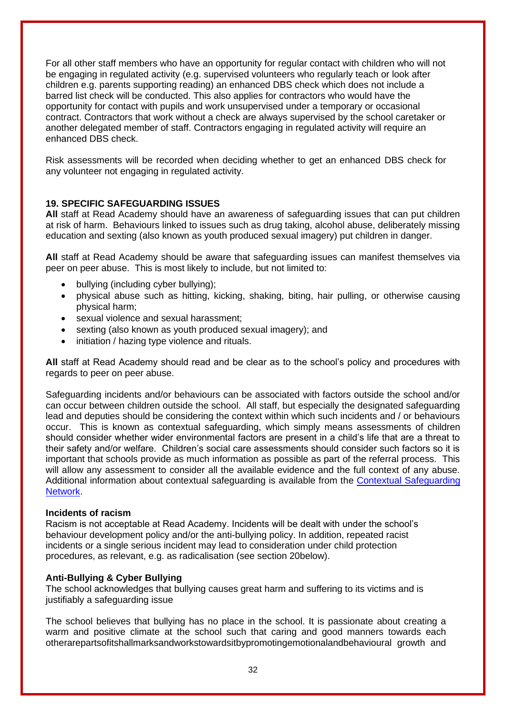For all other staff members who have an opportunity for regular contact with children who will not be engaging in regulated activity (e.g. supervised volunteers who regularly teach or look after children e.g. parents supporting reading) an enhanced DBS check which does not include a barred list check will be conducted. This also applies for contractors who would have the opportunity for contact with pupils and work unsupervised under a temporary or occasional contract. Contractors that work without a check are always supervised by the school caretaker or another delegated member of staff. Contractors engaging in regulated activity will require an enhanced DBS check.

Risk assessments will be recorded when deciding whether to get an enhanced DBS check for any volunteer not engaging in regulated activity.

# **19. SPECIFIC SAFEGUARDING ISSUES**

**All** staff at Read Academy should have an awareness of safeguarding issues that can put children at risk of harm. Behaviours linked to issues such as drug taking, alcohol abuse, deliberately missing education and sexting (also known as youth produced sexual imagery) put children in danger.

**All** staff at Read Academy should be aware that safeguarding issues can manifest themselves via peer on peer abuse. This is most likely to include, but not limited to:

- bullying (including cyber bullying);
- physical abuse such as hitting, kicking, shaking, biting, hair pulling, or otherwise causing physical harm;
- sexual violence and sexual harassment;
- sexting (also known as youth produced sexual imagery); and
- initiation / hazing type violence and rituals.

**All** staff at Read Academy should read and be clear as to the school's policy and procedures with regards to peer on peer abuse.

Safeguarding incidents and/or behaviours can be associated with factors outside the school and/or can occur between children outside the school. All staff, but especially the designated safeguarding lead and deputies should be considering the context within which such incidents and / or behaviours occur. This is known as contextual safeguarding, which simply means assessments of children should consider whether wider environmental factors are present in a child's life that are a threat to their safety and/or welfare. Children's social care assessments should consider such factors so it is important that schools provide as much information as possible as part of the referral process. This will allow any assessment to consider all the available evidence and the full context of any abuse. Additional information about contextual safeguarding is available from the [Contextual Safeguarding](https://contextualsafeguarding.org.uk/about/what-is-contextual-safeguarding)  [Network.](https://contextualsafeguarding.org.uk/about/what-is-contextual-safeguarding)

#### **Incidents of racism**

Racism is not acceptable at Read Academy. Incidents will be dealt with under the school's behaviour development policy and/or the anti-bullying policy. In addition, repeated racist incidents or a single serious incident may lead to consideration under child protection procedures, as relevant, e.g. as radicalisation (see section 20below).

# **Anti-Bullying & Cyber Bullying**

The school acknowledges that bullying causes great harm and suffering to its victims and is justifiably a safeguarding issue

The school believes that bullying has no place in the school. It is passionate about creating a warm and positive climate at the school such that caring and good manners towards each otherarepartsofitshallmarksandworkstowardsitbypromotingemotionalandbehavioural growth and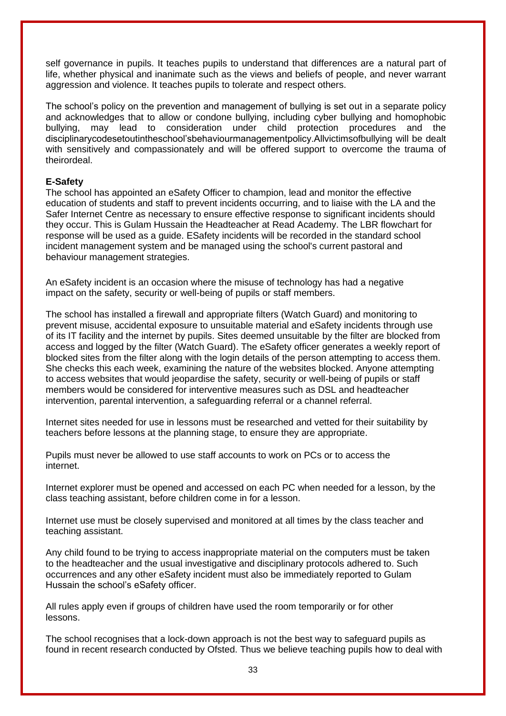self governance in pupils. It teaches pupils to understand that differences are a natural part of life, whether physical and inanimate such as the views and beliefs of people, and never warrant aggression and violence. It teaches pupils to tolerate and respect others.

The school's policy on the prevention and management of bullying is set out in a separate policy and acknowledges that to allow or condone bullying, including cyber bullying and homophobic bullying, may lead to consideration under child protection procedures and the disciplinarycodesetoutintheschool'sbehaviourmanagementpolicy.Allvictimsofbullying will be dealt with sensitively and compassionately and will be offered support to overcome the trauma of theirordeal.

# **E-Safety**

The school has appointed an eSafety Officer to champion, lead and monitor the effective education of students and staff to prevent incidents occurring, and to liaise with the LA and the Safer Internet Centre as necessary to ensure effective response to significant incidents should they occur. This is Gulam Hussain the Headteacher at Read Academy. The LBR flowchart for response will be used as a guide. ESafety incidents will be recorded in the standard school incident management system and be managed using the school's current pastoral and behaviour management strategies.

An eSafety incident is an occasion where the misuse of technology has had a negative impact on the safety, security or well-being of pupils or staff members.

The school has installed a firewall and appropriate filters (Watch Guard) and monitoring to prevent misuse, accidental exposure to unsuitable material and eSafety incidents through use of its IT facility and the internet by pupils. Sites deemed unsuitable by the filter are blocked from access and logged by the filter (Watch Guard). The eSafety officer generates a weekly report of blocked sites from the filter along with the login details of the person attempting to access them. She checks this each week, examining the nature of the websites blocked. Anyone attempting to access websites that would jeopardise the safety, security or well-being of pupils or staff members would be considered for interventive measures such as DSL and headteacher intervention, parental intervention, a safeguarding referral or a channel referral.

Internet sites needed for use in lessons must be researched and vetted for their suitability by teachers before lessons at the planning stage, to ensure they are appropriate.

Pupils must never be allowed to use staff accounts to work on PCs or to access the internet.

Internet explorer must be opened and accessed on each PC when needed for a lesson, by the class teaching assistant, before children come in for a lesson.

Internet use must be closely supervised and monitored at all times by the class teacher and teaching assistant.

Any child found to be trying to access inappropriate material on the computers must be taken to the headteacher and the usual investigative and disciplinary protocols adhered to. Such occurrences and any other eSafety incident must also be immediately reported to Gulam Hussain the school's eSafety officer.

All rules apply even if groups of children have used the room temporarily or for other lessons.

The school recognises that a lock-down approach is not the best way to safeguard pupils as found in recent research conducted by Ofsted. Thus we believe teaching pupils how to deal with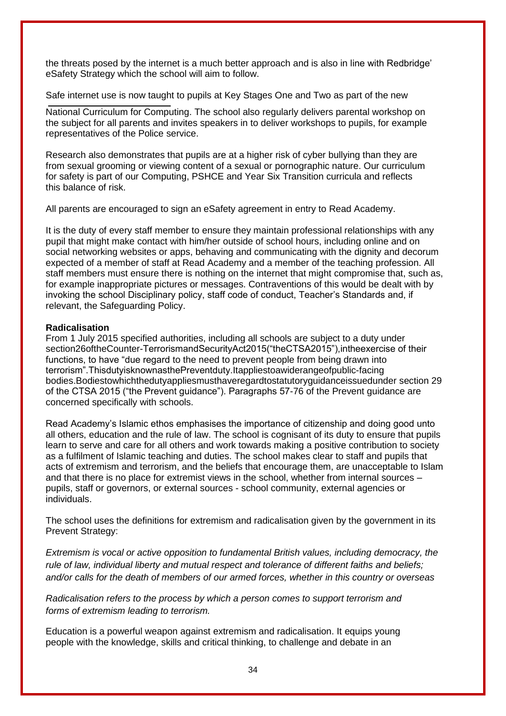the threats posed by the internet is a much better approach and is also in line with Redbridge' eSafety Strategy which the school will aim to follow.

Safe internet use is now taught to pupils at Key Stages One and Two as part of the new

National Curriculum for Computing. The school also regularly delivers parental workshop on the subject for all parents and invites speakers in to deliver workshops to pupils, for example representatives of the Police service.

Research also demonstrates that pupils are at a higher risk of cyber bullying than they are from sexual grooming or viewing content of a sexual or pornographic nature. Our curriculum for safety is part of our Computing, PSHCE and Year Six Transition curricula and reflects this balance of risk.

All parents are encouraged to sign an eSafety agreement in entry to Read Academy.

It is the duty of every staff member to ensure they maintain professional relationships with any pupil that might make contact with him/her outside of school hours, including online and on social networking websites or apps, behaving and communicating with the dignity and decorum expected of a member of staff at Read Academy and a member of the teaching profession. All staff members must ensure there is nothing on the internet that might compromise that, such as, for example inappropriate pictures or messages. Contraventions of this would be dealt with by invoking the school Disciplinary policy, staff code of conduct, Teacher's Standards and, if relevant, the Safeguarding Policy.

#### **Radicalisation**

From 1 July 2015 specified authorities, including all schools are subject to a duty under section26oftheCounter-TerrorismandSecurityAct2015("theCTSA2015"),intheexercise of their functions, to have "due regard to the need to prevent people from being drawn into terrorism".ThisdutyisknownasthePreventduty.Itappliestoawiderangeofpublic-facing bodies.Bodiestowhichthedutyappliesmusthaveregardtostatutoryguidanceissuedunder section 29 of the CTSA 2015 ("the Prevent guidance"). Paragraphs 57-76 of the Prevent guidance are concerned specifically with schools.

Read Academy's Islamic ethos emphasises the importance of citizenship and doing good unto all others, education and the rule of law. The school is cognisant of its duty to ensure that pupils learn to serve and care for all others and work towards making a positive contribution to society as a fulfilment of Islamic teaching and duties. The school makes clear to staff and pupils that acts of extremism and terrorism, and the beliefs that encourage them, are unacceptable to Islam and that there is no place for extremist views in the school, whether from internal sources – pupils, staff or governors, or external sources - school community, external agencies or individuals.

The school uses the definitions for extremism and radicalisation given by the government in its Prevent Strategy:

*Extremism is vocal or active opposition to fundamental British values, including democracy, the rule of law, individual liberty and mutual respect and tolerance of different faiths and beliefs; and/or calls for the death of members of our armed forces, whether in this country or overseas*

*Radicalisation refers to the process by which a person comes to support terrorism and forms of extremism leading to terrorism.*

Education is a powerful weapon against extremism and radicalisation. It equips young people with the knowledge, skills and critical thinking, to challenge and debate in an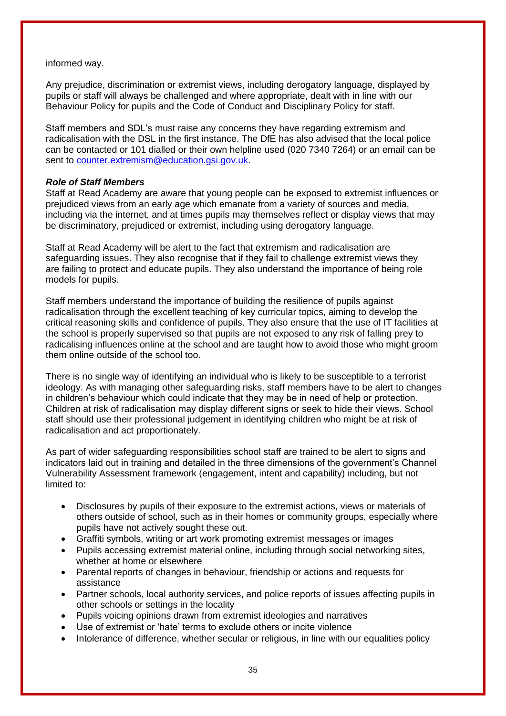#### informed way.

Any prejudice, discrimination or extremist views, including derogatory language, displayed by pupils or staff will always be challenged and where appropriate, dealt with in line with our Behaviour Policy for pupils and the Code of Conduct and Disciplinary Policy for staff.

Staff members and SDL's must raise any concerns they have regarding extremism and radicalisation with the DSL in the first instance. The DfE has also advised that the local police can be contacted or 101 dialled or their own helpline used (020 7340 7264) or an email can be sent to [counter.extremism@education.gsi.gov.uk.](mailto:counter.extremism@education.gsi.gov.uk)

# *Role of Staff Members*

Staff at Read Academy are aware that young people can be exposed to extremist influences or prejudiced views from an early age which emanate from a variety of sources and media, including via the internet, and at times pupils may themselves reflect or display views that may be discriminatory, prejudiced or extremist, including using derogatory language.

Staff at Read Academy will be alert to the fact that extremism and radicalisation are safeguarding issues. They also recognise that if they fail to challenge extremist views they are failing to protect and educate pupils. They also understand the importance of being role models for pupils.

Staff members understand the importance of building the resilience of pupils against radicalisation through the excellent teaching of key curricular topics, aiming to develop the critical reasoning skills and confidence of pupils. They also ensure that the use of IT facilities at the school is properly supervised so that pupils are not exposed to any risk of falling prey to radicalising influences online at the school and are taught how to avoid those who might groom them online outside of the school too.

There is no single way of identifying an individual who is likely to be susceptible to a terrorist ideology. As with managing other safeguarding risks, staff members have to be alert to changes in children's behaviour which could indicate that they may be in need of help or protection. Children at risk of radicalisation may display different signs or seek to hide their views. School staff should use their professional judgement in identifying children who might be at risk of radicalisation and act proportionately.

As part of wider safeguarding responsibilities school staff are trained to be alert to signs and indicators laid out in training and detailed in the three dimensions of the government's Channel Vulnerability Assessment framework (engagement, intent and capability) including, but not limited to:

- Disclosures by pupils of their exposure to the extremist actions, views or materials of others outside of school, such as in their homes or community groups, especially where pupils have not actively sought these out.
- Graffiti symbols, writing or art work promoting extremist messages or images
- Pupils accessing extremist material online, including through social networking sites, whether at home or elsewhere
- Parental reports of changes in behaviour, friendship or actions and requests for assistance
- Partner schools, local authority services, and police reports of issues affecting pupils in other schools or settings in the locality
- Pupils voicing opinions drawn from extremist ideologies and narratives
- Use of extremist or 'hate' terms to exclude others or incite violence
- Intolerance of difference, whether secular or religious, in line with our equalities policy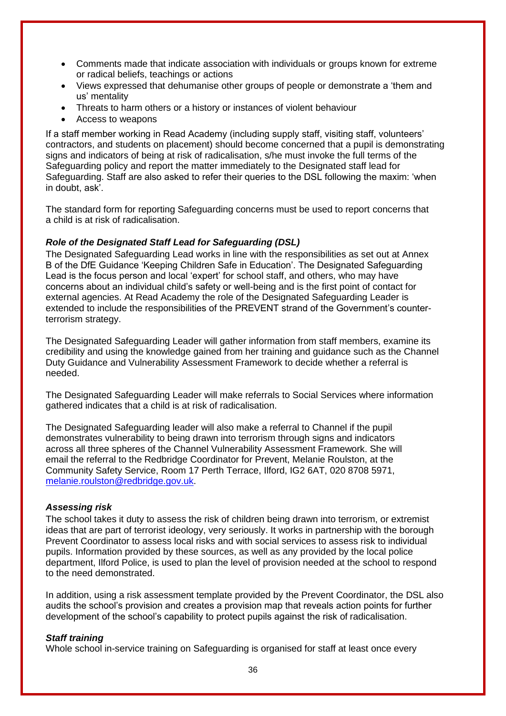- Comments made that indicate association with individuals or groups known for extreme or radical beliefs, teachings or actions
- Views expressed that dehumanise other groups of people or demonstrate a 'them and us' mentality
- Threats to harm others or a history or instances of violent behaviour
- Access to weapons

If a staff member working in Read Academy (including supply staff, visiting staff, volunteers' contractors, and students on placement) should become concerned that a pupil is demonstrating signs and indicators of being at risk of radicalisation, s/he must invoke the full terms of the Safeguarding policy and report the matter immediately to the Designated staff lead for Safeguarding. Staff are also asked to refer their queries to the DSL following the maxim: 'when in doubt, ask'.

The standard form for reporting Safeguarding concerns must be used to report concerns that a child is at risk of radicalisation.

# *Role of the Designated Staff Lead for Safeguarding (DSL)*

The Designated Safeguarding Lead works in line with the responsibilities as set out at Annex B of the DfE Guidance 'Keeping Children Safe in Education'. The Designated Safeguarding Lead is the focus person and local 'expert' for school staff, and others, who may have concerns about an individual child's safety or well-being and is the first point of contact for external agencies. At Read Academy the role of the Designated Safeguarding Leader is extended to include the responsibilities of the PREVENT strand of the Government's counterterrorism strategy.

The Designated Safeguarding Leader will gather information from staff members, examine its credibility and using the knowledge gained from her training and guidance such as the Channel Duty Guidance and Vulnerability Assessment Framework to decide whether a referral is needed.

The Designated Safeguarding Leader will make referrals to Social Services where information gathered indicates that a child is at risk of radicalisation.

The Designated Safeguarding leader will also make a referral to Channel if the pupil demonstrates vulnerability to being drawn into terrorism through signs and indicators across all three spheres of the Channel Vulnerability Assessment Framework. She will email the referral to the Redbridge Coordinator for Prevent, Melanie Roulston, at the Community Safety Service, Room 17 Perth Terrace, Ilford, IG2 6AT, 020 8708 5971[,](mailto:melanie.roulston@redbridge.gov.uk) [melanie.roulston@redbridge.gov.uk.](mailto:melanie.roulston@redbridge.gov.uk)

#### *Assessing risk*

The school takes it duty to assess the risk of children being drawn into terrorism, or extremist ideas that are part of terrorist ideology, very seriously. It works in partnership with the borough Prevent Coordinator to assess local risks and with social services to assess risk to individual pupils. Information provided by these sources, as well as any provided by the local police department, Ilford Police, is used to plan the level of provision needed at the school to respond to the need demonstrated.

In addition, using a risk assessment template provided by the Prevent Coordinator, the DSL also audits the school's provision and creates a provision map that reveals action points for further development of the school's capability to protect pupils against the risk of radicalisation.

#### *Staff training*

Whole school in-service training on Safeguarding is organised for staff at least once every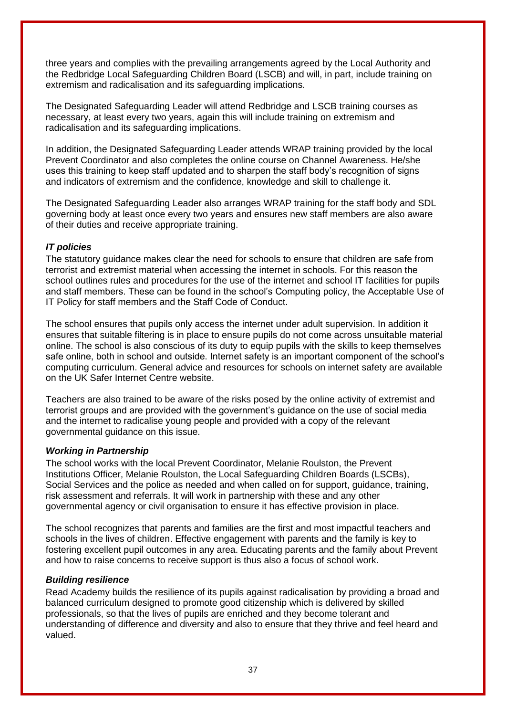three years and complies with the prevailing arrangements agreed by the Local Authority and the Redbridge Local Safeguarding Children Board (LSCB) and will, in part, include training on extremism and radicalisation and its safeguarding implications.

The Designated Safeguarding Leader will attend Redbridge and LSCB training courses as necessary, at least every two years, again this will include training on extremism and radicalisation and its safeguarding implications.

In addition, the Designated Safeguarding Leader attends WRAP training provided by the local Prevent Coordinator and also completes the online course on Channel Awareness. He/she uses this training to keep staff updated and to sharpen the staff body's recognition of signs and indicators of extremism and the confidence, knowledge and skill to challenge it.

The Designated Safeguarding Leader also arranges WRAP training for the staff body and SDL governing body at least once every two years and ensures new staff members are also aware of their duties and receive appropriate training.

# *IT policies*

The statutory guidance makes clear the need for schools to ensure that children are safe from terrorist and extremist material when accessing the internet in schools. For this reason the school outlines rules and procedures for the use of the internet and school IT facilities for pupils and staff members. These can be found in the school's Computing policy, the Acceptable Use of IT Policy for staff members and the Staff Code of Conduct.

The school ensures that pupils only access the internet under adult supervision. In addition it ensures that suitable filtering is in place to ensure pupils do not come across unsuitable material online. The school is also conscious of its duty to equip pupils with the skills to keep themselves safe online, both in school and outside. Internet safety is an important component of the school's computing curriculum. General advice and resources for schools on internet safety are available on the UK Safer Internet Centre website.

Teachers are also trained to be aware of the risks posed by the online activity of extremist and terrorist groups and are provided with the government's guidance on the use of social media and the internet to radicalise young people and provided with a copy of the relevant governmental guidance on this issue.

# *Working in Partnership*

The school works with the local Prevent Coordinator, Melanie Roulston, the Prevent Institutions Officer, Melanie Roulston, the Local Safeguarding Children Boards (LSCBs), Social Services and the police as needed and when called on for support, guidance, training, risk assessment and referrals. It will work in partnership with these and any other governmental agency or civil organisation to ensure it has effective provision in place.

The school recognizes that parents and families are the first and most impactful teachers and schools in the lives of children. Effective engagement with parents and the family is key to fostering excellent pupil outcomes in any area. Educating parents and the family about Prevent and how to raise concerns to receive support is thus also a focus of school work.

# *Building resilience*

Read Academy builds the resilience of its pupils against radicalisation by providing a broad and balanced curriculum designed to promote good citizenship which is delivered by skilled professionals, so that the lives of pupils are enriched and they become tolerant and understanding of difference and diversity and also to ensure that they thrive and feel heard and valued.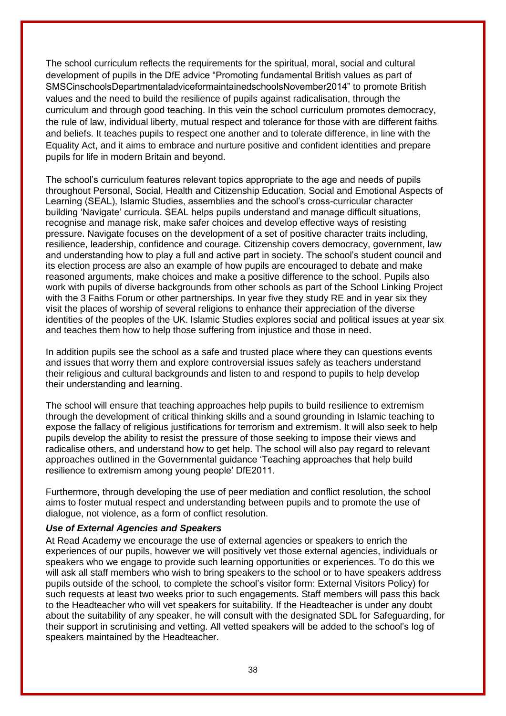The school curriculum reflects the requirements for the spiritual, moral, social and cultural development of pupils in the DfE advice "Promoting fundamental British values as part of SMSCinschoolsDepartmentaladviceformaintainedschoolsNovember2014" to promote British values and the need to build the resilience of pupils against radicalisation, through the curriculum and through good teaching. In this vein the school curriculum promotes democracy, the rule of law, individual liberty, mutual respect and tolerance for those with are different faiths and beliefs. It teaches pupils to respect one another and to tolerate difference, in line with the Equality Act, and it aims to embrace and nurture positive and confident identities and prepare pupils for life in modern Britain and beyond.

The school's curriculum features relevant topics appropriate to the age and needs of pupils throughout Personal, Social, Health and Citizenship Education, Social and Emotional Aspects of Learning (SEAL), Islamic Studies, assemblies and the school's cross-curricular character building 'Navigate' curricula. SEAL helps pupils understand and manage difficult situations, recognise and manage risk, make safer choices and develop effective ways of resisting pressure. Navigate focuses on the development of a set of positive character traits including, resilience, leadership, confidence and courage. Citizenship covers democracy, government, law and understanding how to play a full and active part in society. The school's student council and its election process are also an example of how pupils are encouraged to debate and make reasoned arguments, make choices and make a positive difference to the school. Pupils also work with pupils of diverse backgrounds from other schools as part of the School Linking Project with the 3 Faiths Forum or other partnerships. In year five they study RE and in year six they visit the places of worship of several religions to enhance their appreciation of the diverse identities of the peoples of the UK. Islamic Studies explores social and political issues at year six and teaches them how to help those suffering from injustice and those in need.

In addition pupils see the school as a safe and trusted place where they can questions events and issues that worry them and explore controversial issues safely as teachers understand their religious and cultural backgrounds and listen to and respond to pupils to help develop their understanding and learning.

The school will ensure that teaching approaches help pupils to build resilience to extremism through the development of critical thinking skills and a sound grounding in Islamic teaching to expose the fallacy of religious justifications for terrorism and extremism. It will also seek to help pupils develop the ability to resist the pressure of those seeking to impose their views and radicalise others, and understand how to get help. The school will also pay regard to relevant approaches outlined in the Governmental guidance 'Teaching approaches that help build resilience to extremism among young people' DfE2011.

Furthermore, through developing the use of peer mediation and conflict resolution, the school aims to foster mutual respect and understanding between pupils and to promote the use of dialogue, not violence, as a form of conflict resolution.

#### *Use of External Agencies and Speakers*

At Read Academy we encourage the use of external agencies or speakers to enrich the experiences of our pupils, however we will positively vet those external agencies, individuals or speakers who we engage to provide such learning opportunities or experiences. To do this we will ask all staff members who wish to bring speakers to the school or to have speakers address pupils outside of the school, to complete the school's visitor form: External Visitors Policy) for such requests at least two weeks prior to such engagements. Staff members will pass this back to the Headteacher who will vet speakers for suitability. If the Headteacher is under any doubt about the suitability of any speaker, he will consult with the designated SDL for Safeguarding, for their support in scrutinising and vetting. All vetted speakers will be added to the school's log of speakers maintained by the Headteacher.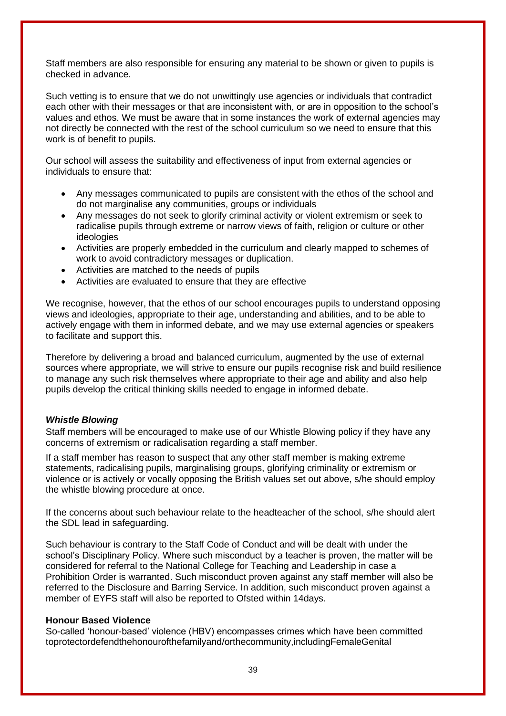Staff members are also responsible for ensuring any material to be shown or given to pupils is checked in advance.

Such vetting is to ensure that we do not unwittingly use agencies or individuals that contradict each other with their messages or that are inconsistent with, or are in opposition to the school's values and ethos. We must be aware that in some instances the work of external agencies may not directly be connected with the rest of the school curriculum so we need to ensure that this work is of benefit to pupils.

Our school will assess the suitability and effectiveness of input from external agencies or individuals to ensure that:

- Any messages communicated to pupils are consistent with the ethos of the school and do not marginalise any communities, groups or individuals
- Any messages do not seek to glorify criminal activity or violent extremism or seek to radicalise pupils through extreme or narrow views of faith, religion or culture or other ideologies
- Activities are properly embedded in the curriculum and clearly mapped to schemes of work to avoid contradictory messages or duplication.
- Activities are matched to the needs of pupils
- Activities are evaluated to ensure that they are effective

We recognise, however, that the ethos of our school encourages pupils to understand opposing views and ideologies, appropriate to their age, understanding and abilities, and to be able to actively engage with them in informed debate, and we may use external agencies or speakers to facilitate and support this.

Therefore by delivering a broad and balanced curriculum, augmented by the use of external sources where appropriate, we will strive to ensure our pupils recognise risk and build resilience to manage any such risk themselves where appropriate to their age and ability and also help pupils develop the critical thinking skills needed to engage in informed debate.

#### *Whistle Blowing*

Staff members will be encouraged to make use of our Whistle Blowing policy if they have any concerns of extremism or radicalisation regarding a staff member.

If a staff member has reason to suspect that any other staff member is making extreme statements, radicalising pupils, marginalising groups, glorifying criminality or extremism or violence or is actively or vocally opposing the British values set out above, s/he should employ the whistle blowing procedure at once.

If the concerns about such behaviour relate to the headteacher of the school, s/he should alert the SDL lead in safeguarding.

Such behaviour is contrary to the Staff Code of Conduct and will be dealt with under the school's Disciplinary Policy. Where such misconduct by a teacher is proven, the matter will be considered for referral to the National College for Teaching and Leadership in case a Prohibition Order is warranted. Such misconduct proven against any staff member will also be referred to the Disclosure and Barring Service. In addition, such misconduct proven against a member of EYFS staff will also be reported to Ofsted within 14days.

#### **Honour Based Violence**

So-called 'honour-based' violence (HBV) encompasses crimes which have been committed toprotectordefendthehonourofthefamilyand/orthecommunity,includingFemaleGenital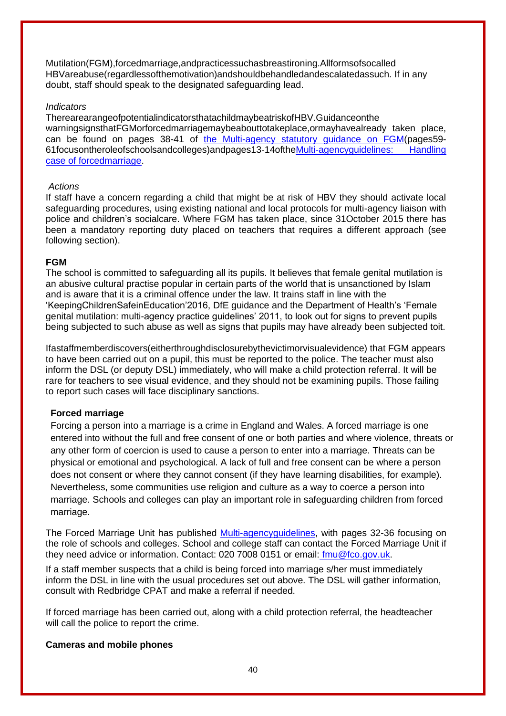Mutilation(FGM),forcedmarriage,andpracticessuchasbreastironing.Allformsofsocalled HBVareabuse(regardlessofthemotivation)andshouldbehandledandescalatedassuch. If in any doubt, staff should speak to the designated safeguarding lead.

#### *Indicators*

TherearearangeofpotentialindicatorsthatachildmaybeatriskofHBV.Guidanceonthe warningsignsthatFGMorforcedmarriagemaybeabouttotakeplace,ormayhavealready taken place, can be found on pages 38-41 of [the Multi-agency statutory guidance on FGM\(](https://www.gov.uk/government/uploads/system/uploads/attachment_data/file/512906/Multi_Agency_Statutory_Guidance_on_FGM__-_FINAL.pdf)pages59-61focusontheroleofschoolsandcolleges)andpages13-14ofth[eMulti-agencyguidelines: Handling](https://www.gov.uk/government/uploads/system/uploads/attachment_data/file/322307/HMG_MULTI_AGENCY_PRACTICE_GUIDELINES_v1_180614_FINAL.pdf)  [case of forcedmarriage.](https://www.gov.uk/government/uploads/system/uploads/attachment_data/file/322307/HMG_MULTI_AGENCY_PRACTICE_GUIDELINES_v1_180614_FINAL.pdf)

#### *Actions*

If staff have a concern regarding a child that might be at risk of HBV they should activate local safeguarding procedures, using existing national and local protocols for multi-agency liaison with police and children's socialcare. Where FGM has taken place, since 31October 2015 there has been a mandatory reporting duty placed on teachers that requires a different approach (see following section).

#### **FGM**

The school is committed to safeguarding all its pupils. It believes that female genital mutilation is an abusive cultural practise popular in certain parts of the world that is unsanctioned by Islam and is aware that it is a criminal offence under the law. It trains staff in line with the 'KeepingChildrenSafeinEducation'2016, DfE guidance and the Department of Health's 'Female genital mutilation: multi-agency practice guidelines' 2011, to look out for signs to prevent pupils being subjected to such abuse as well as signs that pupils may have already been subjected toit.

Ifastaffmemberdiscovers(eitherthroughdisclosurebythevictimorvisualevidence) that FGM appears to have been carried out on a pupil, this must be reported to the police. The teacher must also inform the DSL (or deputy DSL) immediately, who will make a child protection referral. It will be rare for teachers to see visual evidence, and they should not be examining pupils. Those failing to report such cases will face disciplinary sanctions.

# **Forced marriage**

Forcing a person into a marriage is a crime in England and Wales. A forced marriage is one entered into without the full and free consent of one or both parties and where violence, threats or any other form of coercion is used to cause a person to enter into a marriage. Threats can be physical or emotional and psychological. A lack of full and free consent can be where a person does not consent or where they cannot consent (if they have learning disabilities, for example). Nevertheless, some communities use religion and culture as a way to coerce a person into marriage. Schools and colleges can play an important role in safeguarding children from forced marriage.

The Forced Marriage Unit has published [Multi-agencyguidelines,](https://www.gov.uk/government/uploads/system/uploads/attachment_data/file/322307/HMG_MULTI_AGENCY_PRACTICE_GUIDELINES_v1_180614_FINAL.pdf) with pages 32-36 focusing on the role of schools and colleges. School and college staff can contact the Forced Marriage Unit if they need advice or information. Contact: 020 7008 0151 or email: [fmu@fco.gov.uk.](mailto:fmu@fco.gov.uk)

If a staff member suspects that a child is being forced into marriage s/her must immediately inform the DSL in line with the usual procedures set out above. The DSL will gather information, consult with Redbridge CPAT and make a referral if needed.

If forced marriage has been carried out, along with a child protection referral, the headteacher will call the police to report the crime.

#### **Cameras and mobile phones**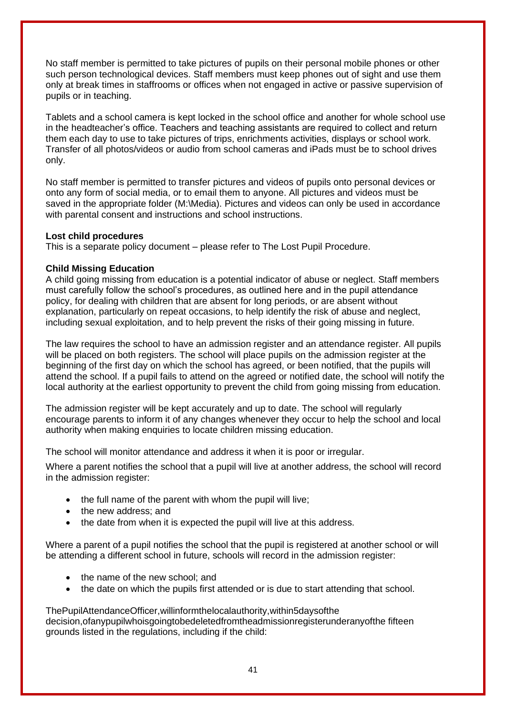No staff member is permitted to take pictures of pupils on their personal mobile phones or other such person technological devices. Staff members must keep phones out of sight and use them only at break times in staffrooms or offices when not engaged in active or passive supervision of pupils or in teaching.

Tablets and a school camera is kept locked in the school office and another for whole school use in the headteacher's office. Teachers and teaching assistants are required to collect and return them each day to use to take pictures of trips, enrichments activities, displays or school work. Transfer of all photos/videos or audio from school cameras and iPads must be to school drives only.

No staff member is permitted to transfer pictures and videos of pupils onto personal devices or onto any form of social media, or to email them to anyone. All pictures and videos must be saved in the appropriate folder (M:\Media). Pictures and videos can only be used in accordance with parental consent and instructions and school instructions.

#### **Lost child procedures**

This is a separate policy document – please refer to The Lost Pupil Procedure.

#### **Child Missing Education**

A child going missing from education is a potential indicator of abuse or neglect. Staff members must carefully follow the school's procedures, as outlined here and in the pupil attendance policy, for dealing with children that are absent for long periods, or are absent without explanation, particularly on repeat occasions, to help identify the risk of abuse and neglect, including sexual exploitation, and to help prevent the risks of their going missing in future.

The law requires the school to have an admission register and an attendance register. All pupils will be placed on both registers. The school will place pupils on the admission register at the beginning of the first day on which the school has agreed, or been notified, that the pupils will attend the school. If a pupil fails to attend on the agreed or notified date, the school will notify the local authority at the earliest opportunity to prevent the child from going missing from education.

The admission register will be kept accurately and up to date. The school will regularly encourage parents to inform it of any changes whenever they occur to help the school and local authority when making enquiries to locate children missing education.

The school will monitor attendance and address it when it is poor or irregular.

Where a parent notifies the school that a pupil will live at another address, the school will record in the admission register:

- the full name of the parent with whom the pupil will live;
- the new address; and
- the date from when it is expected the pupil will live at this address.

Where a parent of a pupil notifies the school that the pupil is registered at another school or will be attending a different school in future, schools will record in the admission register:

- the name of the new school; and
- the date on which the pupils first attended or is due to start attending that school.

ThePupilAttendanceOfficer,willinformthelocalauthority,within5daysofthe decision,ofanypupilwhoisgoingtobedeletedfromtheadmissionregisterunderanyofthe fifteen grounds listed in the regulations, including if the child: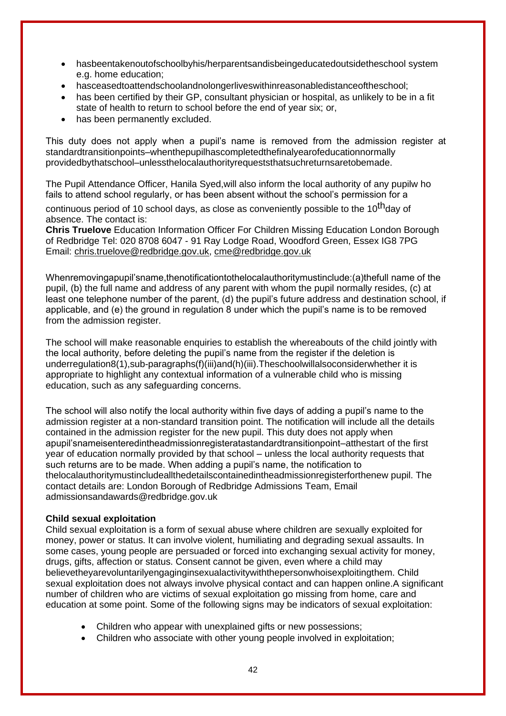- hasbeentakenoutofschoolbyhis/herparentsandisbeingeducatedoutsidetheschool system e.g. home education;
- hasceasedtoattendschoolandnolongerliveswithinreasonabledistanceoftheschool;
- has been certified by their GP, consultant physician or hospital, as unlikely to be in a fit state of health to return to school before the end of year six; or,
- has been permanently excluded.

This duty does not apply when a pupil's name is removed from the admission register at standardtransitionpoints–whenthepupilhascompletedthefinalyearofeducationnormally providedbythatschool–unlessthelocalauthorityrequeststhatsuchreturnsaretobemade.

The Pupil Attendance Officer, Hanila Syed,will also inform the local authority of any pupilw ho fails to attend school regularly, or has been absent without the school's permission for a continuous period of 10 school days, as close as conveniently possible to the 10<sup>th</sup>day of absence. The contact is:

**Chris Truelove** Education Information Officer For Children Missing Education London Borough of Redbridge Tel: 020 8708 6047 - 91 Ray Lodge Road, Woodford Green, Essex IG8 7PG Email: [chris.truelove@redbridge.gov.uk,](mailto:chris.truelove@redbridge.gov.uk) [cme@redbridge.gov.uk](mailto:cme@redbridge.gov.uk)

Whenremovingapupil'sname,thenotificationtothelocalauthoritymustinclude:(a)thefull name of the pupil, (b) the full name and address of any parent with whom the pupil normally resides, (c) at least one telephone number of the parent, (d) the pupil's future address and destination school, if applicable, and (e) the ground in regulation 8 under which the pupil's name is to be removed from the admission register.

The school will make reasonable enquiries to establish the whereabouts of the child jointly with the local authority, before deleting the pupil's name from the register if the deletion is underregulation8(1),sub-paragraphs(f)(iii)and(h)(iii).Theschoolwillalsoconsiderwhether it is appropriate to highlight any contextual information of a vulnerable child who is missing education, such as any safeguarding concerns.

The school will also notify the local authority within five days of adding a pupil's name to the admission register at a non-standard transition point. The notification will include all the details contained in the admission register for the new pupil. This duty does not apply when apupil'snameisenteredintheadmissionregisteratastandardtransitionpoint–atthestart of the first year of education normally provided by that school – unless the local authority requests that such returns are to be made. When adding a pupil's name, the notification to thelocalauthoritymustincludeallthedetailscontainedintheadmissionregisterforthenew pupil. The contact details are: London Borough of Redbridge Admissions Team, Email [admissionsandawards@redbridge.gov.uk](mailto:admissionsandawards@redbridge.gov.uk)

# **Child sexual exploitation**

Child sexual exploitation is a form of sexual abuse where children are sexually exploited for money, power or status. It can involve violent, humiliating and degrading sexual assaults. In some cases, young people are persuaded or forced into exchanging sexual activity for money, drugs, gifts, affection or status. Consent cannot be given, even where a child may believetheyarevoluntarilyengaginginsexualactivitywiththepersonwhoisexploitingthem. Child sexual exploitation does not always involve physical contact and can happen online.A significant number of children who are victims of sexual exploitation go missing from home, care and education at some point. Some of the following signs may be indicators of sexual exploitation:

- Children who appear with unexplained gifts or new possessions;
- Children who associate with other young people involved in exploitation;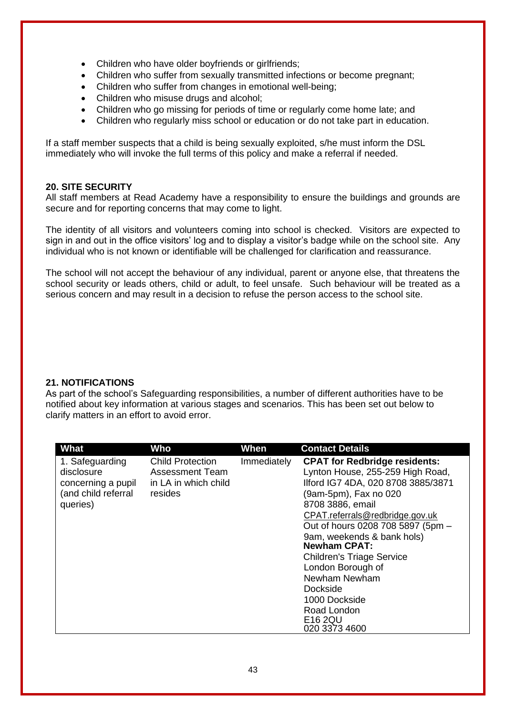- Children who have older boyfriends or girlfriends;
- Children who suffer from sexually transmitted infections or become pregnant;
- Children who suffer from changes in emotional well-being;
- Children who misuse drugs and alcohol;
- Children who go missing for periods of time or regularly come home late; and
- Children who regularly miss school or education or do not take part in education.

If a staff member suspects that a child is being sexually exploited, s/he must inform the DSL immediately who will invoke the full terms of this policy and make a referral if needed.

# **20. SITE SECURITY**

All staff members at Read Academy have a responsibility to ensure the buildings and grounds are secure and for reporting concerns that may come to light.

The identity of all visitors and volunteers coming into school is checked. Visitors are expected to sign in and out in the office visitors' log and to display a visitor's badge while on the school site. Any individual who is not known or identifiable will be challenged for clarification and reassurance.

The school will not accept the behaviour of any individual, parent or anyone else, that threatens the school security or leads others, child or adult, to feel unsafe. Such behaviour will be treated as a serious concern and may result in a decision to refuse the person access to the school site.

# **21. NOTIFICATIONS**

As part of the school's Safeguarding responsibilities, a number of different authorities have to be notified about key information at various stages and scenarios. This has been set out below to clarify matters in an effort to avoid error.

| What                                                                                   | Who                                                                           | When        | <b>Contact Details</b>                                                                                                                                                                                                                                                                                                                                                                                                                     |
|----------------------------------------------------------------------------------------|-------------------------------------------------------------------------------|-------------|--------------------------------------------------------------------------------------------------------------------------------------------------------------------------------------------------------------------------------------------------------------------------------------------------------------------------------------------------------------------------------------------------------------------------------------------|
| 1. Safeguarding<br>disclosure<br>concerning a pupil<br>(and child referral<br>queries) | <b>Child Protection</b><br>Assessment Team<br>in LA in which child<br>resides | Immediately | <b>CPAT for Redbridge residents:</b><br>Lynton House, 255-259 High Road,<br>Ilford IG7 4DA, 020 8708 3885/3871<br>(9am-5pm), Fax no 020<br>8708 3886, email<br>CPAT.referrals@redbridge.gov.uk<br>Out of hours 0208 708 5897 (5pm -<br>9am, weekends & bank hols)<br><b>Newham CPAT:</b><br><b>Children's Triage Service</b><br>London Borough of<br>Newham Newham<br>Dockside<br>1000 Dockside<br>Road London<br>E16 2QU<br>020 3373 4600 |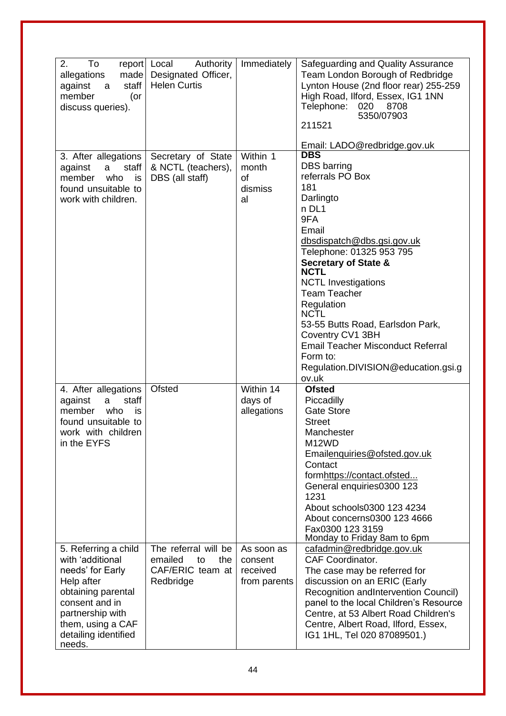| To<br>2.<br>allegations<br>made<br>staff<br>against<br>a<br>member<br>(or<br>discuss queries).                                                                                                | Authority<br>report Local<br>Designated Officer,<br><b>Helen Curtis</b>       | Immediately                                       | Safeguarding and Quality Assurance<br>Team London Borough of Redbridge<br>Lynton House (2nd floor rear) 255-259<br>High Road, Ilford, Essex, IG1 1NN<br>Telephone:<br>020<br>8708<br>5350/07903<br>211521<br>Email: LADO@redbridge.gov.uk                                                                                                                                                                                                                |
|-----------------------------------------------------------------------------------------------------------------------------------------------------------------------------------------------|-------------------------------------------------------------------------------|---------------------------------------------------|----------------------------------------------------------------------------------------------------------------------------------------------------------------------------------------------------------------------------------------------------------------------------------------------------------------------------------------------------------------------------------------------------------------------------------------------------------|
| 3. After allegations<br>staff<br>against<br>a<br>member<br>who<br>is<br>found unsuitable to<br>work with children.                                                                            | Secretary of State<br>& NCTL (teachers),<br>DBS (all staff)                   | Within 1<br>month<br>of<br>dismiss<br>al          | <b>DBS</b><br>DBS barring<br>referrals PO Box<br>181<br>Darlingto<br>n DL1<br>9FA<br>Email<br>dbsdispatch@dbs.gsi.gov.uk<br>Telephone: 01325 953 795<br><b>Secretary of State &amp;</b><br><b>NCTL</b><br><b>NCTL Investigations</b><br><b>Team Teacher</b><br>Regulation<br><b>NCTL</b><br>53-55 Butts Road, Earlsdon Park,<br>Coventry CV1 3BH<br><b>Email Teacher Misconduct Referral</b><br>Form to:<br>Regulation.DIVISION@education.gsi.g<br>ov.uk |
| 4. After allegations<br>staff<br>against<br>a<br>member<br>who<br>is<br>found unsuitable to<br>work with children<br>in the EYFS                                                              | Ofsted                                                                        | Within 14<br>days of<br>allegations               | <b>Ofsted</b><br>Piccadilly<br><b>Gate Store</b><br><b>Street</b><br>Manchester<br>M <sub>12</sub> WD<br>Emailenquiries@ofsted.gov.uk<br>Contact<br>formhttps://contact.ofsted<br>General enquiries0300 123<br>1231<br>About schools0300 123 4234<br>About concerns0300 123 4666<br>Fax0300 123 3159<br>Monday to Friday 8am to 6pm                                                                                                                      |
| 5. Referring a child<br>with 'additional<br>needs' for Early<br>Help after<br>obtaining parental<br>consent and in<br>partnership with<br>them, using a CAF<br>detailing identified<br>needs. | The referral will be<br>emailed<br>the<br>to<br>CAF/ERIC team at<br>Redbridge | As soon as<br>consent<br>received<br>from parents | cafadmin@redbridge.gov.uk<br><b>CAF Coordinator.</b><br>The case may be referred for<br>discussion on an ERIC (Early<br>Recognition andIntervention Council)<br>panel to the local Children's Resource<br>Centre, at 53 Albert Road Children's<br>Centre, Albert Road, Ilford, Essex,<br>IG1 1HL, Tel 020 87089501.)                                                                                                                                     |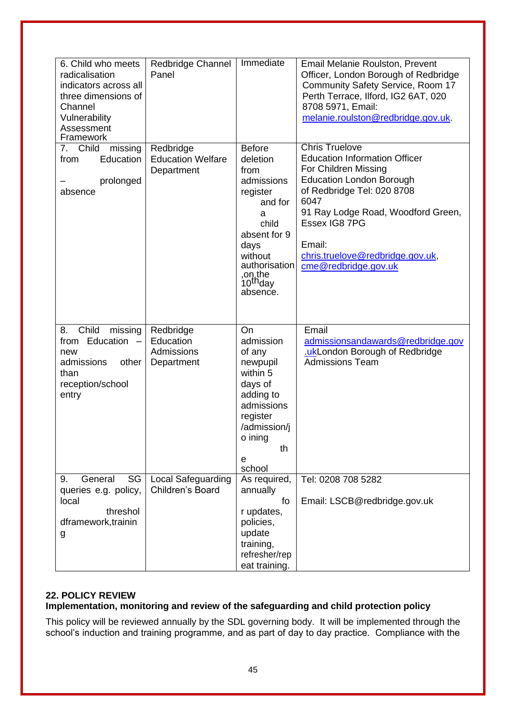| 6. Child who meets<br>radicalisation<br>indicators across all<br>three dimensions of<br>Channel<br>Vulnerability<br>Assessment<br>Framework | Redbridge Channel<br>Panel                          | Immediate                                                                                                                                                                              | Email Melanie Roulston, Prevent<br>Officer, London Borough of Redbridge<br>Community Safety Service, Room 17<br>Perth Terrace, Ilford, IG2 6AT, 020<br>8708 5971, Email:<br>melanie.roulston@redbridge.gov.uk.                                                                              |
|---------------------------------------------------------------------------------------------------------------------------------------------|-----------------------------------------------------|----------------------------------------------------------------------------------------------------------------------------------------------------------------------------------------|---------------------------------------------------------------------------------------------------------------------------------------------------------------------------------------------------------------------------------------------------------------------------------------------|
| Child<br>7.<br>missing<br>Education<br>from<br>prolonged<br>absence                                                                         | Redbridge<br><b>Education Welfare</b><br>Department | <b>Before</b><br>deletion<br>from<br>admissions<br>register<br>and for<br>а<br>child<br>absent for 9<br>days<br>without<br>authorisation<br>on the<br>10 <sup>th</sup> day<br>absence. | <b>Chris Truelove</b><br><b>Education Information Officer</b><br>For Children Missing<br><b>Education London Borough</b><br>of Redbridge Tel: 020 8708<br>6047<br>91 Ray Lodge Road, Woodford Green,<br>Essex IG8 7PG<br>Email:<br>chris.truelove@redbridge.gov.uk,<br>cme@redbridge.gov.uk |
| Child<br>8.<br>missing<br>from Education<br>$\overline{\phantom{0}}$<br>new<br>other<br>admissions<br>than<br>reception/school<br>entry     | Redbridge<br>Education<br>Admissions<br>Department  | On<br>admission<br>of any<br>newpupil<br>within 5<br>days of<br>adding to<br>admissions<br>register<br>/admission/j<br>o ining<br>th<br>е<br>school                                    | Email<br>admissionsandawards@redbridge.gov<br>ukLondon Borough of Redbridge<br><b>Admissions Team</b>                                                                                                                                                                                       |
| General<br>SG<br>9.<br>queries e.g. policy,<br>local<br>threshol<br>dframework, trainin<br>g                                                | <b>Local Safeguarding</b><br>Children's Board       | As required,<br>annually<br>fo<br>r updates,<br>policies,<br>update<br>training,<br>refresher/rep<br>eat training.                                                                     | Tel: 0208 708 5282<br>Email: LSCB@redbridge.gov.uk                                                                                                                                                                                                                                          |

# **22. POLICY REVIEW**

# **Implementation, monitoring and review of the safeguarding and child protection policy**

This policy will be reviewed annually by the SDL governing body. It will be implemented through the school's induction and training programme, and as part of day to day practice. Compliance with the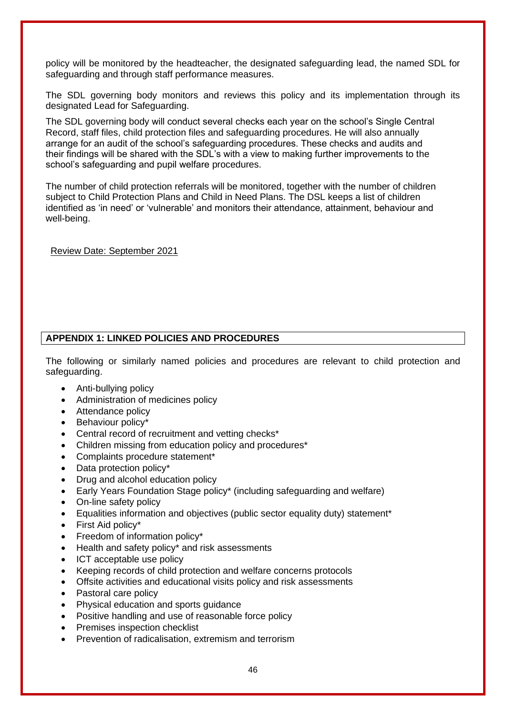policy will be monitored by the headteacher, the designated safeguarding lead, the named SDL for safeguarding and through staff performance measures.

The SDL governing body monitors and reviews this policy and its implementation through its designated Lead for Safeguarding.

The SDL governing body will conduct several checks each year on the school's Single Central Record, staff files, child protection files and safeguarding procedures. He will also annually arrange for an audit of the school's safeguarding procedures. These checks and audits and their findings will be shared with the SDL's with a view to making further improvements to the school's safeguarding and pupil welfare procedures.

The number of child protection referrals will be monitored, together with the number of children subject to Child Protection Plans and Child in Need Plans. The DSL keeps a list of children identified as 'in need' or 'vulnerable' and monitors their attendance, attainment, behaviour and well-being.

Review Date: September 2021

# **APPENDIX 1: LINKED POLICIES AND PROCEDURES**

The following or similarly named policies and procedures are relevant to child protection and safeguarding.

- Anti-bullying policy
- Administration of medicines policy
- Attendance policy
- Behaviour policy\*
- Central record of recruitment and vetting checks<sup>\*</sup>
- Children missing from education policy and procedures\*
- Complaints procedure statement\*
- Data protection policy\*
- Drug and alcohol education policy
- Early Years Foundation Stage policy\* (including safeguarding and welfare)
- On-line safety policy
- Equalities information and objectives (public sector equality duty) statement\*
- First Aid policy\*
- Freedom of information policy\*
- Health and safety policy\* and risk assessments
- ICT acceptable use policy
- Keeping records of child protection and welfare concerns protocols
- Offsite activities and educational visits policy and risk assessments
- Pastoral care policy
- Physical education and sports guidance
- Positive handling and use of reasonable force policy
- Premises inspection checklist
- Prevention of radicalisation, extremism and terrorism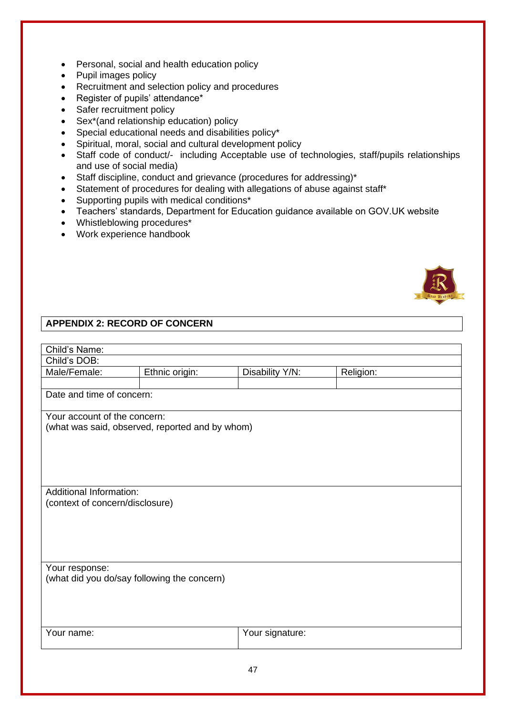- Personal, social and health education policy
- Pupil images policy
- Recruitment and selection policy and procedures
- Register of pupils' attendance\*
- Safer recruitment policy
- Sex\*(and relationship education) policy
- Special educational needs and disabilities policy\*
- Spiritual, moral, social and cultural development policy
- Staff code of conduct/- including Acceptable use of technologies, staff/pupils relationships and use of social media)
- Staff discipline, conduct and grievance (procedures for addressing)\*
- Statement of procedures for dealing with allegations of abuse against staff\*
- Supporting pupils with medical conditions\*
- Teachers' standards, Department for Education guidance available on GOV.UK website
- Whistleblowing procedures\*
- Work experience handbook



# **APPENDIX 2: RECORD OF CONCERN**

| Child's Name:                                                     |                |                 |           |
|-------------------------------------------------------------------|----------------|-----------------|-----------|
| Child's DOB:                                                      |                |                 |           |
| Male/Female:                                                      | Ethnic origin: | Disability Y/N: | Religion: |
|                                                                   |                |                 |           |
| Date and time of concern:                                         |                |                 |           |
| Your account of the concern:                                      |                |                 |           |
| (what was said, observed, reported and by whom)                   |                |                 |           |
| <b>Additional Information:</b><br>(context of concern/disclosure) |                |                 |           |
| Your response:<br>(what did you do/say following the concern)     |                |                 |           |
| Your name:                                                        |                | Your signature: |           |
|                                                                   |                |                 |           |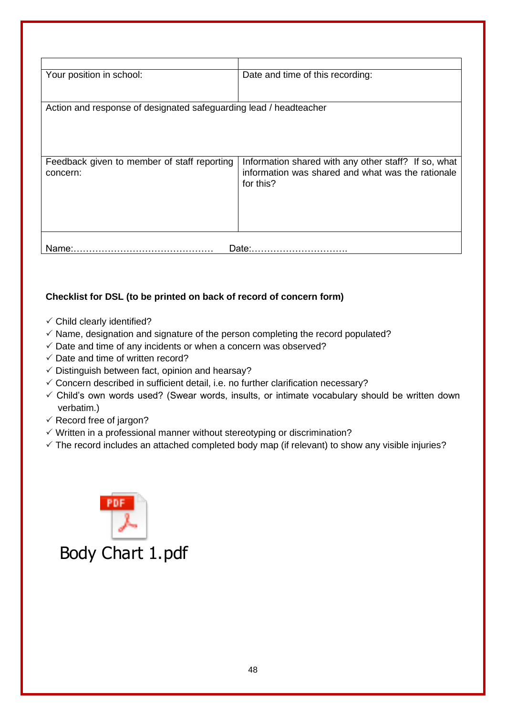| Your position in school:                                          | Date and time of this recording:                                                                                       |  |
|-------------------------------------------------------------------|------------------------------------------------------------------------------------------------------------------------|--|
| Action and response of designated safeguarding lead / headteacher |                                                                                                                        |  |
|                                                                   |                                                                                                                        |  |
| Feedback given to member of staff reporting<br>concern:           | Information shared with any other staff? If so, what<br>information was shared and what was the rationale<br>for this? |  |
| Date:.<br>Name:                                                   |                                                                                                                        |  |

# **Checklist for DSL (to be printed on back of record of concern form)**

- $\checkmark$  Child clearly identified?
- $\checkmark$  Name, designation and signature of the person completing the record populated?
- $\checkmark$  Date and time of any incidents or when a concern was observed?
- $\checkmark$  Date and time of written record?
- $\checkmark$  Distinguish between fact, opinion and hearsay?
- $\checkmark$  Concern described in sufficient detail, i.e. no further clarification necessary?
- $\checkmark$  Child's own words used? (Swear words, insults, or intimate vocabulary should be written down verbatim.)
- $\checkmark$  Record free of jargon?
- $\checkmark$  Written in a professional manner without stereotyping or discrimination?
- $\checkmark$  The record includes an attached completed body map (if relevant) to show any visible injuries?



# Body Chart 1.pdf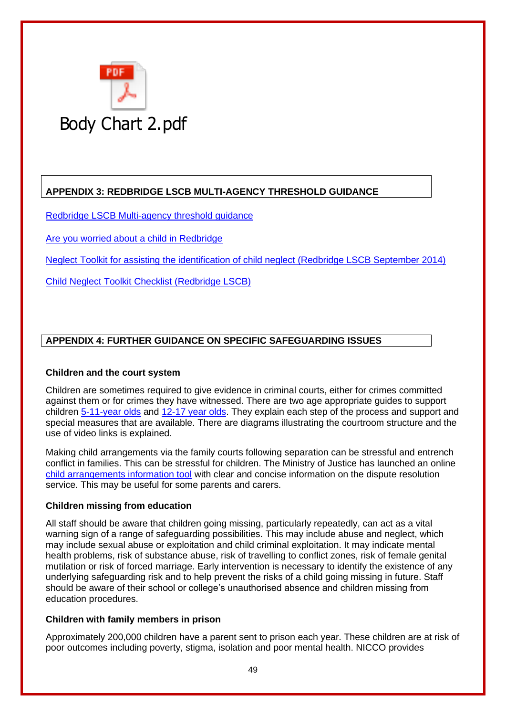

# **APPENDIX 3: REDBRIDGE LSCB MULTI-AGENCY THRESHOLD GUIDANCE**

[Redbridge LSCB Multi-agency threshold guidance](http://www.redbridgelscb.org.uk/wp-content/uploads/2015/09/Redbridge-LSCB-Multi-Agency-Thresholds-Document-September-2018-Final.pdf)

[Are you worried about a child in Redbridge](http://www.redbridgelscb.org.uk/wp-content/uploads/2016/04/LSCB-MA-Threshold-Summary-Document-September-2018-Final.pdf)

[Neglect Toolkit for assisting the identification of child neglect \(Redbridge LSCB September 2014\)](http://www.redbridgelscb.org.uk/wp-content/uploads/2017/03/Redbridge-LSCB-Neglect-Toolkit-and-Guidance-2014.pdf)

[Child Neglect Toolkit Checklist \(Redbridge LSCB\)](http://www.redbridgelscb.org.uk/wp-content/uploads/2015/09/Neglect-Toolkit-Checklist.pdf)

# **APPENDIX 4: FURTHER GUIDANCE ON SPECIFIC SAFEGUARDING ISSUES**

# **Children and the court system**

Children are sometimes required to give evidence in criminal courts, either for crimes committed against them or for crimes they have witnessed. There are two age appropriate guides to support children [5-11-year olds](https://www.gov.uk/government/publications/young-witness-booklet-for-5-to-11-year-olds) and [12-17 year olds.](https://www.gov.uk/government/publications/young-witness-booklet-for-12-to-17-year-olds) They explain each step of the process and support and special measures that are available. There are diagrams illustrating the courtroom structure and the use of video links is explained.

Making child arrangements via the family courts following separation can be stressful and entrench conflict in families. This can be stressful for children. The Ministry of Justice has launched an online [child arrangements information tool](https://helpwithchildarrangements.service.justice.gov.uk/) with clear and concise information on the dispute resolution service. This may be useful for some parents and carers.

# **Children missing from education**

All staff should be aware that children going missing, particularly repeatedly, can act as a vital warning sign of a range of safeguarding possibilities. This may include abuse and neglect, which may include sexual abuse or exploitation and child criminal exploitation. It may indicate mental health problems, risk of substance abuse, risk of travelling to conflict zones, risk of female genital mutilation or risk of forced marriage. Early intervention is necessary to identify the existence of any underlying safeguarding risk and to help prevent the risks of a child going missing in future. Staff should be aware of their school or college's unauthorised absence and children missing from education procedures.

# **Children with family members in prison**

Approximately 200,000 children have a parent sent to prison each year. These children are at risk of poor outcomes including poverty, stigma, isolation and poor mental health. NICCO provides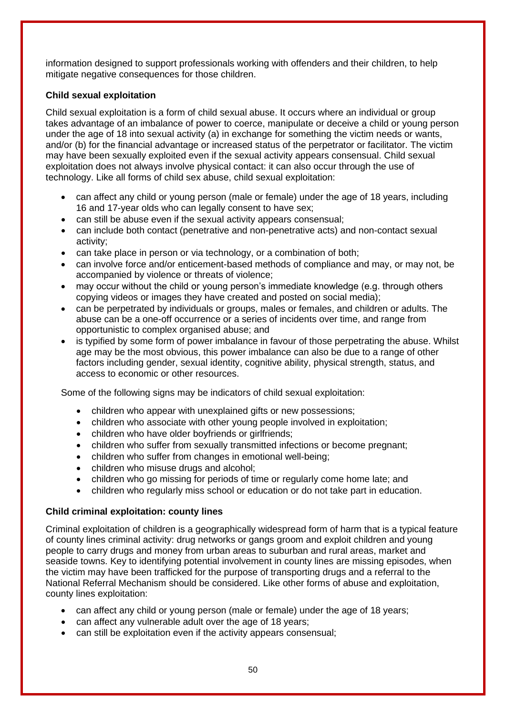information designed to support professionals working with offenders and their children, to help mitigate negative consequences for those children.

# **Child sexual exploitation**

Child sexual exploitation is a form of child sexual abuse. It occurs where an individual or group takes advantage of an imbalance of power to coerce, manipulate or deceive a child or young person under the age of 18 into sexual activity (a) in exchange for something the victim needs or wants, and/or (b) for the financial advantage or increased status of the perpetrator or facilitator. The victim may have been sexually exploited even if the sexual activity appears consensual. Child sexual exploitation does not always involve physical contact: it can also occur through the use of technology. Like all forms of child sex abuse, child sexual exploitation:

- can affect any child or young person (male or female) under the age of 18 years, including 16 and 17-year olds who can legally consent to have sex;
- can still be abuse even if the sexual activity appears consensual;
- can include both contact (penetrative and non-penetrative acts) and non-contact sexual activity;
- can take place in person or via technology, or a combination of both;
- can involve force and/or enticement-based methods of compliance and may, or may not, be accompanied by violence or threats of violence;
- may occur without the child or young person's immediate knowledge (e.g. through others copying videos or images they have created and posted on social media);
- can be perpetrated by individuals or groups, males or females, and children or adults. The abuse can be a one-off occurrence or a series of incidents over time, and range from opportunistic to complex organised abuse; and
- is typified by some form of power imbalance in favour of those perpetrating the abuse. Whilst age may be the most obvious, this power imbalance can also be due to a range of other factors including gender, sexual identity, cognitive ability, physical strength, status, and access to economic or other resources.

Some of the following signs may be indicators of child sexual exploitation:

- children who appear with unexplained gifts or new possessions;
- children who associate with other young people involved in exploitation;
- children who have older bovfriends or girlfriends:
- children who suffer from sexually transmitted infections or become pregnant;
- children who suffer from changes in emotional well-being;
- children who misuse drugs and alcohol;
- children who go missing for periods of time or regularly come home late; and
- children who regularly miss school or education or do not take part in education.

# **Child criminal exploitation: county lines**

Criminal exploitation of children is a geographically widespread form of harm that is a typical feature of county lines criminal activity: drug networks or gangs groom and exploit children and young people to carry drugs and money from urban areas to suburban and rural areas, market and seaside towns. Key to identifying potential involvement in county lines are missing episodes, when the victim may have been trafficked for the purpose of transporting drugs and a referral to the National Referral Mechanism should be considered. Like other forms of abuse and exploitation, county lines exploitation:

- can affect any child or young person (male or female) under the age of 18 years;
- can affect any vulnerable adult over the age of 18 years;
- can still be exploitation even if the activity appears consensual;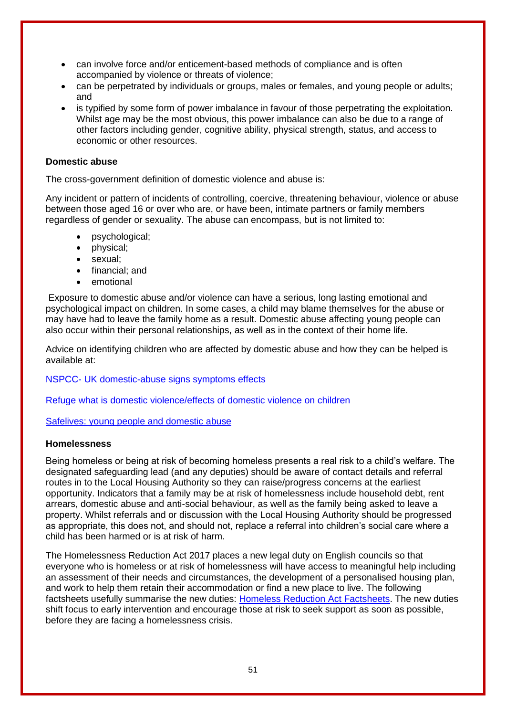- can involve force and/or enticement-based methods of compliance and is often accompanied by violence or threats of violence;
- can be perpetrated by individuals or groups, males or females, and young people or adults; and
- is typified by some form of power imbalance in favour of those perpetrating the exploitation. Whilst age may be the most obvious, this power imbalance can also be due to a range of other factors including gender, cognitive ability, physical strength, status, and access to economic or other resources.

#### **Domestic abuse**

The cross-government definition of domestic violence and abuse is:

Any incident or pattern of incidents of controlling, coercive, threatening behaviour, violence or abuse between those aged 16 or over who are, or have been, intimate partners or family members regardless of gender or sexuality. The abuse can encompass, but is not limited to:

- psychological;
- physical;
- sexual;
- financial; and
- emotional

Exposure to domestic abuse and/or violence can have a serious, long lasting emotional and psychological impact on children. In some cases, a child may blame themselves for the abuse or may have had to leave the family home as a result. Domestic abuse affecting young people can also occur within their personal relationships, as well as in the context of their home life.

Advice on identifying children who are affected by domestic abuse and how they can be helped is available at:

NSPCC- [UK domestic-abuse signs symptoms effects](https://www.nspcc.org.uk/preventing-abuse/child-abuse-and-neglect/domestic-abuse/signs-symptoms-effects/)

[Refuge what is domestic violence/effects of domestic violence on children](http://www.refuge.org.uk/get-help-now/support-for-women/what-about-my-children/)

[Safelives: young people and domestic abuse](http://www.safelives.org.uk/knowledge-hub/spotlights/spotlight-3-young-people-and-domestic-abuse)

#### **Homelessness**

Being homeless or being at risk of becoming homeless presents a real risk to a child's welfare. The designated safeguarding lead (and any deputies) should be aware of contact details and referral routes in to the Local Housing Authority so they can raise/progress concerns at the earliest opportunity. Indicators that a family may be at risk of homelessness include household debt, rent arrears, domestic abuse and anti-social behaviour, as well as the family being asked to leave a property. Whilst referrals and or discussion with the Local Housing Authority should be progressed as appropriate, this does not, and should not, replace a referral into children's social care where a child has been harmed or is at risk of harm.

The Homelessness Reduction Act 2017 places a new legal duty on English councils so that everyone who is homeless or at risk of homelessness will have access to meaningful help including an assessment of their needs and circumstances, the development of a personalised housing plan, and work to help them retain their accommodation or find a new place to live. The following factsheets usefully summarise the new duties: [Homeless Reduction Act Factsheets.](https://www.gov.uk/government/publications/homelessness-reduction-bill-policy-factsheets) The new duties shift focus to early intervention and encourage those at risk to seek support as soon as possible, before they are facing a homelessness crisis.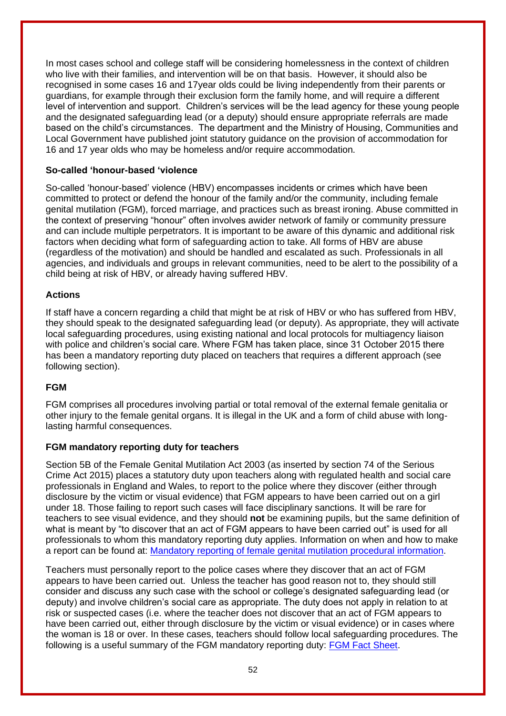In most cases school and college staff will be considering homelessness in the context of children who live with their families, and intervention will be on that basis. However, it should also be recognised in some cases 16 and 17year olds could be living independently from their parents or guardians, for example through their exclusion form the family home, and will require a different level of intervention and support. Children's services will be the lead agency for these young people and the designated safeguarding lead (or a deputy) should ensure appropriate referrals are made based on the child's circumstances. The department and the Ministry of Housing, Communities and Local Government have published joint statutory guidance on the provision of accommodation for 16 and 17 year olds who may be homeless and/or require accommodation.

# **So-called 'honour-based 'violence**

So-called 'honour-based' violence (HBV) encompasses incidents or crimes which have been committed to protect or defend the honour of the family and/or the community, including female genital mutilation (FGM), forced marriage, and practices such as breast ironing. Abuse committed in the context of preserving "honour" often involves awider network of family or community pressure and can include multiple perpetrators. It is important to be aware of this dynamic and additional risk factors when deciding what form of safeguarding action to take. All forms of HBV are abuse (regardless of the motivation) and should be handled and escalated as such. Professionals in all agencies, and individuals and groups in relevant communities, need to be alert to the possibility of a child being at risk of HBV, or already having suffered HBV.

#### **Actions**

If staff have a concern regarding a child that might be at risk of HBV or who has suffered from HBV, they should speak to the designated safeguarding lead (or deputy). As appropriate, they will activate local safeguarding procedures, using existing national and local protocols for multiagency liaison with police and children's social care. Where FGM has taken place, since 31 October 2015 there has been a mandatory reporting duty placed on teachers that requires a different approach (see following section).

# **FGM**

FGM comprises all procedures involving partial or total removal of the external female genitalia or other injury to the female genital organs. It is illegal in the UK and a form of child abuse with longlasting harmful consequences.

#### **FGM mandatory reporting duty for teachers**

Section 5B of the Female Genital Mutilation Act 2003 (as inserted by section 74 of the Serious Crime Act 2015) places a statutory duty upon teachers along with regulated health and social care professionals in England and Wales, to report to the police where they discover (either through disclosure by the victim or visual evidence) that FGM appears to have been carried out on a girl under 18. Those failing to report such cases will face disciplinary sanctions. It will be rare for teachers to see visual evidence, and they should **not** be examining pupils, but the same definition of what is meant by "to discover that an act of FGM appears to have been carried out" is used for all professionals to whom this mandatory reporting duty applies. Information on when and how to make a report can be found at: [Mandatory reporting of female genital mutilation procedural information.](https://assets.publishing.service.gov.uk/government/uploads/system/uploads/attachment_data/file/573782/FGM_Mandatory_Reporting_-_procedural_information_nov16_FINAL.pdf)

Teachers must personally report to the police cases where they discover that an act of FGM appears to have been carried out. Unless the teacher has good reason not to, they should still consider and discuss any such case with the school or college's designated safeguarding lead (or deputy) and involve children's social care as appropriate. The duty does not apply in relation to at risk or suspected cases (i.e. where the teacher does not discover that an act of FGM appears to have been carried out, either through disclosure by the victim or visual evidence) or in cases where the woman is 18 or over. In these cases, teachers should follow local safeguarding procedures. The following is a useful summary of the FGM mandatory reporting duty: [FGM Fact Sheet.](https://assets.publishing.service.gov.uk/government/uploads/system/uploads/attachment_data/file/496415/6_1639_HO_SP_FGM_mandatory_reporting_Fact_sheet_Web.pdf)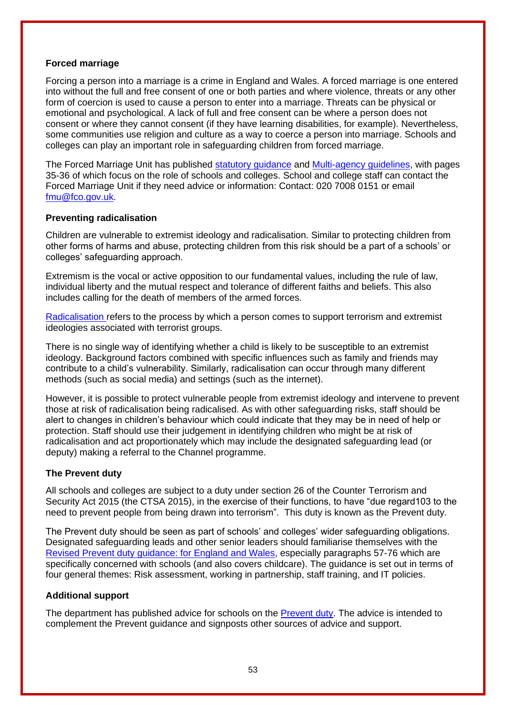# **Forced marriage**

Forcing a person into a marriage is a crime in England and Wales. A forced marriage is one entered into without the full and free consent of one or both parties and where violence, threats or any other form of coercion is used to cause a person to enter into a marriage. Threats can be physical or emotional and psychological. A lack of full and free consent can be where a person does not consent or where they cannot consent (if they have learning disabilities, for example). Nevertheless, some communities use religion and culture as a way to coerce a person into marriage. Schools and colleges can play an important role in safeguarding children from forced marriage.

The Forced Marriage Unit has published [statutory guidance](https://assets.publishing.service.gov.uk/government/uploads/system/uploads/attachment_data/file/322310/HMG_Statutory_Guidance_publication_180614_Final.pdf) and [Multi-agency guidelines,](https://assets.publishing.service.gov.uk/government/uploads/system/uploads/attachment_data/file/322307/HMG_MULTI_AGENCY_PRACTICE_GUIDELINES_v1_180614_FINAL.pdf) with pages 35-36 of which focus on the role of schools and colleges. School and college staff can contact the Forced Marriage Unit if they need advice or information: Contact: 020 7008 0151 or email [fmu@fco.gov.uk.](mailto:fmu@fco.gov.uk)

#### **Preventing radicalisation**

Children are vulnerable to extremist ideology and radicalisation. Similar to protecting children from other forms of harms and abuse, protecting children from this risk should be a part of a schools' or colleges' safeguarding approach.

Extremism is the vocal or active opposition to our fundamental values, including the rule of law, individual liberty and the mutual respect and tolerance of different faiths and beliefs. This also includes calling for the death of members of the armed forces.

[Radicalisation](https://assets.publishing.service.gov.uk/government/uploads/system/uploads/attachment_data/file/445977/3799_Revised_Prevent_Duty_Guidance__England_Wales_V2-Interactive.pdf) refers to the process by which a person comes to support terrorism and extremist ideologies associated with terrorist groups.

There is no single way of identifying whether a child is likely to be susceptible to an extremist ideology. Background factors combined with specific influences such as family and friends may contribute to a child's vulnerability. Similarly, radicalisation can occur through many different methods (such as social media) and settings (such as the internet).

However, it is possible to protect vulnerable people from extremist ideology and intervene to prevent those at risk of radicalisation being radicalised. As with other safeguarding risks, staff should be alert to changes in children's behaviour which could indicate that they may be in need of help or protection. Staff should use their judgement in identifying children who might be at risk of radicalisation and act proportionately which may include the designated safeguarding lead (or deputy) making a referral to the Channel programme.

# **The Prevent duty**

All schools and colleges are subject to a duty under section 26 of the Counter Terrorism and Security Act 2015 (the CTSA 2015), in the exercise of their functions, to have "due regard103 to the need to prevent people from being drawn into terrorism". This duty is known as the Prevent duty.

The Prevent duty should be seen as part of schools' and colleges' wider safeguarding obligations. Designated safeguarding leads and other senior leaders should familiarise themselves with the [Revised Prevent duty guidance: for England and Wales,](https://assets.publishing.service.gov.uk/government/uploads/system/uploads/attachment_data/file/445977/3799_Revised_Prevent_Duty_Guidance__England_Wales_V2-Interactive.pdf) especially paragraphs 57-76 which are specifically concerned with schools (and also covers childcare). The guidance is set out in terms of four general themes: Risk assessment, working in partnership, staff training, and IT policies.

# **Additional support**

The department has published advice for schools on the [Prevent duty.](https://assets.publishing.service.gov.uk/government/uploads/system/uploads/attachment_data/file/439598/prevent-duty-departmental-advice-v6.pdf) The advice is intended to complement the Prevent guidance and signposts other sources of advice and support.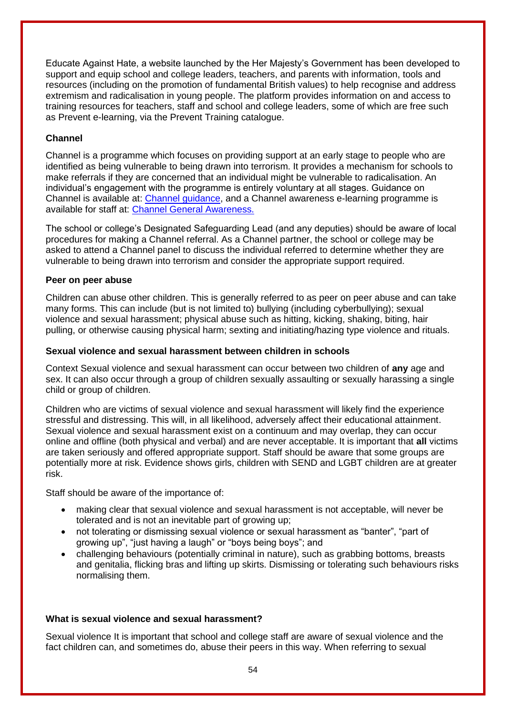Educate Against Hate, a website launched by the Her Majesty's Government has been developed to support and equip school and college leaders, teachers, and parents with information, tools and resources (including on the promotion of fundamental British values) to help recognise and address extremism and radicalisation in young people. The platform provides information on and access to training resources for teachers, staff and school and college leaders, some of which are free such as Prevent e-learning, via the Prevent Training catalogue.

# **Channel**

Channel is a programme which focuses on providing support at an early stage to people who are identified as being vulnerable to being drawn into terrorism. It provides a mechanism for schools to make referrals if they are concerned that an individual might be vulnerable to radicalisation. An individual's engagement with the programme is entirely voluntary at all stages. Guidance on Channel is available at: [Channel guidance,](https://www.gov.uk/government/publications/channel-guidance) and a Channel awareness e-learning programme is available for staff at: [Channel General Awareness.](http://course.ncalt.com/Channel_General_Awareness/01/index.html)

The school or college's Designated Safeguarding Lead (and any deputies) should be aware of local procedures for making a Channel referral. As a Channel partner, the school or college may be asked to attend a Channel panel to discuss the individual referred to determine whether they are vulnerable to being drawn into terrorism and consider the appropriate support required.

# **Peer on peer abuse**

Children can abuse other children. This is generally referred to as peer on peer abuse and can take many forms. This can include (but is not limited to) bullying (including cyberbullying); sexual violence and sexual harassment; physical abuse such as hitting, kicking, shaking, biting, hair pulling, or otherwise causing physical harm; sexting and initiating/hazing type violence and rituals.

#### **Sexual violence and sexual harassment between children in schools**

Context Sexual violence and sexual harassment can occur between two children of **any** age and sex. It can also occur through a group of children sexually assaulting or sexually harassing a single child or group of children.

Children who are victims of sexual violence and sexual harassment will likely find the experience stressful and distressing. This will, in all likelihood, adversely affect their educational attainment. Sexual violence and sexual harassment exist on a continuum and may overlap, they can occur online and offline (both physical and verbal) and are never acceptable. It is important that **all** victims are taken seriously and offered appropriate support. Staff should be aware that some groups are potentially more at risk. Evidence shows girls, children with SEND and LGBT children are at greater risk.

Staff should be aware of the importance of:

- making clear that sexual violence and sexual harassment is not acceptable, will never be tolerated and is not an inevitable part of growing up;
- not tolerating or dismissing sexual violence or sexual harassment as "banter", "part of growing up", "just having a laugh" or "boys being boys"; and
- challenging behaviours (potentially criminal in nature), such as grabbing bottoms, breasts and genitalia, flicking bras and lifting up skirts. Dismissing or tolerating such behaviours risks normalising them.

# **What is sexual violence and sexual harassment?**

Sexual violence It is important that school and college staff are aware of sexual violence and the fact children can, and sometimes do, abuse their peers in this way. When referring to sexual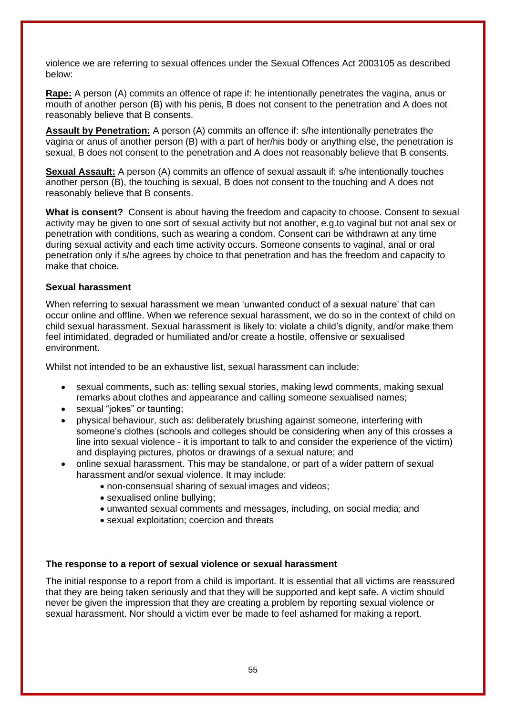violence we are referring to sexual offences under the Sexual Offences Act 2003105 as described below:

**Rape:** A person (A) commits an offence of rape if: he intentionally penetrates the vagina, anus or mouth of another person (B) with his penis, B does not consent to the penetration and A does not reasonably believe that B consents.

**Assault by Penetration:** A person (A) commits an offence if: s/he intentionally penetrates the vagina or anus of another person (B) with a part of her/his body or anything else, the penetration is sexual, B does not consent to the penetration and A does not reasonably believe that B consents.

**Sexual Assault:** A person (A) commits an offence of sexual assault if: s/he intentionally touches another person (B), the touching is sexual, B does not consent to the touching and A does not reasonably believe that B consents.

**What is consent?** Consent is about having the freedom and capacity to choose. Consent to sexual activity may be given to one sort of sexual activity but not another, e.g.to vaginal but not anal sex or penetration with conditions, such as wearing a condom. Consent can be withdrawn at any time during sexual activity and each time activity occurs. Someone consents to vaginal, anal or oral penetration only if s/he agrees by choice to that penetration and has the freedom and capacity to make that choice.

#### **Sexual harassment**

When referring to sexual harassment we mean 'unwanted conduct of a sexual nature' that can occur online and offline. When we reference sexual harassment, we do so in the context of child on child sexual harassment. Sexual harassment is likely to: violate a child's dignity, and/or make them feel intimidated, degraded or humiliated and/or create a hostile, offensive or sexualised environment.

Whilst not intended to be an exhaustive list, sexual harassment can include:

- sexual comments, such as: telling sexual stories, making lewd comments, making sexual remarks about clothes and appearance and calling someone sexualised names;
- sexual "jokes" or taunting;
- physical behaviour, such as: deliberately brushing against someone, interfering with someone's clothes (schools and colleges should be considering when any of this crosses a line into sexual violence - it is important to talk to and consider the experience of the victim) and displaying pictures, photos or drawings of a sexual nature; and
- online sexual harassment. This may be standalone, or part of a wider pattern of sexual harassment and/or sexual violence. It may include:
	- non-consensual sharing of sexual images and videos;
	- sexualised online bullying;
	- unwanted sexual comments and messages, including, on social media; and
	- sexual exploitation; coercion and threats

#### **The response to a report of sexual violence or sexual harassment**

The initial response to a report from a child is important. It is essential that all victims are reassured that they are being taken seriously and that they will be supported and kept safe. A victim should never be given the impression that they are creating a problem by reporting sexual violence or sexual harassment. Nor should a victim ever be made to feel ashamed for making a report.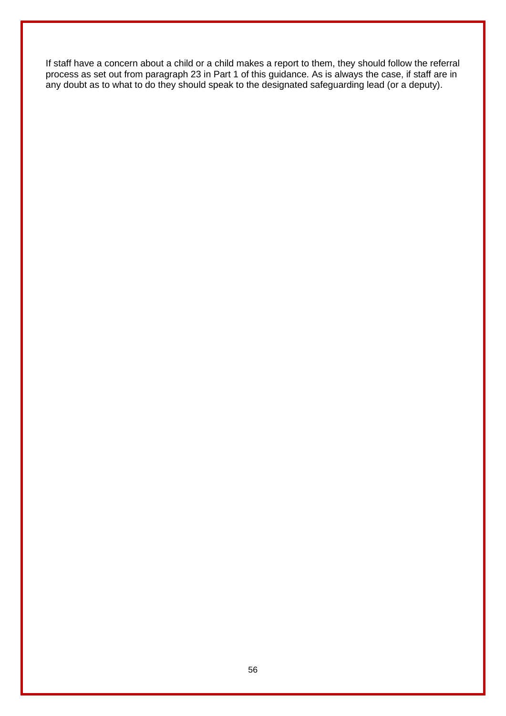If staff have a concern about a child or a child makes a report to them, they should follow the referral process as set out from paragraph 23 in Part 1 of this guidance. As is always the case, if staff are in any doubt as to what to do they should speak to the designated safeguarding lead (or a deputy).